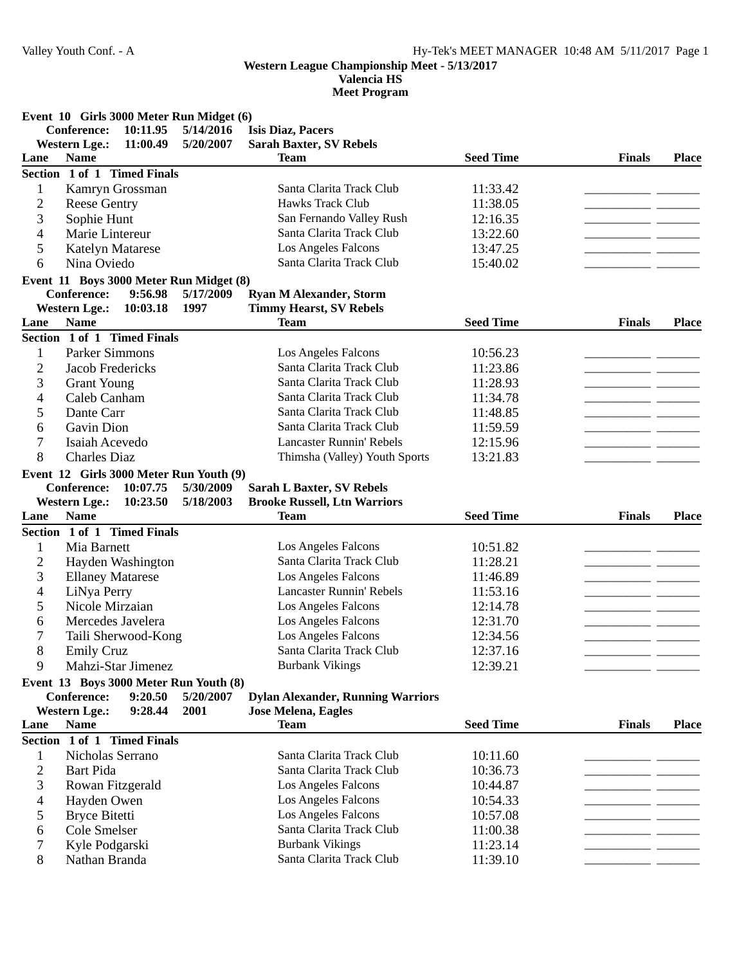**Valencia HS**

|                | Event 10 Girls 3000 Meter Run Midget (6) |           |                                                    |                      |               |              |
|----------------|------------------------------------------|-----------|----------------------------------------------------|----------------------|---------------|--------------|
|                | <b>Conference:</b><br>10:11.95           | 5/14/2016 | <b>Isis Diaz, Pacers</b>                           |                      |               |              |
|                | <b>Western Lge.:</b><br>11:00.49         | 5/20/2007 | <b>Sarah Baxter, SV Rebels</b>                     |                      |               |              |
| Lane           | <b>Name</b>                              |           | <b>Team</b>                                        | <b>Seed Time</b>     | <b>Finals</b> | <b>Place</b> |
|                | Section 1 of 1 Timed Finals              |           |                                                    |                      |               |              |
| 1              | Kamryn Grossman                          |           | Santa Clarita Track Club                           | 11:33.42             |               |              |
| $\overline{2}$ | <b>Reese Gentry</b>                      |           | <b>Hawks Track Club</b>                            | 11:38.05             |               |              |
| 3              | Sophie Hunt                              |           | San Fernando Valley Rush                           | 12:16.35             |               |              |
| 4              | Marie Lintereur                          |           | Santa Clarita Track Club                           | 13:22.60             |               |              |
| 5              | <b>Katelyn Matarese</b>                  |           | Los Angeles Falcons                                | 13:47.25             |               |              |
| 6              | Nina Oviedo                              |           | Santa Clarita Track Club                           | 15:40.02             |               |              |
|                | Event 11 Boys 3000 Meter Run Midget (8)  |           |                                                    |                      |               |              |
|                | <b>Conference:</b><br>9:56.98            | 5/17/2009 | <b>Ryan M Alexander, Storm</b>                     |                      |               |              |
|                | <b>Western Lge.:</b><br>10:03.18         | 1997      | <b>Timmy Hearst, SV Rebels</b>                     |                      |               |              |
| Lane           | <b>Name</b>                              |           | <b>Team</b>                                        | <b>Seed Time</b>     | <b>Finals</b> | <b>Place</b> |
|                | Section 1 of 1 Timed Finals              |           |                                                    |                      |               |              |
| 1              | <b>Parker Simmons</b>                    |           | Los Angeles Falcons                                | 10:56.23             |               |              |
| $\overline{2}$ | <b>Jacob Fredericks</b>                  |           | Santa Clarita Track Club                           | 11:23.86             |               |              |
| 3              | <b>Grant Young</b>                       |           | Santa Clarita Track Club                           | 11:28.93             |               |              |
| 4              | Caleb Canham                             |           | Santa Clarita Track Club                           | 11:34.78             |               |              |
| 5              | Dante Carr                               |           | Santa Clarita Track Club                           | 11:48.85             |               |              |
| 6              | Gavin Dion                               |           | Santa Clarita Track Club                           | 11:59.59             |               |              |
| 7              | Isaiah Acevedo                           |           | <b>Lancaster Runnin' Rebels</b>                    | 12:15.96             |               |              |
| 8              | <b>Charles Diaz</b>                      |           | Thimsha (Valley) Youth Sports                      | 13:21.83             |               |              |
|                | Event 12 Girls 3000 Meter Run Youth (9)  |           |                                                    |                      |               |              |
|                | <b>Conference:</b><br>10:07.75           | 5/30/2009 | <b>Sarah L Baxter, SV Rebels</b>                   |                      |               |              |
|                | <b>Western Lge.:</b><br>10:23.50         | 5/18/2003 | <b>Brooke Russell, Ltn Warriors</b>                |                      |               |              |
| Lane           | <b>Name</b>                              |           | <b>Team</b>                                        | <b>Seed Time</b>     | <b>Finals</b> | <b>Place</b> |
|                | Section 1 of 1 Timed Finals              |           |                                                    |                      |               |              |
| 1              | Mia Barnett                              |           | Los Angeles Falcons                                | 10:51.82             |               |              |
| $\overline{2}$ | Hayden Washington                        |           | Santa Clarita Track Club                           | 11:28.21             |               |              |
| 3              | <b>Ellaney Matarese</b>                  |           | Los Angeles Falcons                                | 11:46.89             |               |              |
| 4              | LiNya Perry                              |           | <b>Lancaster Runnin' Rebels</b>                    | 11:53.16             |               |              |
| 5              | Nicole Mirzaian                          |           | Los Angeles Falcons                                | 12:14.78             |               |              |
| 6              | Mercedes Javelera                        |           | Los Angeles Falcons                                | 12:31.70             |               |              |
| 7              | Taili Sherwood-Kong                      |           | Los Angeles Falcons                                | 12:34.56             |               |              |
| 8              | <b>Emily Cruz</b>                        |           | Santa Clarita Track Club                           | 12:37.16             |               |              |
| 9              | Mahzi-Star Jimenez                       |           | <b>Burbank Vikings</b>                             | 12:39.21             |               |              |
|                | Event 13 Boys 3000 Meter Run Youth (8)   |           |                                                    |                      |               |              |
|                | Conference:<br>9:20.50                   | 5/20/2007 | <b>Dylan Alexander, Running Warriors</b>           |                      |               |              |
|                | <b>Western Lge.:</b><br>9:28.44          | 2001      | <b>Jose Melena, Eagles</b>                         |                      |               |              |
| Lane           | <b>Name</b>                              |           | <b>Team</b>                                        | <b>Seed Time</b>     | <b>Finals</b> | <b>Place</b> |
|                | Section 1 of 1 Timed Finals              |           |                                                    |                      |               |              |
| 1              | Nicholas Serrano                         |           | Santa Clarita Track Club                           | 10:11.60             |               |              |
| 2              | <b>Bart Pida</b>                         |           | Santa Clarita Track Club                           | 10:36.73             |               |              |
| 3              | Rowan Fitzgerald                         |           | Los Angeles Falcons                                | 10:44.87             |               |              |
| 4              |                                          |           | Los Angeles Falcons                                | 10:54.33             |               |              |
|                | Hayden Owen                              |           | Los Angeles Falcons                                |                      |               |              |
| 5<br>6         | <b>Bryce Bitetti</b>                     |           |                                                    | 10:57.08             |               |              |
|                |                                          |           |                                                    |                      |               |              |
|                | Cole Smelser                             |           | Santa Clarita Track Club                           | 11:00.38             |               |              |
| 7<br>8         | Kyle Podgarski<br>Nathan Branda          |           | <b>Burbank Vikings</b><br>Santa Clarita Track Club | 11:23.14<br>11:39.10 |               |              |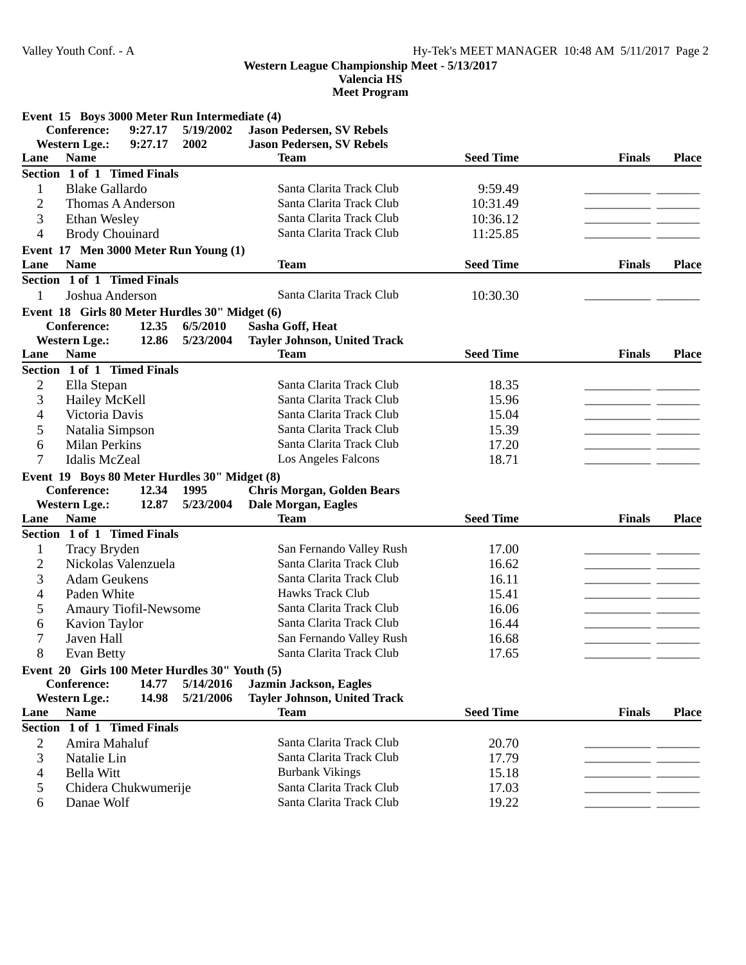**Valencia HS**

**Meet Program**

**Event 15 Boys 3000 Meter Run Intermediate (4)**

|                | <b>Conference:</b>                             | 9:27.17 | 5/19/2002              | <b>Jason Pedersen, SV Rebels</b>                              |                  |               |              |
|----------------|------------------------------------------------|---------|------------------------|---------------------------------------------------------------|------------------|---------------|--------------|
|                | <b>Western Lge.:</b>                           | 9:27.17 | 2002                   | <b>Jason Pedersen, SV Rebels</b>                              |                  |               |              |
| Lane           | <b>Name</b>                                    |         |                        | <b>Team</b>                                                   | <b>Seed Time</b> | <b>Finals</b> | <b>Place</b> |
|                | Section 1 of 1 Timed Finals                    |         |                        |                                                               |                  |               |              |
| 1              | <b>Blake Gallardo</b>                          |         |                        | Santa Clarita Track Club                                      | 9:59.49          |               |              |
| 2              | Thomas A Anderson                              |         |                        | Santa Clarita Track Club                                      | 10:31.49         |               |              |
| 3              | Ethan Wesley                                   |         |                        | Santa Clarita Track Club                                      | 10:36.12         |               |              |
| 4              | <b>Brody Chouinard</b>                         |         |                        | Santa Clarita Track Club                                      | 11:25.85         |               |              |
|                | Event 17 Men 3000 Meter Run Young (1)          |         |                        |                                                               |                  |               |              |
| Lane           | <b>Name</b>                                    |         |                        | <b>Team</b>                                                   | <b>Seed Time</b> | <b>Finals</b> | <b>Place</b> |
|                | Section 1 of 1 Timed Finals                    |         |                        |                                                               |                  |               |              |
| 1              | Joshua Anderson                                |         |                        | Santa Clarita Track Club                                      | 10:30.30         |               |              |
|                | Event 18 Girls 80 Meter Hurdles 30" Midget (6) |         |                        |                                                               |                  |               |              |
|                | <b>Conference:</b>                             | 12.35   | 6/5/2010               | Sasha Goff, Heat                                              |                  |               |              |
|                | <b>Western Lge.:</b>                           | 12.86   | 5/23/2004              | <b>Tayler Johnson, United Track</b>                           |                  |               |              |
| Lane           | <b>Name</b>                                    |         |                        | <b>Team</b>                                                   | <b>Seed Time</b> | <b>Finals</b> | <b>Place</b> |
|                | Section 1 of 1 Timed Finals                    |         |                        |                                                               |                  |               |              |
| $\overline{2}$ | Ella Stepan                                    |         |                        | Santa Clarita Track Club                                      | 18.35            |               |              |
| 3              | Hailey McKell                                  |         |                        | Santa Clarita Track Club                                      | 15.96            | -- -          |              |
| 4              | Victoria Davis                                 |         |                        | Santa Clarita Track Club                                      | 15.04            |               |              |
| 5              | Natalia Simpson                                |         |                        | Santa Clarita Track Club                                      | 15.39            |               |              |
| 6              | <b>Milan Perkins</b>                           |         |                        | Santa Clarita Track Club                                      | 17.20            |               |              |
| 7              | <b>Idalis McZeal</b>                           |         |                        | Los Angeles Falcons                                           | 18.71            |               |              |
|                | Event 19 Boys 80 Meter Hurdles 30" Midget (8)  |         |                        |                                                               |                  |               |              |
|                | <b>Conference:</b>                             | 12.34   | 1995                   | <b>Chris Morgan, Golden Bears</b>                             |                  |               |              |
|                | <b>Western Lge.:</b>                           | 12.87   | 5/23/2004              | Dale Morgan, Eagles                                           |                  |               |              |
| Lane           | <b>Name</b>                                    |         |                        | <b>Team</b>                                                   | <b>Seed Time</b> | <b>Finals</b> | <b>Place</b> |
|                | Section 1 of 1 Timed Finals                    |         |                        |                                                               |                  |               |              |
| $\mathbf{1}$   | Tracy Bryden                                   |         |                        | San Fernando Valley Rush                                      | 17.00            |               |              |
| $\overline{c}$ | Nickolas Valenzuela                            |         |                        | Santa Clarita Track Club                                      | 16.62            |               |              |
| 3              | <b>Adam Geukens</b>                            |         |                        | Santa Clarita Track Club                                      | 16.11            | - -           |              |
| 4              | Paden White                                    |         |                        | <b>Hawks Track Club</b>                                       | 15.41            |               |              |
| 5              | Amaury Tiofil-Newsome                          |         |                        | Santa Clarita Track Club                                      | 16.06            |               |              |
| 6              | <b>Kavion Taylor</b>                           |         |                        | Santa Clarita Track Club                                      | 16.44            |               |              |
| 7              | Javen Hall                                     |         |                        | San Fernando Valley Rush                                      | 16.68            |               |              |
| 8              | Evan Betty                                     |         |                        | Santa Clarita Track Club                                      | 17.65            |               |              |
|                |                                                |         |                        |                                                               |                  |               |              |
|                | Event 20 Girls 100 Meter Hurdles 30" Youth (5) |         |                        |                                                               |                  |               |              |
|                | Conference:                                    | 14.77   | 5/14/2016<br>5/21/2006 | Jazmin Jackson, Eagles<br><b>Tayler Johnson, United Track</b> |                  |               |              |
| Lane           | <b>Western Lge.:</b><br><b>Name</b>            | 14.98   |                        | <b>Team</b>                                                   | <b>Seed Time</b> | <b>Finals</b> | <b>Place</b> |
|                | Section 1 of 1 Timed Finals                    |         |                        |                                                               |                  |               |              |
|                |                                                |         |                        |                                                               |                  |               |              |
| 2              | Amira Mahaluf                                  |         |                        | Santa Clarita Track Club                                      | 20.70            |               |              |
| 3              | Natalie Lin                                    |         |                        | Santa Clarita Track Club                                      | 17.79            |               |              |
| 4              | <b>Bella Witt</b>                              |         |                        | <b>Burbank Vikings</b>                                        | 15.18            |               |              |
| 5              | Chidera Chukwumerije                           |         |                        | Santa Clarita Track Club                                      | 17.03            |               |              |
| 6              | Danae Wolf                                     |         |                        | Santa Clarita Track Club                                      | 19.22            |               |              |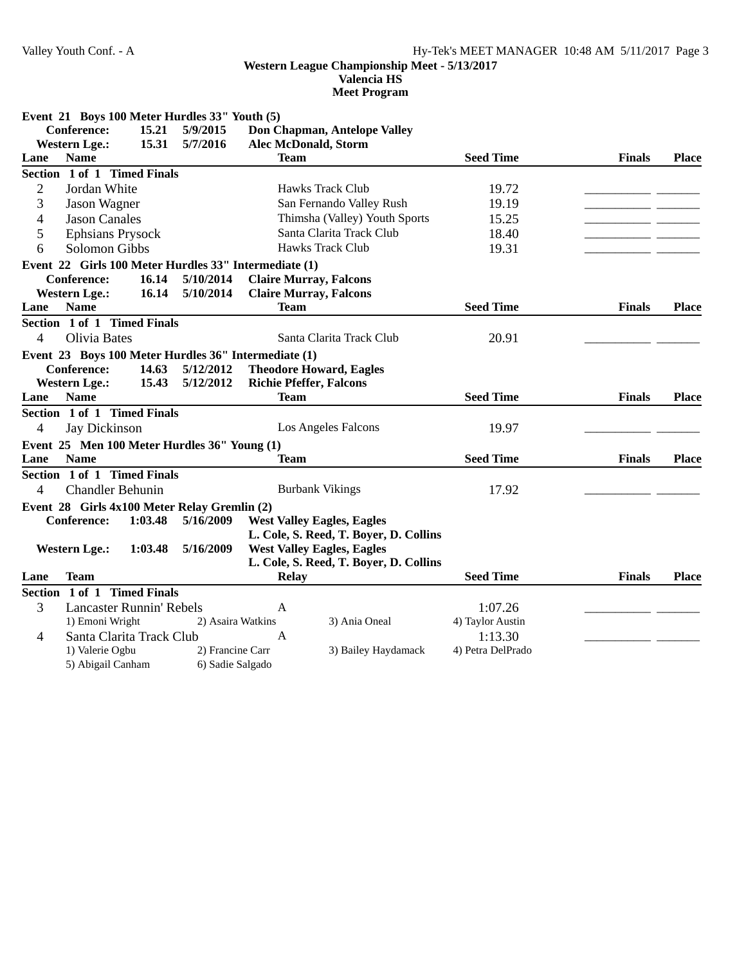**Valencia HS**

|                | Event 21 Boys 100 Meter Hurdles 33" Youth (5)         |         |                   |                                |                                        |                   |               |              |
|----------------|-------------------------------------------------------|---------|-------------------|--------------------------------|----------------------------------------|-------------------|---------------|--------------|
|                | <b>Conference:</b>                                    | 15.21   | 5/9/2015          |                                | Don Chapman, Antelope Valley           |                   |               |              |
|                | <b>Western Lge.:</b>                                  | 15.31   | 5/7/2016          | <b>Alec McDonald, Storm</b>    |                                        |                   |               |              |
| Lane           | <b>Name</b>                                           |         |                   | <b>Team</b>                    |                                        | <b>Seed Time</b>  | <b>Finals</b> | <b>Place</b> |
|                | Section 1 of 1 Timed Finals                           |         |                   |                                |                                        |                   |               |              |
| $\mathbf{2}$   | Jordan White                                          |         |                   |                                | <b>Hawks Track Club</b>                | 19.72             |               |              |
| 3              | Jason Wagner                                          |         |                   |                                | San Fernando Valley Rush               | 19.19             |               |              |
| $\overline{4}$ | <b>Jason Canales</b>                                  |         |                   |                                | Thimsha (Valley) Youth Sports          | 15.25             |               |              |
| 5              | <b>Ephsians Prysock</b>                               |         |                   | Santa Clarita Track Club       | 18.40                                  |                   |               |              |
| 6              | <b>Solomon Gibbs</b>                                  |         |                   |                                | Hawks Track Club                       | 19.31             |               |              |
|                | Event 22 Girls 100 Meter Hurdles 33" Intermediate (1) |         |                   |                                |                                        |                   |               |              |
|                | <b>Conference:</b>                                    | 16.14   | 5/10/2014         |                                | <b>Claire Murray, Falcons</b>          |                   |               |              |
|                | <b>Western Lge.:</b>                                  | 16.14   | 5/10/2014         |                                | <b>Claire Murray, Falcons</b>          |                   |               |              |
| Lane           | <b>Name</b>                                           |         |                   | <b>Team</b>                    |                                        | <b>Seed Time</b>  | <b>Finals</b> | <b>Place</b> |
|                | Section 1 of 1 Timed Finals                           |         |                   |                                |                                        |                   |               |              |
| 4              | Olivia Bates                                          |         |                   |                                | Santa Clarita Track Club               | 20.91             |               |              |
|                | Event 23 Boys 100 Meter Hurdles 36" Intermediate (1)  |         |                   |                                |                                        |                   |               |              |
|                | <b>Conference:</b>                                    | 14.63   | 5/12/2012         |                                | <b>Theodore Howard, Eagles</b>         |                   |               |              |
|                | <b>Western Lge.:</b>                                  | 15.43   | 5/12/2012         | <b>Richie Pfeffer, Falcons</b> |                                        |                   |               |              |
| Lane           | <b>Name</b>                                           |         |                   | <b>Team</b>                    |                                        | <b>Seed Time</b>  | <b>Finals</b> | <b>Place</b> |
|                | Section 1 of 1 Timed Finals                           |         |                   |                                |                                        |                   |               |              |
| 4              | Jay Dickinson                                         |         |                   |                                | Los Angeles Falcons                    | 19.97             |               |              |
|                | Event 25 Men 100 Meter Hurdles 36" Young (1)          |         |                   |                                |                                        |                   |               |              |
| Lane           | <b>Name</b>                                           |         |                   | <b>Team</b>                    |                                        | <b>Seed Time</b>  | <b>Finals</b> | <b>Place</b> |
|                | Section 1 of 1 Timed Finals                           |         |                   |                                |                                        |                   |               |              |
| $\overline{4}$ | <b>Chandler Behunin</b>                               |         |                   |                                | <b>Burbank Vikings</b>                 | 17.92             |               |              |
|                | Event 28 Girls 4x100 Meter Relay Gremlin (2)          |         |                   |                                |                                        |                   |               |              |
|                | <b>Conference:</b>                                    | 1:03.48 | 5/16/2009         |                                | <b>West Valley Eagles, Eagles</b>      |                   |               |              |
|                |                                                       |         |                   |                                | L. Cole, S. Reed, T. Boyer, D. Collins |                   |               |              |
|                | <b>Western Lge.:</b>                                  | 1:03.48 | 5/16/2009         |                                | <b>West Valley Eagles, Eagles</b>      |                   |               |              |
|                |                                                       |         |                   |                                | L. Cole, S. Reed, T. Boyer, D. Collins |                   |               |              |
| Lane           | <b>Team</b>                                           |         |                   | <b>Relay</b>                   |                                        | <b>Seed Time</b>  | <b>Finals</b> | <b>Place</b> |
|                | Section 1 of 1 Timed Finals                           |         |                   |                                |                                        |                   |               |              |
| 3              | <b>Lancaster Runnin' Rebels</b>                       |         |                   | A                              |                                        | 1:07.26           |               |              |
|                | 1) Emoni Wright                                       |         | 2) Asaira Watkins |                                | 3) Ania Oneal                          | 4) Taylor Austin  |               |              |
| 4              | Santa Clarita Track Club                              |         |                   | A                              |                                        | 1:13.30           |               |              |
|                | 1) Valerie Ogbu                                       |         | 2) Francine Carr  |                                | 3) Bailey Haydamack                    | 4) Petra DelPrado |               |              |
|                | 5) Abigail Canham                                     |         | 6) Sadie Salgado  |                                |                                        |                   |               |              |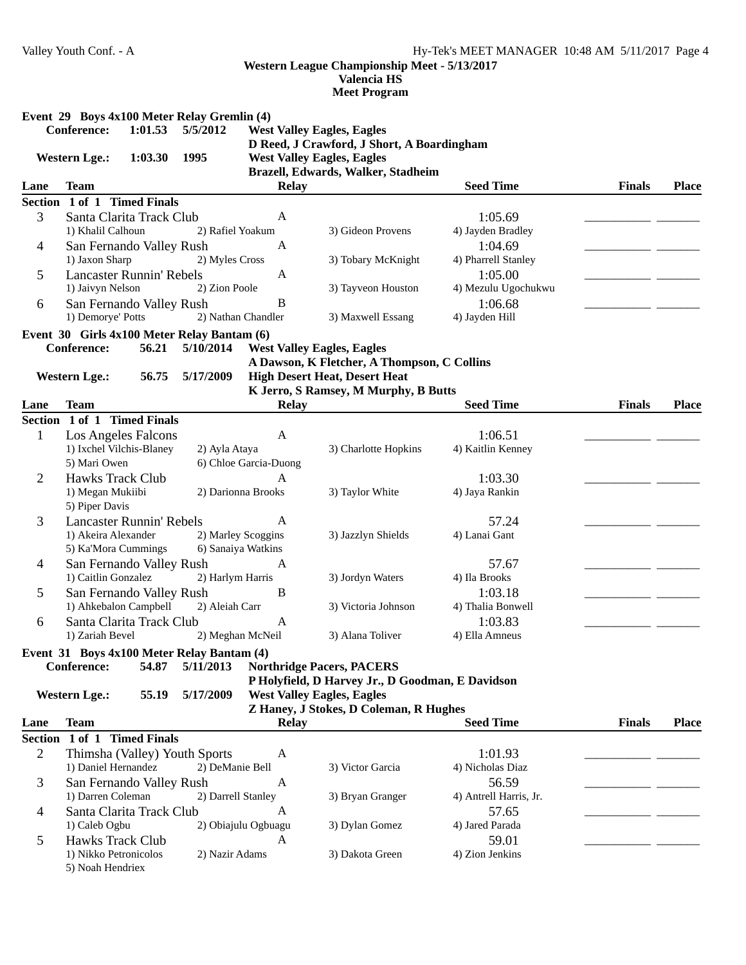**Valencia HS**

|                | Event 29 Boys 4x100 Meter Relay Gremlin (4)<br><b>Conference:</b><br>1:01.53 | 5/5/2012  |                       | <b>West Valley Eagles, Eagles</b>                                                                                     |                        |               |              |
|----------------|------------------------------------------------------------------------------|-----------|-----------------------|-----------------------------------------------------------------------------------------------------------------------|------------------------|---------------|--------------|
|                | 1:03.30<br><b>Western Lge.:</b>                                              | 1995      |                       | D Reed, J Crawford, J Short, A Boardingham<br><b>West Valley Eagles, Eagles</b><br>Brazell, Edwards, Walker, Stadheim |                        |               |              |
| Lane           | <b>Team</b>                                                                  |           | <b>Relay</b>          |                                                                                                                       | <b>Seed Time</b>       | <b>Finals</b> | <b>Place</b> |
|                | Section 1 of 1 Timed Finals                                                  |           |                       |                                                                                                                       |                        |               |              |
| 3              | Santa Clarita Track Club                                                     |           | A                     |                                                                                                                       | 1:05.69                |               |              |
|                | 1) Khalil Calhoun                                                            |           | 2) Rafiel Yoakum      | 3) Gideon Provens                                                                                                     | 4) Jayden Bradley      |               |              |
| 4              | San Fernando Valley Rush                                                     |           | A                     |                                                                                                                       | 1:04.69                |               |              |
|                | 1) Jaxon Sharp                                                               |           | 2) Myles Cross        | 3) Tobary McKnight                                                                                                    | 4) Pharrell Stanley    |               |              |
| 5              | <b>Lancaster Runnin' Rebels</b>                                              |           | A                     |                                                                                                                       | 1:05.00                |               |              |
|                | 1) Jaivyn Nelson                                                             |           | 2) Zion Poole         | 3) Tayveon Houston                                                                                                    | 4) Mezulu Ugochukwu    |               |              |
| 6              | San Fernando Valley Rush                                                     |           | B                     |                                                                                                                       | 1:06.68                |               |              |
|                | 1) Demorye' Potts                                                            |           | 2) Nathan Chandler    | 3) Maxwell Essang                                                                                                     | 4) Jayden Hill         |               |              |
|                | Event 30 Girls 4x100 Meter Relay Bantam (6)                                  |           |                       |                                                                                                                       |                        |               |              |
|                | <b>Conference:</b><br>56.21                                                  | 5/10/2014 |                       | <b>West Valley Eagles, Eagles</b>                                                                                     |                        |               |              |
|                |                                                                              |           |                       | A Dawson, K Fletcher, A Thompson, C Collins                                                                           |                        |               |              |
|                | <b>Western Lge.:</b><br>56.75                                                | 5/17/2009 |                       | <b>High Desert Heat, Desert Heat</b>                                                                                  |                        |               |              |
| Lane           | <b>Team</b>                                                                  |           | <b>Relay</b>          | K Jerro, S Ramsey, M Murphy, B Butts                                                                                  | <b>Seed Time</b>       | <b>Finals</b> | <b>Place</b> |
|                | Section 1 of 1 Timed Finals                                                  |           |                       |                                                                                                                       |                        |               |              |
| $\mathbf{1}$   | Los Angeles Falcons                                                          |           | A                     |                                                                                                                       | 1:06.51                |               |              |
|                | 1) Ixchel Vilchis-Blaney                                                     |           | 2) Ayla Ataya         | 3) Charlotte Hopkins                                                                                                  | 4) Kaitlin Kenney      |               |              |
|                | 5) Mari Owen                                                                 |           | 6) Chloe Garcia-Duong |                                                                                                                       |                        |               |              |
| 2              | <b>Hawks Track Club</b>                                                      |           | A                     |                                                                                                                       | 1:03.30                |               |              |
|                | 1) Megan Mukiibi                                                             |           | 2) Darionna Brooks    | 3) Taylor White                                                                                                       | 4) Jaya Rankin         |               |              |
|                | 5) Piper Davis                                                               |           |                       |                                                                                                                       |                        |               |              |
| 3              | <b>Lancaster Runnin' Rebels</b>                                              |           | $\overline{A}$        |                                                                                                                       | 57.24                  |               |              |
|                | 1) Akeira Alexander                                                          |           | 2) Marley Scoggins    | 3) Jazzlyn Shields                                                                                                    | 4) Lanai Gant          |               |              |
|                | 5) Ka'Mora Cummings                                                          |           | 6) Sanaiya Watkins    |                                                                                                                       |                        |               |              |
| 4              | San Fernando Valley Rush                                                     |           | A                     |                                                                                                                       | 57.67                  |               |              |
|                | 1) Caitlin Gonzalez                                                          |           | 2) Harlym Harris      | 3) Jordyn Waters                                                                                                      | 4) Ila Brooks          |               |              |
| 5              | San Fernando Valley Rush                                                     |           | B                     |                                                                                                                       | 1:03.18                |               |              |
|                | 1) Ahkebalon Campbell                                                        |           | 2) Aleiah Carr        | 3) Victoria Johnson                                                                                                   | 4) Thalia Bonwell      |               |              |
| 6              | Santa Clarita Track Club                                                     |           | A                     |                                                                                                                       | 1:03.83                |               |              |
|                | 1) Zariah Bevel                                                              |           | 2) Meghan McNeil      | 3) Alana Toliver                                                                                                      | 4) Ella Amneus         |               |              |
|                | Event 31 Boys 4x100 Meter Relay Bantam (4)                                   |           |                       |                                                                                                                       |                        |               |              |
|                | Conference:<br>54.87                                                         | 5/11/2013 |                       | <b>Northridge Pacers, PACERS</b>                                                                                      |                        |               |              |
|                |                                                                              |           |                       | P Holyfield, D Harvey Jr., D Goodman, E Davidson                                                                      |                        |               |              |
|                | <b>Western Lge.:</b><br>55.19                                                | 5/17/2009 |                       | <b>West Valley Eagles, Eagles</b><br>Z Haney, J Stokes, D Coleman, R Hughes                                           |                        |               |              |
| Lane           | <b>Team</b>                                                                  |           | <b>Relay</b>          |                                                                                                                       | <b>Seed Time</b>       | <b>Finals</b> | <b>Place</b> |
| <b>Section</b> | 1 of 1 Timed Finals                                                          |           |                       |                                                                                                                       |                        |               |              |
| 2              | Thimsha (Valley) Youth Sports                                                |           | A                     |                                                                                                                       | 1:01.93                |               |              |
|                | 1) Daniel Hernandez                                                          |           | 2) DeManie Bell       | 3) Victor Garcia                                                                                                      | 4) Nicholas Diaz       |               |              |
| 3              | San Fernando Valley Rush                                                     |           | A                     |                                                                                                                       | 56.59                  |               |              |
|                | 1) Darren Coleman                                                            |           | 2) Darrell Stanley    | 3) Bryan Granger                                                                                                      | 4) Antrell Harris, Jr. |               |              |
| 4              | Santa Clarita Track Club                                                     |           | A                     |                                                                                                                       | 57.65                  |               |              |
|                | 1) Caleb Ogbu                                                                |           | 2) Obiajulu Ogbuagu   | 3) Dylan Gomez                                                                                                        | 4) Jared Parada        |               |              |
| 5              | <b>Hawks Track Club</b>                                                      |           | A                     |                                                                                                                       | 59.01                  |               |              |
|                | 1) Nikko Petronicolos                                                        |           | 2) Nazir Adams        | 3) Dakota Green                                                                                                       | 4) Zion Jenkins        |               |              |
|                | 5) Noah Hendriex                                                             |           |                       |                                                                                                                       |                        |               |              |
|                |                                                                              |           |                       |                                                                                                                       |                        |               |              |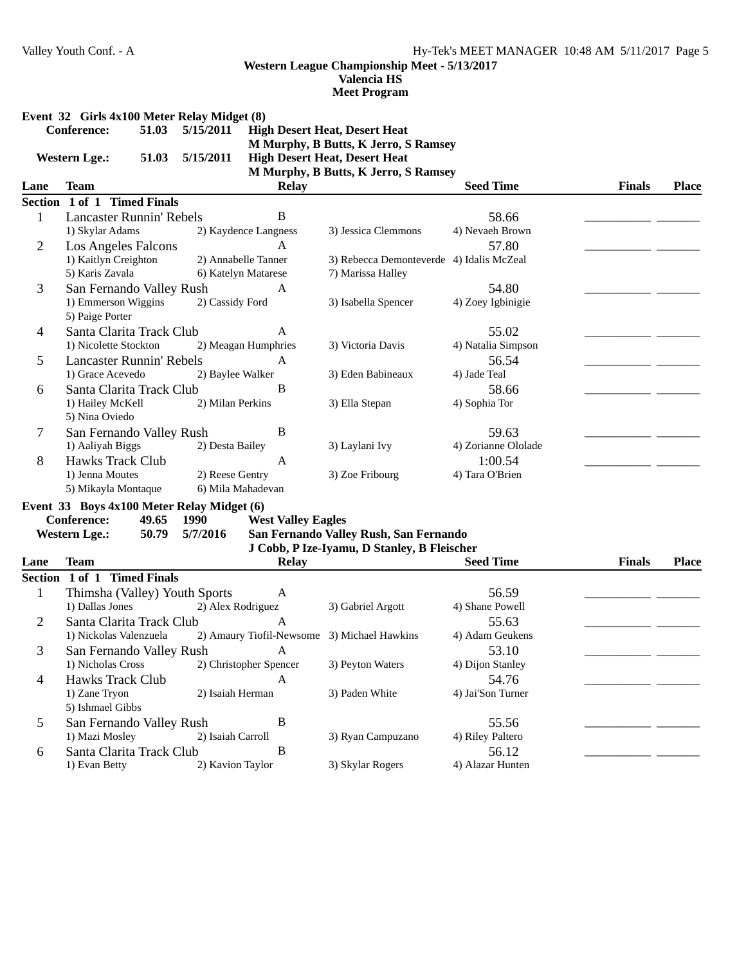**Valencia HS**

**Meet Program**

|  | Event 32 Girls 4x100 Meter Relay Midget (8) |  |  |  |  |
|--|---------------------------------------------|--|--|--|--|
|--|---------------------------------------------|--|--|--|--|

| <b>Conference:</b> | 51.03 5/15/2011 | <b>High Desert Heat, Desert Heat</b>        |
|--------------------|-----------------|---------------------------------------------|
|                    |                 | <b>M Murphy, B Butts, K Jerro, S Ramsey</b> |
|                    |                 |                                             |

Western Lge.: 51.03 5/15/2011 High Desert Heat, Desert Heat

# **M Murphy, B Butts, K Jerro, S Ramsey**

| Lane | <b>Team</b>                           | <b>Relay</b>         |                                          | <b>Seed Time</b>    | <b>Finals</b> | <b>Place</b> |
|------|---------------------------------------|----------------------|------------------------------------------|---------------------|---------------|--------------|
|      | Section 1 of 1<br><b>Timed Finals</b> |                      |                                          |                     |               |              |
|      | <b>Lancaster Runnin' Rebels</b>       | В                    |                                          | 58.66               |               |              |
|      | 1) Skylar Adams                       | 2) Kaydence Langness | 3) Jessica Clemmons                      | 4) Nevaeh Brown     |               |              |
| 2    | Los Angeles Falcons                   | A                    |                                          | 57.80               |               |              |
|      | 1) Kaitlyn Creighton                  | 2) Annabelle Tanner  | 3) Rebecca Demonteverde 4) Idalis McZeal |                     |               |              |
|      | 5) Karis Zavala                       | 6) Katelyn Matarese  | 7) Marissa Halley                        |                     |               |              |
| 3    | San Fernando Valley Rush              | A                    |                                          | 54.80               |               |              |
|      | 1) Emmerson Wiggins                   | 2) Cassidy Ford      | 3) Isabella Spencer                      | 4) Zoey Igbinigie   |               |              |
|      | 5) Paige Porter                       |                      |                                          |                     |               |              |
| 4    | Santa Clarita Track Club              | A                    |                                          | 55.02               |               |              |
|      | 1) Nicolette Stockton                 | 2) Meagan Humphries  | 3) Victoria Davis                        | 4) Natalia Simpson  |               |              |
| 5.   | Lancaster Runnin' Rebels              | A                    |                                          | 56.54               |               |              |
|      | 1) Grace Acevedo                      | 2) Baylee Walker     | 3) Eden Babineaux                        | 4) Jade Teal        |               |              |
| 6    | Santa Clarita Track Club              | B                    |                                          | 58.66               |               |              |
|      | 1) Hailey McKell                      | 2) Milan Perkins     | 3) Ella Stepan                           | 4) Sophia Tor       |               |              |
|      | 5) Nina Oviedo                        |                      |                                          |                     |               |              |
| 7    | San Fernando Valley Rush              | В                    |                                          | 59.63               |               |              |
|      | 1) Aaliyah Biggs                      | 2) Desta Bailey      | 3) Laylani Ivy                           | 4) Zorianne Ololade |               |              |
| 8    | <b>Hawks Track Club</b>               | A                    |                                          | 1:00.54             |               |              |
|      | 1) Jenna Moutes                       | 2) Reese Gentry      | 3) Zoe Fribourg                          | 4) Tara O'Brien     |               |              |
|      | 5) Mikayla Montaque                   | 6) Mila Mahadevan    |                                          |                     |               |              |

**Event 33 Boys 4x100 Meter Relay Midget (6)**<br>Conference: 49.65 1990 Wes

**Conference:** 49.65 1990 **West Valley Eagles** 

## Western Lge.: 50.79 5/7/2016 San Fernando Valley Rush, San Fernando **J Cobb, P Ize-Iyamu, D Stanley, B Fleischer**

| Lane    | Team                          | <b>Relay</b>                                |                   | <b>Seed Time</b>  | <b>Finals</b> | <b>Place</b> |
|---------|-------------------------------|---------------------------------------------|-------------------|-------------------|---------------|--------------|
| Section | <b>Timed Finals</b><br>1 of 1 |                                             |                   |                   |               |              |
|         | Thimsha (Valley) Youth Sports | A                                           |                   | 56.59             |               |              |
|         | 1) Dallas Jones               | 2) Alex Rodriguez                           | 3) Gabriel Argott | 4) Shane Powell   |               |              |
| 2       | Santa Clarita Track Club      | A                                           |                   | 55.63             |               |              |
|         | 1) Nickolas Valenzuela        | 2) Amaury Tiofil-Newsome 3) Michael Hawkins |                   | 4) Adam Geukens   |               |              |
| 3       | San Fernando Valley Rush      | A                                           |                   | 53.10             |               |              |
|         | 1) Nicholas Cross             | 2) Christopher Spencer                      | 3) Peyton Waters  | 4) Dijon Stanley  |               |              |
| 4       | Hawks Track Club              | A                                           |                   | 54.76             |               |              |
|         | 1) Zane Tryon                 | 2) Isaiah Herman                            | 3) Paden White    | 4) Jai'Son Turner |               |              |
|         | 5) Ishmael Gibbs              |                                             |                   |                   |               |              |
| 5       | San Fernando Valley Rush      | B                                           |                   | 55.56             |               |              |
|         | 1) Mazi Mosley                | 2) Isaiah Carroll                           | 3) Ryan Campuzano | 4) Riley Paltero  |               |              |
| 6       | Santa Clarita Track Club      | В                                           |                   | 56.12             |               |              |
|         | 1) Evan Betty                 | 2) Kavion Taylor                            | 3) Skylar Rogers  | 4) Alazar Hunten  |               |              |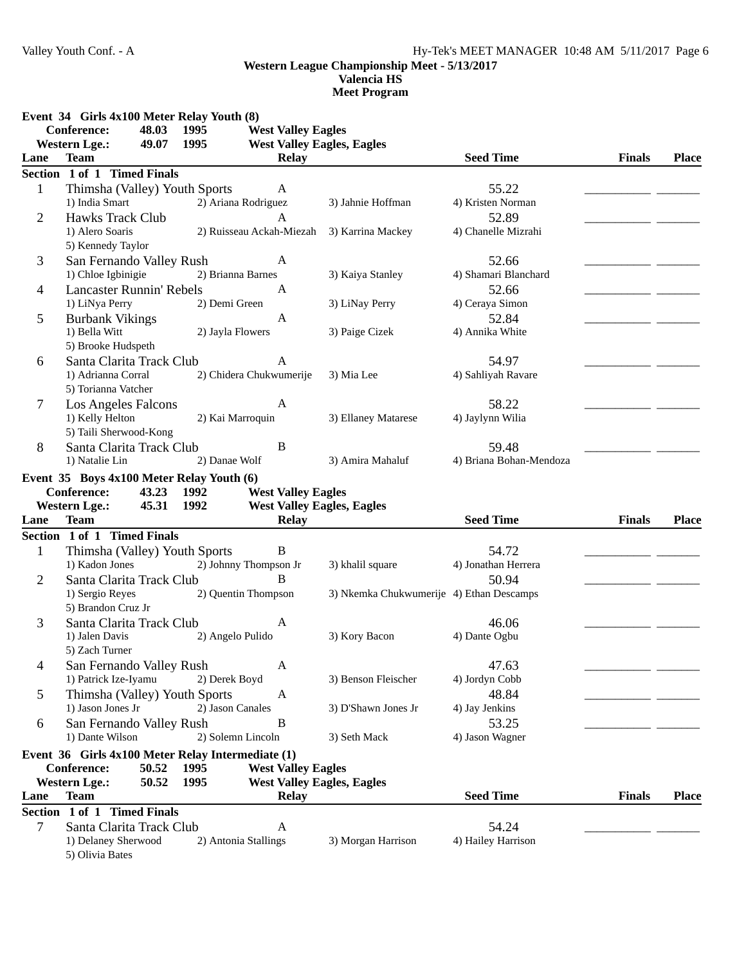**Valencia HS**

|                | Event 34 Girls 4x100 Meter Relay Youth (8)        |                      |                                                   |                                          |                             |               |              |
|----------------|---------------------------------------------------|----------------------|---------------------------------------------------|------------------------------------------|-----------------------------|---------------|--------------|
|                | <b>Conference:</b><br>48.03                       | 1995                 | <b>West Valley Eagles</b>                         |                                          |                             |               |              |
| Lane           | <b>Western Lge.:</b><br>49.07<br><b>Team</b>      | 1995                 | <b>West Valley Eagles, Eagles</b><br><b>Relay</b> |                                          | <b>Seed Time</b>            | <b>Finals</b> | <b>Place</b> |
|                | Section 1 of 1 Timed Finals                       |                      |                                                   |                                          |                             |               |              |
| $\mathbf{1}$   | Thimsha (Valley) Youth Sports                     |                      | A                                                 |                                          | 55.22                       |               |              |
|                | 1) India Smart                                    | 2) Ariana Rodriguez  |                                                   | 3) Jahnie Hoffman                        | 4) Kristen Norman           |               |              |
| $\overline{2}$ | <b>Hawks Track Club</b>                           |                      | $\mathsf{A}$                                      |                                          | 52.89                       |               |              |
|                | 1) Alero Soaris                                   |                      | 2) Ruisseau Ackah-Miezah                          | 3) Karrina Mackey                        | 4) Chanelle Mizrahi         |               |              |
|                | 5) Kennedy Taylor                                 |                      |                                                   |                                          |                             |               |              |
| 3              | San Fernando Valley Rush                          |                      | A                                                 |                                          | 52.66                       |               |              |
|                | 1) Chloe Igbinigie                                | 2) Brianna Barnes    |                                                   | 3) Kaiya Stanley                         | 4) Shamari Blanchard        |               |              |
| $\overline{4}$ | <b>Lancaster Runnin' Rebels</b>                   |                      | A                                                 |                                          | 52.66                       |               |              |
|                | 1) LiNya Perry                                    | 2) Demi Green        |                                                   | 3) LiNay Perry                           | 4) Ceraya Simon             |               |              |
| 5              | <b>Burbank Vikings</b>                            |                      | $\mathbf{A}$                                      |                                          | 52.84                       |               |              |
|                | 1) Bella Witt                                     | 2) Jayla Flowers     |                                                   | 3) Paige Cizek                           | 4) Annika White             |               |              |
|                | 5) Brooke Hudspeth                                |                      |                                                   |                                          |                             |               |              |
| 6              | Santa Clarita Track Club                          |                      | A                                                 |                                          | 54.97                       |               |              |
|                | 1) Adrianna Corral                                |                      | 2) Chidera Chukwumerije                           | 3) Mia Lee                               | 4) Sahliyah Ravare          |               |              |
|                | 5) Torianna Vatcher                               |                      |                                                   |                                          |                             |               |              |
| 7              | <b>Los Angeles Falcons</b>                        |                      | A                                                 |                                          | 58.22                       |               |              |
|                | 1) Kelly Helton                                   | 2) Kai Marroquin     |                                                   | 3) Ellaney Matarese                      | 4) Jaylynn Wilia            |               |              |
|                | 5) Taili Sherwood-Kong                            |                      |                                                   |                                          |                             |               |              |
| 8              | Santa Clarita Track Club                          |                      | B                                                 |                                          | 59.48                       |               |              |
|                | 1) Natalie Lin                                    | 2) Danae Wolf        |                                                   | 3) Amira Mahaluf                         | 4) Briana Bohan-Mendoza     |               |              |
|                | Event 35 Boys 4x100 Meter Relay Youth (6)         |                      |                                                   |                                          |                             |               |              |
|                |                                                   |                      |                                                   |                                          |                             |               |              |
|                | <b>Conference:</b><br>43.23                       | 1992                 | <b>West Valley Eagles</b>                         |                                          |                             |               |              |
|                | <b>Western Lge.:</b><br>45.31                     | 1992                 | <b>West Valley Eagles, Eagles</b>                 |                                          |                             |               |              |
| Lane           | <b>Team</b>                                       |                      | <b>Relay</b>                                      |                                          | <b>Seed Time</b>            | <b>Finals</b> | <b>Place</b> |
|                | Section 1 of 1 Timed Finals                       |                      |                                                   |                                          |                             |               |              |
| $\mathbf{1}$   | Thimsha (Valley) Youth Sports                     |                      | B                                                 |                                          | 54.72                       |               |              |
|                | 1) Kadon Jones                                    |                      | 2) Johnny Thompson Jr                             | 3) khalil square                         | 4) Jonathan Herrera         |               |              |
| $\overline{2}$ | Santa Clarita Track Club                          |                      | $\overline{B}$                                    |                                          | 50.94                       |               |              |
|                | 1) Sergio Reyes                                   |                      | 2) Quentin Thompson                               | 3) Nkemka Chukwumerije 4) Ethan Descamps |                             |               |              |
|                | 5) Brandon Cruz Jr                                |                      |                                                   |                                          |                             |               |              |
| 3              | Santa Clarita Track Club                          |                      | A                                                 |                                          | 46.06                       |               |              |
|                | 1) Jalen Davis                                    | 2) Angelo Pulido     |                                                   | 3) Kory Bacon                            | 4) Dante Ogbu               |               |              |
|                | 5) Zach Turner                                    |                      |                                                   |                                          |                             |               |              |
| 4              | San Fernando Valley Rush                          |                      | A                                                 |                                          | 47.63                       |               |              |
|                | 1) Patrick Ize-Iyamu                              | 2) Derek Boyd        |                                                   | 3) Benson Fleischer                      | 4) Jordyn Cobb              |               |              |
| 5              | Thimsha (Valley) Youth Sports                     |                      | A                                                 |                                          | 48.84                       |               |              |
|                | 1) Jason Jones Jr                                 | 2) Jason Canales     |                                                   | 3) D'Shawn Jones Jr                      | 4) Jay Jenkins              |               |              |
| 6              | San Fernando Valley Rush                          |                      | B                                                 |                                          | 53.25                       |               |              |
|                | 1) Dante Wilson                                   | 2) Solemn Lincoln    |                                                   | 3) Seth Mack                             | 4) Jason Wagner             |               |              |
|                | Event 36 Girls 4x100 Meter Relay Intermediate (1) |                      |                                                   |                                          |                             |               |              |
|                | Conference:<br>50.52                              | 1995                 | <b>West Valley Eagles</b>                         |                                          |                             |               |              |
|                | 50.52<br><b>Western Lge.:</b>                     | 1995                 | <b>West Valley Eagles, Eagles</b>                 |                                          |                             |               |              |
| Lane           | <b>Team</b>                                       |                      | <b>Relay</b>                                      |                                          | <b>Seed Time</b>            | <b>Finals</b> | <b>Place</b> |
| <b>Section</b> | 1 of 1 Timed Finals                               |                      |                                                   |                                          |                             |               |              |
| 7              | Santa Clarita Track Club<br>1) Delaney Sherwood   | 2) Antonia Stallings | A                                                 | 3) Morgan Harrison                       | 54.24<br>4) Hailey Harrison |               |              |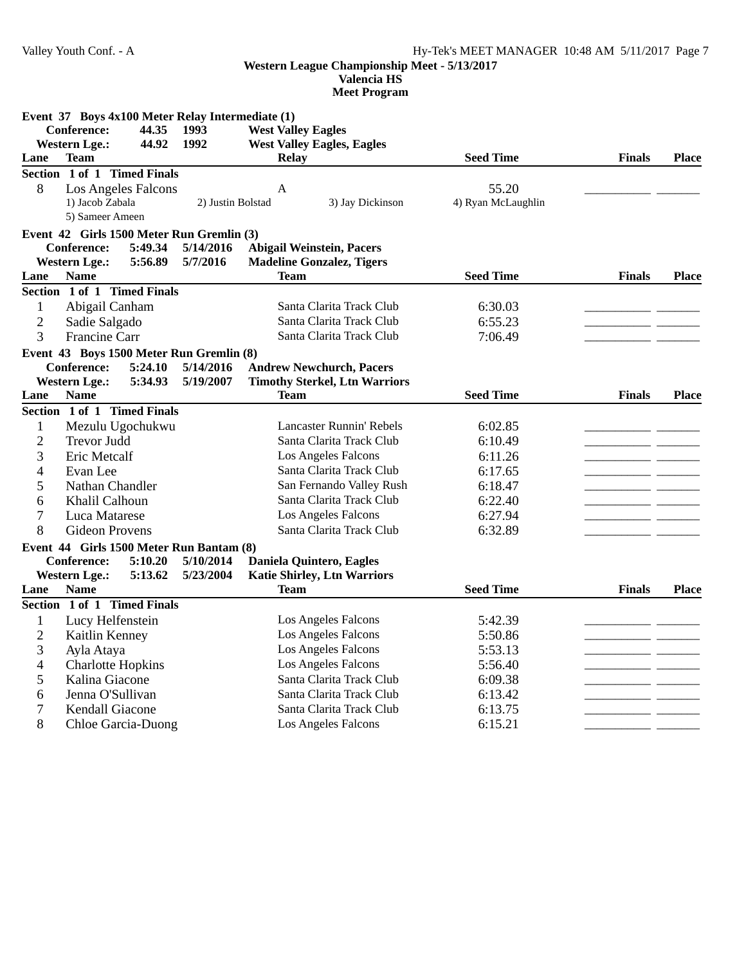**Valencia HS**

|                          | Event 37 Boys 4x100 Meter Relay Intermediate (1) |                   |                                      |                    |               |              |
|--------------------------|--------------------------------------------------|-------------------|--------------------------------------|--------------------|---------------|--------------|
|                          | <b>Conference:</b><br>44.35                      | 1993              | <b>West Valley Eagles</b>            |                    |               |              |
| <b>Western Lge.:</b>     | 44.92                                            | 1992              | <b>West Valley Eagles, Eagles</b>    |                    |               |              |
| Lane                     | <b>Team</b>                                      |                   | <b>Relay</b>                         | <b>Seed Time</b>   | <b>Finals</b> | <b>Place</b> |
|                          | Section 1 of 1 Timed Finals                      |                   |                                      |                    |               |              |
| 8                        | <b>Los Angeles Falcons</b>                       |                   | A                                    | 55.20              |               |              |
|                          | 1) Jacob Zabala                                  | 2) Justin Bolstad | 3) Jay Dickinson                     | 4) Ryan McLaughlin |               |              |
|                          | 5) Sameer Ameen                                  |                   |                                      |                    |               |              |
|                          | Event 42 Girls 1500 Meter Run Gremlin (3)        |                   |                                      |                    |               |              |
|                          | 5:49.34<br><b>Conference:</b>                    | 5/14/2016         | <b>Abigail Weinstein, Pacers</b>     |                    |               |              |
| <b>Western Lge.:</b>     | 5:56.89                                          | 5/7/2016          | <b>Madeline Gonzalez, Tigers</b>     |                    |               |              |
| Lane                     | <b>Name</b>                                      |                   | <b>Team</b>                          | <b>Seed Time</b>   | <b>Finals</b> | <b>Place</b> |
|                          | Section 1 of 1 Timed Finals                      |                   |                                      |                    |               |              |
| 1                        | Abigail Canham                                   |                   | Santa Clarita Track Club             | 6:30.03            |               |              |
| $\overline{2}$           | Sadie Salgado                                    |                   | Santa Clarita Track Club             | 6:55.23            |               |              |
| 3                        | Francine Carr                                    |                   | Santa Clarita Track Club             | 7:06.49            |               |              |
|                          | Event 43 Boys 1500 Meter Run Gremlin (8)         |                   |                                      |                    |               |              |
|                          | <b>Conference:</b><br>5:24.10                    | 5/14/2016         | <b>Andrew Newchurch, Pacers</b>      |                    |               |              |
| <b>Western Lge.:</b>     | 5:34.93                                          | 5/19/2007         | <b>Timothy Sterkel, Ltn Warriors</b> |                    |               |              |
| Lane                     | <b>Name</b>                                      |                   | <b>Team</b>                          | <b>Seed Time</b>   | <b>Finals</b> | <b>Place</b> |
|                          | Section 1 of 1 Timed Finals                      |                   |                                      |                    |               |              |
| $\mathbf{1}$             | Mezulu Ugochukwu                                 |                   | <b>Lancaster Runnin' Rebels</b>      | 6:02.85            |               |              |
| $\overline{2}$           | <b>Trevor Judd</b>                               |                   | Santa Clarita Track Club             | 6:10.49            |               |              |
| 3                        | Eric Metcalf                                     |                   | Los Angeles Falcons                  | 6:11.26            |               |              |
| 4                        | Evan Lee                                         |                   | Santa Clarita Track Club             | 6:17.65            |               |              |
| 5                        | Nathan Chandler                                  |                   | San Fernando Valley Rush             | 6:18.47            |               |              |
| 6                        | Khalil Calhoun                                   |                   | Santa Clarita Track Club             | 6:22.40            |               |              |
| 7                        | Luca Matarese                                    |                   | Los Angeles Falcons                  | 6:27.94            |               |              |
| 8                        | <b>Gideon Provens</b>                            |                   | Santa Clarita Track Club             | 6:32.89            |               |              |
|                          | Event 44 Girls 1500 Meter Run Bantam (8)         |                   |                                      |                    |               |              |
|                          | <b>Conference:</b><br>5:10.20                    | 5/10/2014         | <b>Daniela Quintero, Eagles</b>      |                    |               |              |
| <b>Western Lge.:</b>     | 5:13.62                                          | 5/23/2004         | <b>Katie Shirley, Ltn Warriors</b>   |                    |               |              |
| Lane                     | <b>Name</b>                                      |                   | <b>Team</b>                          | <b>Seed Time</b>   | <b>Finals</b> | <b>Place</b> |
|                          | Section 1 of 1 Timed Finals                      |                   |                                      |                    |               |              |
| 1                        | Lucy Helfenstein                                 |                   | Los Angeles Falcons                  | 5:42.39            |               |              |
| $\mathbf{2}$             | Kaitlin Kenney                                   |                   | Los Angeles Falcons                  | 5:50.86            |               |              |
| 3                        | Ayla Ataya                                       |                   | Los Angeles Falcons                  | 5:53.13            |               |              |
| $\overline{\mathcal{L}}$ | <b>Charlotte Hopkins</b>                         |                   | Los Angeles Falcons                  | 5:56.40            |               |              |
| 5                        | Kalina Giacone                                   |                   | Santa Clarita Track Club             | 6:09.38            |               |              |
| 6                        | Jenna O'Sullivan                                 |                   | Santa Clarita Track Club             | 6:13.42            |               |              |
| 7                        | Kendall Giacone                                  |                   | Santa Clarita Track Club             | 6:13.75            |               |              |
| 8                        | Chloe Garcia-Duong                               |                   | Los Angeles Falcons                  | 6:15.21            |               |              |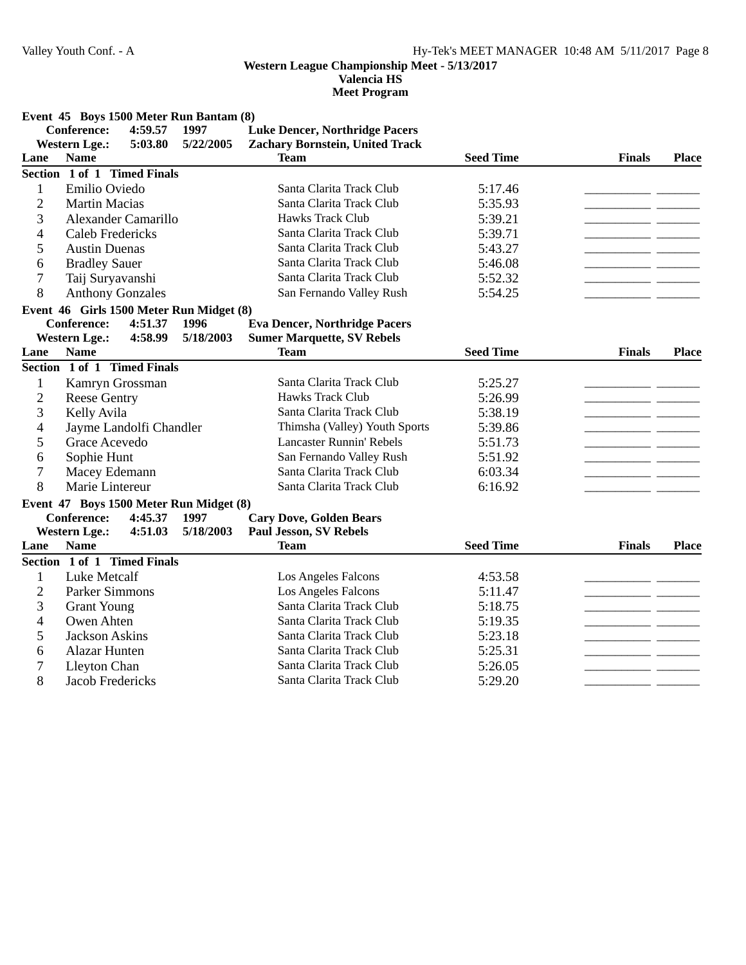**Valencia HS**

|  |  |  | Event 45 Boys 1500 Meter Run Bantam (8) |  |
|--|--|--|-----------------------------------------|--|
|  |  |  |                                         |  |

|                | <b>Conference:</b>          | 4:59.57                 | 1997                                     | <b>Luke Dencer, Northridge Pacers</b>  |                  |               |              |
|----------------|-----------------------------|-------------------------|------------------------------------------|----------------------------------------|------------------|---------------|--------------|
|                | <b>Western Lge.:</b>        | 5:03.80                 | 5/22/2005                                | <b>Zachary Bornstein, United Track</b> |                  |               |              |
| Lane           | <b>Name</b>                 |                         |                                          | <b>Team</b>                            | <b>Seed Time</b> | <b>Finals</b> | <b>Place</b> |
|                | Section 1 of 1 Timed Finals |                         |                                          |                                        |                  |               |              |
| 1              | Emilio Oviedo               |                         |                                          | Santa Clarita Track Club               | 5:17.46          |               |              |
| $\overline{c}$ | <b>Martin Macias</b>        |                         |                                          | Santa Clarita Track Club               | 5:35.93          |               |              |
| 3              |                             | Alexander Camarillo     |                                          | <b>Hawks Track Club</b>                | 5:39.21          |               |              |
| 4              | <b>Caleb Fredericks</b>     |                         |                                          | Santa Clarita Track Club               | 5:39.71          |               |              |
| 5              | <b>Austin Duenas</b>        |                         |                                          | Santa Clarita Track Club               | 5:43.27          |               |              |
| 6              | <b>Bradley Sauer</b>        |                         |                                          | Santa Clarita Track Club               | 5:46.08          |               |              |
| 7              | Taij Suryavanshi            |                         |                                          | Santa Clarita Track Club               | 5:52.32          |               |              |
| 8              | <b>Anthony Gonzales</b>     |                         |                                          | San Fernando Valley Rush               | 5:54.25          |               |              |
|                |                             |                         | Event 46 Girls 1500 Meter Run Midget (8) |                                        |                  |               |              |
|                | <b>Conference:</b>          | 4:51.37                 | 1996                                     | <b>Eva Dencer, Northridge Pacers</b>   |                  |               |              |
|                | <b>Western Lge.:</b>        | 4:58.99                 | 5/18/2003                                | <b>Sumer Marquette, SV Rebels</b>      |                  |               |              |
| Lane           | <b>Name</b>                 |                         |                                          | <b>Team</b>                            | <b>Seed Time</b> | <b>Finals</b> | <b>Place</b> |
|                | Section 1 of 1 Timed Finals |                         |                                          |                                        |                  |               |              |
| $\mathbf{1}$   | Kamryn Grossman             |                         |                                          | Santa Clarita Track Club               | 5:25.27          |               |              |
| $\overline{2}$ | <b>Reese Gentry</b>         |                         |                                          | <b>Hawks Track Club</b>                | 5:26.99          |               |              |
| 3              | Kelly Avila                 |                         |                                          | Santa Clarita Track Club               | 5:38.19          |               |              |
| 4              |                             | Jayme Landolfi Chandler |                                          | Thimsha (Valley) Youth Sports          | 5:39.86          |               |              |
| 5              | Grace Acevedo               |                         |                                          | <b>Lancaster Runnin' Rebels</b>        | 5:51.73          |               |              |
| 6              | Sophie Hunt                 |                         |                                          | San Fernando Valley Rush               | 5:51.92          |               |              |
| 7              | Macey Edemann               |                         |                                          | Santa Clarita Track Club               | 6:03.34          |               |              |
| 8              | Marie Lintereur             |                         |                                          | Santa Clarita Track Club               | 6:16.92          |               |              |
|                |                             |                         | Event 47 Boys 1500 Meter Run Midget (8)  |                                        |                  |               |              |
|                | <b>Conference:</b>          | 4:45.37                 | 1997                                     | <b>Cary Dove, Golden Bears</b>         |                  |               |              |
|                | <b>Western Lge.:</b>        | 4:51.03                 | 5/18/2003                                | <b>Paul Jesson, SV Rebels</b>          |                  |               |              |
| Lane           | <b>Name</b>                 |                         |                                          | <b>Team</b>                            | <b>Seed Time</b> | <b>Finals</b> | Place        |
|                | Section 1 of 1 Timed Finals |                         |                                          |                                        |                  |               |              |
| 1              | Luke Metcalf                |                         |                                          | Los Angeles Falcons                    | 4:53.58          |               |              |
| $\overline{2}$ | Parker Simmons              |                         |                                          | Los Angeles Falcons                    | 5:11.47          |               |              |
| 3              | <b>Grant Young</b>          |                         |                                          | Santa Clarita Track Club               | 5:18.75          |               |              |
| 4              | Owen Ahten                  |                         |                                          | Santa Clarita Track Club               | 5:19.35          |               |              |
| 5              | Jackson Askins              |                         |                                          | Santa Clarita Track Club               | 5:23.18          |               |              |
| 6              | <b>Alazar Hunten</b>        |                         |                                          | Santa Clarita Track Club               | 5:25.31          |               |              |
| 7              | Lleyton Chan                |                         |                                          | Santa Clarita Track Club               | 5:26.05          |               |              |
| 8              | <b>Jacob Fredericks</b>     |                         |                                          | Santa Clarita Track Club               | 5:29.20          |               |              |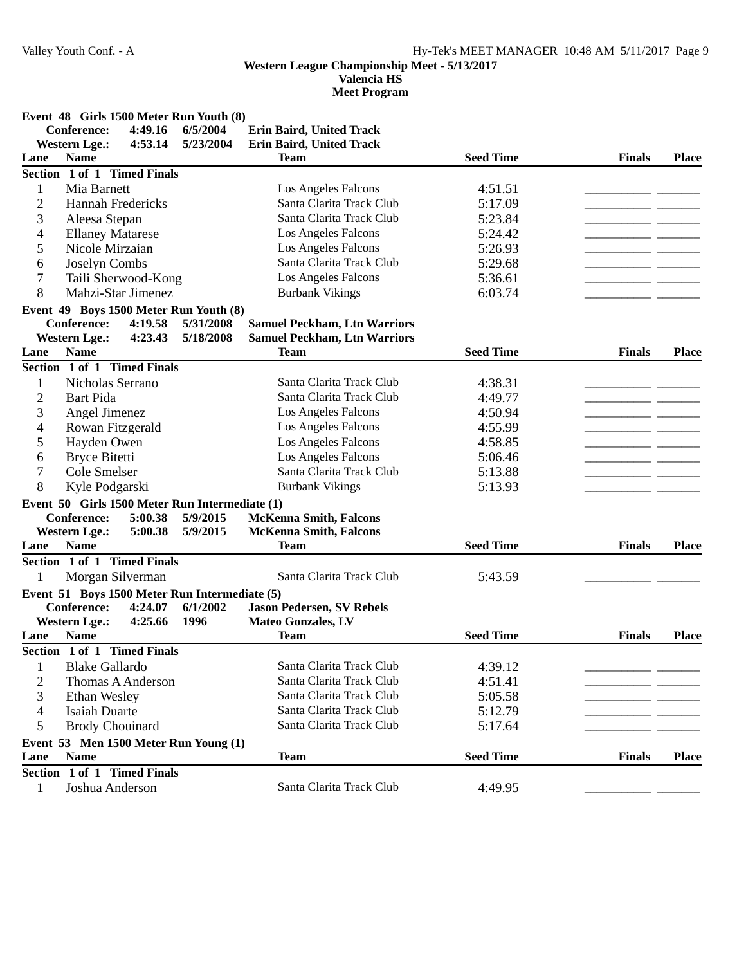**Valencia HS**

|                | Event 48 Girls 1500 Meter Run Youth (8)        |           |                                     |                  |               |              |
|----------------|------------------------------------------------|-----------|-------------------------------------|------------------|---------------|--------------|
|                | <b>Conference:</b><br>4:49.16                  | 6/5/2004  | <b>Erin Baird, United Track</b>     |                  |               |              |
|                | <b>Western Lge.:</b><br>4:53.14                | 5/23/2004 | Erin Baird, United Track            |                  |               |              |
| Lane           | <b>Name</b>                                    |           | <b>Team</b>                         | <b>Seed Time</b> | <b>Finals</b> | <b>Place</b> |
|                | Section 1 of 1 Timed Finals                    |           |                                     |                  |               |              |
| 1              | Mia Barnett                                    |           | Los Angeles Falcons                 | 4:51.51          |               |              |
| $\overline{2}$ | <b>Hannah Fredericks</b>                       |           | Santa Clarita Track Club            | 5:17.09          |               |              |
| 3              | Aleesa Stepan                                  |           | Santa Clarita Track Club            | 5:23.84          |               |              |
| 4              | <b>Ellaney Matarese</b>                        |           | Los Angeles Falcons                 | 5:24.42          |               |              |
| 5              | Nicole Mirzaian                                |           | Los Angeles Falcons                 | 5:26.93          | - -           |              |
| 6              | Joselyn Combs                                  |           | Santa Clarita Track Club            | 5:29.68          | - -           |              |
| 7              | Taili Sherwood-Kong                            |           | Los Angeles Falcons                 | 5:36.61          | - -           |              |
| 8              | Mahzi-Star Jimenez                             |           | <b>Burbank Vikings</b>              | 6:03.74          |               |              |
|                | Event 49 Boys 1500 Meter Run Youth (8)         |           |                                     |                  |               |              |
|                | <b>Conference:</b><br>4:19.58                  | 5/31/2008 | <b>Samuel Peckham, Ltn Warriors</b> |                  |               |              |
|                | <b>Western Lge.:</b><br>4:23.43                | 5/18/2008 | <b>Samuel Peckham, Ltn Warriors</b> |                  |               |              |
| Lane           | <b>Name</b>                                    |           | <b>Team</b>                         | <b>Seed Time</b> | <b>Finals</b> | <b>Place</b> |
|                | Section 1 of 1 Timed Finals                    |           |                                     |                  |               |              |
| 1              | Nicholas Serrano                               |           | Santa Clarita Track Club            | 4:38.31          |               |              |
| $\overline{c}$ | <b>Bart Pida</b>                               |           | Santa Clarita Track Club            | 4:49.77          |               |              |
| 3              | Angel Jimenez                                  |           | Los Angeles Falcons                 | 4:50.94          |               |              |
| 4              | Rowan Fitzgerald                               |           | Los Angeles Falcons                 | 4:55.99          |               |              |
| 5              | Hayden Owen                                    |           | Los Angeles Falcons                 | 4:58.85          |               |              |
| 6              | <b>Bryce Bitetti</b>                           |           | Los Angeles Falcons                 | 5:06.46          |               |              |
| 7              | Cole Smelser                                   |           | Santa Clarita Track Club            | 5:13.88          |               |              |
| 8              | Kyle Podgarski                                 |           | <b>Burbank Vikings</b>              | 5:13.93          |               |              |
|                | Event 50 Girls 1500 Meter Run Intermediate (1) |           |                                     |                  |               |              |
|                | <b>Conference:</b><br>5:00.38                  | 5/9/2015  | <b>McKenna Smith, Falcons</b>       |                  |               |              |
|                | <b>Western Lge.:</b><br>5:00.38                | 5/9/2015  | <b>McKenna Smith, Falcons</b>       |                  |               |              |
| Lane           | <b>Name</b>                                    |           | <b>Team</b>                         | <b>Seed Time</b> | <b>Finals</b> | <b>Place</b> |
|                | Section 1 of 1 Timed Finals                    |           |                                     |                  |               |              |
| 1              | Morgan Silverman                               |           | Santa Clarita Track Club            | 5:43.59          |               |              |
|                | Event 51 Boys 1500 Meter Run Intermediate (5)  |           |                                     |                  |               |              |
|                | <b>Conference:</b><br>4:24.07                  | 6/1/2002  | <b>Jason Pedersen, SV Rebels</b>    |                  |               |              |
|                | <b>Western Lge.:</b><br>4:25.66                | 1996      | Mateo Gonzales, LV                  |                  |               |              |
| Lane           | <b>Name</b>                                    |           | <b>Team</b>                         | <b>Seed Time</b> | <b>Finals</b> | <b>Place</b> |
|                | Section 1 of 1 Timed Finals                    |           |                                     |                  |               |              |
| 1              | <b>Blake Gallardo</b>                          |           | Santa Clarita Track Club            | 4:39.12          |               |              |
| $\overline{2}$ | Thomas A Anderson                              |           | Santa Clarita Track Club            | 4:51.41          |               |              |
| 3              | Ethan Wesley                                   |           | Santa Clarita Track Club            | 5:05.58          |               |              |
| 4              | <b>Isaiah Duarte</b>                           |           | Santa Clarita Track Club            | 5:12.79          |               |              |
| 5              | <b>Brody Chouinard</b>                         |           | Santa Clarita Track Club            | 5:17.64          |               |              |
|                | Event 53 Men 1500 Meter Run Young (1)          |           |                                     |                  |               |              |
| Lane           | <b>Name</b>                                    |           | <b>Team</b>                         | <b>Seed Time</b> | <b>Finals</b> | <b>Place</b> |
|                | Section 1 of 1 Timed Finals                    |           |                                     |                  |               |              |
| $\mathbf{1}$   | Joshua Anderson                                |           | Santa Clarita Track Club            | 4:49.95          |               |              |
|                |                                                |           |                                     |                  |               |              |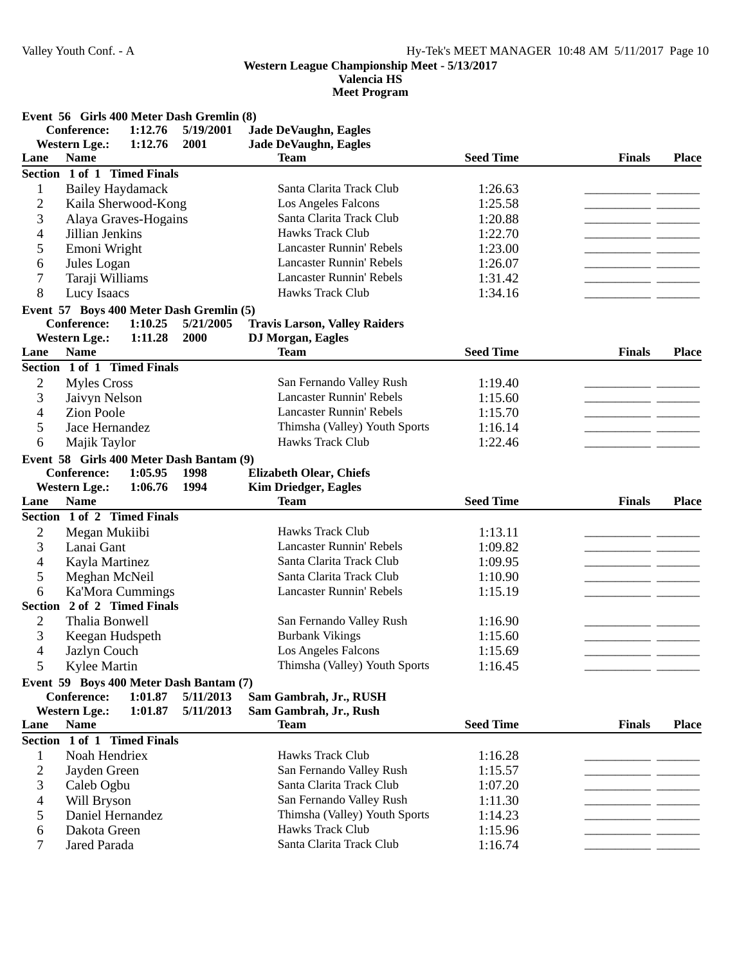**Valencia HS**

| <b>Conference:</b><br>1:12.76<br>5/19/2001<br><b>Jade DeVaughn, Eagles</b><br><b>Western Lge.:</b><br>Jade DeVaughn, Eagles<br>1:12.76<br>2001<br><b>Seed Time</b><br><b>Name</b><br><b>Finals</b><br><b>Team</b><br><b>Place</b><br>Lane<br>Section 1 of 1 Timed Finals<br>Santa Clarita Track Club<br><b>Bailey Haydamack</b><br>1<br>1:26.63<br>$\overline{c}$<br>Los Angeles Falcons<br>Kaila Sherwood-Kong<br>1:25.58<br>3<br>Santa Clarita Track Club<br>Alaya Graves-Hogains<br>1:20.88<br><b>Hawks Track Club</b><br>4<br>Jillian Jenkins<br>1:22.70<br>Lancaster Runnin' Rebels<br>1:23.00<br>5<br>Emoni Wright<br><b>Lancaster Runnin' Rebels</b><br>1:26.07<br>6<br>Jules Logan<br>- -<br>7<br><b>Lancaster Runnin' Rebels</b><br>1:31.42<br>Taraji Williams<br>__ __<br>8<br>Hawks Track Club<br>Lucy Isaacs<br>1:34.16<br>Event 57 Boys 400 Meter Dash Gremlin (5)<br><b>Conference:</b><br>1:10.25<br>5/21/2005<br><b>Travis Larson, Valley Raiders</b><br><b>DJ</b> Morgan, Eagles<br><b>Western Lge.:</b><br>1:11.28<br>2000<br><b>Seed Time</b><br><b>Name</b><br><b>Team</b><br><b>Finals</b><br><b>Place</b><br>Lane<br>Section 1 of 1 Timed Finals<br>2<br><b>Myles Cross</b><br>San Fernando Valley Rush<br>1:19.40<br>3<br><b>Lancaster Runnin' Rebels</b><br>Jaivyn Nelson<br>1:15.60<br>- -<br>4<br>Lancaster Runnin' Rebels<br><b>Zion Poole</b><br>1:15.70<br>5<br>Thimsha (Valley) Youth Sports<br>Jace Hernandez<br>1:16.14<br><b>Hawks Track Club</b><br>1:22.46<br>6<br>Majik Taylor<br>Event 58 Girls 400 Meter Dash Bantam (9)<br><b>Elizabeth Olear, Chiefs</b><br><b>Conference:</b><br>1:05.95<br>1998<br><b>Kim Driedger, Eagles</b><br><b>Western Lge.:</b><br>1:06.76<br>1994<br><b>Seed Time</b><br><b>Name</b><br><b>Team</b><br><b>Finals</b><br>Lane<br><b>Place</b><br>Section 1 of 2 Timed Finals<br>Hawks Track Club<br>$\overline{c}$<br>1:13.11<br>Megan Mukiibi<br>3<br>Lancaster Runnin' Rebels<br>Lanai Gant<br>1:09.82<br>Santa Clarita Track Club<br>Kayla Martinez<br>1:09.95<br>4<br>5<br>Santa Clarita Track Club<br>Meghan McNeil<br>1:10.90<br><b>Lancaster Runnin' Rebels</b><br>6<br><b>Ka'Mora Cummings</b><br>1:15.19<br><b>Section</b><br>2 of 2 Timed Finals<br>2<br>Thalia Bonwell<br>San Fernando Valley Rush<br>1:16.90<br>3<br><b>Burbank Vikings</b><br>Keegan Hudspeth<br>1:15.60<br>4<br>Los Angeles Falcons<br>1:15.69<br>Jazlyn Couch<br>Thimsha (Valley) Youth Sports<br>5<br>Kylee Martin<br>1:16.45<br>Event 59 Boys 400 Meter Dash Bantam (7)<br>Conference:<br>1:01.87<br>5/11/2013<br>Sam Gambrah, Jr., RUSH<br><b>Western Lge.:</b><br>Sam Gambrah, Jr., Rush<br>1:01.87<br>5/11/2013<br><b>Seed Time</b><br><b>Name</b><br><b>Team</b><br><b>Finals</b><br>Lane<br><b>Place</b><br>Section 1 of 1 Timed Finals<br>Noah Hendriex<br>Hawks Track Club<br>1:16.28<br>1<br>$\overline{c}$<br>Jayden Green<br>San Fernando Valley Rush<br>1:15.57<br>3<br>Caleb Ogbu<br>Santa Clarita Track Club<br>1:07.20<br>San Fernando Valley Rush<br>4<br>1:11.30<br>Will Bryson |        | Event 56 Girls 400 Meter Dash Gremlin (8) |                                                   |                    |  |
|---------------------------------------------------------------------------------------------------------------------------------------------------------------------------------------------------------------------------------------------------------------------------------------------------------------------------------------------------------------------------------------------------------------------------------------------------------------------------------------------------------------------------------------------------------------------------------------------------------------------------------------------------------------------------------------------------------------------------------------------------------------------------------------------------------------------------------------------------------------------------------------------------------------------------------------------------------------------------------------------------------------------------------------------------------------------------------------------------------------------------------------------------------------------------------------------------------------------------------------------------------------------------------------------------------------------------------------------------------------------------------------------------------------------------------------------------------------------------------------------------------------------------------------------------------------------------------------------------------------------------------------------------------------------------------------------------------------------------------------------------------------------------------------------------------------------------------------------------------------------------------------------------------------------------------------------------------------------------------------------------------------------------------------------------------------------------------------------------------------------------------------------------------------------------------------------------------------------------------------------------------------------------------------------------------------------------------------------------------------------------------------------------------------------------------------------------------------------------------------------------------------------------------------------------------------------------------------------------------------------------------------------------------------------------------------------------------------------------------------------------------------------------------------------------------------------------------------------------------------------------------------------------------------------------------------------------------------------------------------------------------------------------------------------------|--------|-------------------------------------------|---------------------------------------------------|--------------------|--|
|                                                                                                                                                                                                                                                                                                                                                                                                                                                                                                                                                                                                                                                                                                                                                                                                                                                                                                                                                                                                                                                                                                                                                                                                                                                                                                                                                                                                                                                                                                                                                                                                                                                                                                                                                                                                                                                                                                                                                                                                                                                                                                                                                                                                                                                                                                                                                                                                                                                                                                                                                                                                                                                                                                                                                                                                                                                                                                                                                                                                                                                   |        |                                           |                                                   |                    |  |
|                                                                                                                                                                                                                                                                                                                                                                                                                                                                                                                                                                                                                                                                                                                                                                                                                                                                                                                                                                                                                                                                                                                                                                                                                                                                                                                                                                                                                                                                                                                                                                                                                                                                                                                                                                                                                                                                                                                                                                                                                                                                                                                                                                                                                                                                                                                                                                                                                                                                                                                                                                                                                                                                                                                                                                                                                                                                                                                                                                                                                                                   |        |                                           |                                                   |                    |  |
|                                                                                                                                                                                                                                                                                                                                                                                                                                                                                                                                                                                                                                                                                                                                                                                                                                                                                                                                                                                                                                                                                                                                                                                                                                                                                                                                                                                                                                                                                                                                                                                                                                                                                                                                                                                                                                                                                                                                                                                                                                                                                                                                                                                                                                                                                                                                                                                                                                                                                                                                                                                                                                                                                                                                                                                                                                                                                                                                                                                                                                                   |        |                                           |                                                   |                    |  |
|                                                                                                                                                                                                                                                                                                                                                                                                                                                                                                                                                                                                                                                                                                                                                                                                                                                                                                                                                                                                                                                                                                                                                                                                                                                                                                                                                                                                                                                                                                                                                                                                                                                                                                                                                                                                                                                                                                                                                                                                                                                                                                                                                                                                                                                                                                                                                                                                                                                                                                                                                                                                                                                                                                                                                                                                                                                                                                                                                                                                                                                   |        |                                           |                                                   |                    |  |
|                                                                                                                                                                                                                                                                                                                                                                                                                                                                                                                                                                                                                                                                                                                                                                                                                                                                                                                                                                                                                                                                                                                                                                                                                                                                                                                                                                                                                                                                                                                                                                                                                                                                                                                                                                                                                                                                                                                                                                                                                                                                                                                                                                                                                                                                                                                                                                                                                                                                                                                                                                                                                                                                                                                                                                                                                                                                                                                                                                                                                                                   |        |                                           |                                                   |                    |  |
|                                                                                                                                                                                                                                                                                                                                                                                                                                                                                                                                                                                                                                                                                                                                                                                                                                                                                                                                                                                                                                                                                                                                                                                                                                                                                                                                                                                                                                                                                                                                                                                                                                                                                                                                                                                                                                                                                                                                                                                                                                                                                                                                                                                                                                                                                                                                                                                                                                                                                                                                                                                                                                                                                                                                                                                                                                                                                                                                                                                                                                                   |        |                                           |                                                   |                    |  |
|                                                                                                                                                                                                                                                                                                                                                                                                                                                                                                                                                                                                                                                                                                                                                                                                                                                                                                                                                                                                                                                                                                                                                                                                                                                                                                                                                                                                                                                                                                                                                                                                                                                                                                                                                                                                                                                                                                                                                                                                                                                                                                                                                                                                                                                                                                                                                                                                                                                                                                                                                                                                                                                                                                                                                                                                                                                                                                                                                                                                                                                   |        |                                           |                                                   |                    |  |
|                                                                                                                                                                                                                                                                                                                                                                                                                                                                                                                                                                                                                                                                                                                                                                                                                                                                                                                                                                                                                                                                                                                                                                                                                                                                                                                                                                                                                                                                                                                                                                                                                                                                                                                                                                                                                                                                                                                                                                                                                                                                                                                                                                                                                                                                                                                                                                                                                                                                                                                                                                                                                                                                                                                                                                                                                                                                                                                                                                                                                                                   |        |                                           |                                                   |                    |  |
|                                                                                                                                                                                                                                                                                                                                                                                                                                                                                                                                                                                                                                                                                                                                                                                                                                                                                                                                                                                                                                                                                                                                                                                                                                                                                                                                                                                                                                                                                                                                                                                                                                                                                                                                                                                                                                                                                                                                                                                                                                                                                                                                                                                                                                                                                                                                                                                                                                                                                                                                                                                                                                                                                                                                                                                                                                                                                                                                                                                                                                                   |        |                                           |                                                   |                    |  |
|                                                                                                                                                                                                                                                                                                                                                                                                                                                                                                                                                                                                                                                                                                                                                                                                                                                                                                                                                                                                                                                                                                                                                                                                                                                                                                                                                                                                                                                                                                                                                                                                                                                                                                                                                                                                                                                                                                                                                                                                                                                                                                                                                                                                                                                                                                                                                                                                                                                                                                                                                                                                                                                                                                                                                                                                                                                                                                                                                                                                                                                   |        |                                           |                                                   |                    |  |
|                                                                                                                                                                                                                                                                                                                                                                                                                                                                                                                                                                                                                                                                                                                                                                                                                                                                                                                                                                                                                                                                                                                                                                                                                                                                                                                                                                                                                                                                                                                                                                                                                                                                                                                                                                                                                                                                                                                                                                                                                                                                                                                                                                                                                                                                                                                                                                                                                                                                                                                                                                                                                                                                                                                                                                                                                                                                                                                                                                                                                                                   |        |                                           |                                                   |                    |  |
|                                                                                                                                                                                                                                                                                                                                                                                                                                                                                                                                                                                                                                                                                                                                                                                                                                                                                                                                                                                                                                                                                                                                                                                                                                                                                                                                                                                                                                                                                                                                                                                                                                                                                                                                                                                                                                                                                                                                                                                                                                                                                                                                                                                                                                                                                                                                                                                                                                                                                                                                                                                                                                                                                                                                                                                                                                                                                                                                                                                                                                                   |        |                                           |                                                   |                    |  |
|                                                                                                                                                                                                                                                                                                                                                                                                                                                                                                                                                                                                                                                                                                                                                                                                                                                                                                                                                                                                                                                                                                                                                                                                                                                                                                                                                                                                                                                                                                                                                                                                                                                                                                                                                                                                                                                                                                                                                                                                                                                                                                                                                                                                                                                                                                                                                                                                                                                                                                                                                                                                                                                                                                                                                                                                                                                                                                                                                                                                                                                   |        |                                           |                                                   |                    |  |
|                                                                                                                                                                                                                                                                                                                                                                                                                                                                                                                                                                                                                                                                                                                                                                                                                                                                                                                                                                                                                                                                                                                                                                                                                                                                                                                                                                                                                                                                                                                                                                                                                                                                                                                                                                                                                                                                                                                                                                                                                                                                                                                                                                                                                                                                                                                                                                                                                                                                                                                                                                                                                                                                                                                                                                                                                                                                                                                                                                                                                                                   |        |                                           |                                                   |                    |  |
|                                                                                                                                                                                                                                                                                                                                                                                                                                                                                                                                                                                                                                                                                                                                                                                                                                                                                                                                                                                                                                                                                                                                                                                                                                                                                                                                                                                                                                                                                                                                                                                                                                                                                                                                                                                                                                                                                                                                                                                                                                                                                                                                                                                                                                                                                                                                                                                                                                                                                                                                                                                                                                                                                                                                                                                                                                                                                                                                                                                                                                                   |        |                                           |                                                   |                    |  |
|                                                                                                                                                                                                                                                                                                                                                                                                                                                                                                                                                                                                                                                                                                                                                                                                                                                                                                                                                                                                                                                                                                                                                                                                                                                                                                                                                                                                                                                                                                                                                                                                                                                                                                                                                                                                                                                                                                                                                                                                                                                                                                                                                                                                                                                                                                                                                                                                                                                                                                                                                                                                                                                                                                                                                                                                                                                                                                                                                                                                                                                   |        |                                           |                                                   |                    |  |
|                                                                                                                                                                                                                                                                                                                                                                                                                                                                                                                                                                                                                                                                                                                                                                                                                                                                                                                                                                                                                                                                                                                                                                                                                                                                                                                                                                                                                                                                                                                                                                                                                                                                                                                                                                                                                                                                                                                                                                                                                                                                                                                                                                                                                                                                                                                                                                                                                                                                                                                                                                                                                                                                                                                                                                                                                                                                                                                                                                                                                                                   |        |                                           |                                                   |                    |  |
|                                                                                                                                                                                                                                                                                                                                                                                                                                                                                                                                                                                                                                                                                                                                                                                                                                                                                                                                                                                                                                                                                                                                                                                                                                                                                                                                                                                                                                                                                                                                                                                                                                                                                                                                                                                                                                                                                                                                                                                                                                                                                                                                                                                                                                                                                                                                                                                                                                                                                                                                                                                                                                                                                                                                                                                                                                                                                                                                                                                                                                                   |        |                                           |                                                   |                    |  |
|                                                                                                                                                                                                                                                                                                                                                                                                                                                                                                                                                                                                                                                                                                                                                                                                                                                                                                                                                                                                                                                                                                                                                                                                                                                                                                                                                                                                                                                                                                                                                                                                                                                                                                                                                                                                                                                                                                                                                                                                                                                                                                                                                                                                                                                                                                                                                                                                                                                                                                                                                                                                                                                                                                                                                                                                                                                                                                                                                                                                                                                   |        |                                           |                                                   |                    |  |
|                                                                                                                                                                                                                                                                                                                                                                                                                                                                                                                                                                                                                                                                                                                                                                                                                                                                                                                                                                                                                                                                                                                                                                                                                                                                                                                                                                                                                                                                                                                                                                                                                                                                                                                                                                                                                                                                                                                                                                                                                                                                                                                                                                                                                                                                                                                                                                                                                                                                                                                                                                                                                                                                                                                                                                                                                                                                                                                                                                                                                                                   |        |                                           |                                                   |                    |  |
|                                                                                                                                                                                                                                                                                                                                                                                                                                                                                                                                                                                                                                                                                                                                                                                                                                                                                                                                                                                                                                                                                                                                                                                                                                                                                                                                                                                                                                                                                                                                                                                                                                                                                                                                                                                                                                                                                                                                                                                                                                                                                                                                                                                                                                                                                                                                                                                                                                                                                                                                                                                                                                                                                                                                                                                                                                                                                                                                                                                                                                                   |        |                                           |                                                   |                    |  |
|                                                                                                                                                                                                                                                                                                                                                                                                                                                                                                                                                                                                                                                                                                                                                                                                                                                                                                                                                                                                                                                                                                                                                                                                                                                                                                                                                                                                                                                                                                                                                                                                                                                                                                                                                                                                                                                                                                                                                                                                                                                                                                                                                                                                                                                                                                                                                                                                                                                                                                                                                                                                                                                                                                                                                                                                                                                                                                                                                                                                                                                   |        |                                           |                                                   |                    |  |
|                                                                                                                                                                                                                                                                                                                                                                                                                                                                                                                                                                                                                                                                                                                                                                                                                                                                                                                                                                                                                                                                                                                                                                                                                                                                                                                                                                                                                                                                                                                                                                                                                                                                                                                                                                                                                                                                                                                                                                                                                                                                                                                                                                                                                                                                                                                                                                                                                                                                                                                                                                                                                                                                                                                                                                                                                                                                                                                                                                                                                                                   |        |                                           |                                                   |                    |  |
|                                                                                                                                                                                                                                                                                                                                                                                                                                                                                                                                                                                                                                                                                                                                                                                                                                                                                                                                                                                                                                                                                                                                                                                                                                                                                                                                                                                                                                                                                                                                                                                                                                                                                                                                                                                                                                                                                                                                                                                                                                                                                                                                                                                                                                                                                                                                                                                                                                                                                                                                                                                                                                                                                                                                                                                                                                                                                                                                                                                                                                                   |        |                                           |                                                   |                    |  |
|                                                                                                                                                                                                                                                                                                                                                                                                                                                                                                                                                                                                                                                                                                                                                                                                                                                                                                                                                                                                                                                                                                                                                                                                                                                                                                                                                                                                                                                                                                                                                                                                                                                                                                                                                                                                                                                                                                                                                                                                                                                                                                                                                                                                                                                                                                                                                                                                                                                                                                                                                                                                                                                                                                                                                                                                                                                                                                                                                                                                                                                   |        |                                           |                                                   |                    |  |
|                                                                                                                                                                                                                                                                                                                                                                                                                                                                                                                                                                                                                                                                                                                                                                                                                                                                                                                                                                                                                                                                                                                                                                                                                                                                                                                                                                                                                                                                                                                                                                                                                                                                                                                                                                                                                                                                                                                                                                                                                                                                                                                                                                                                                                                                                                                                                                                                                                                                                                                                                                                                                                                                                                                                                                                                                                                                                                                                                                                                                                                   |        |                                           |                                                   |                    |  |
|                                                                                                                                                                                                                                                                                                                                                                                                                                                                                                                                                                                                                                                                                                                                                                                                                                                                                                                                                                                                                                                                                                                                                                                                                                                                                                                                                                                                                                                                                                                                                                                                                                                                                                                                                                                                                                                                                                                                                                                                                                                                                                                                                                                                                                                                                                                                                                                                                                                                                                                                                                                                                                                                                                                                                                                                                                                                                                                                                                                                                                                   |        |                                           |                                                   |                    |  |
|                                                                                                                                                                                                                                                                                                                                                                                                                                                                                                                                                                                                                                                                                                                                                                                                                                                                                                                                                                                                                                                                                                                                                                                                                                                                                                                                                                                                                                                                                                                                                                                                                                                                                                                                                                                                                                                                                                                                                                                                                                                                                                                                                                                                                                                                                                                                                                                                                                                                                                                                                                                                                                                                                                                                                                                                                                                                                                                                                                                                                                                   |        |                                           |                                                   |                    |  |
|                                                                                                                                                                                                                                                                                                                                                                                                                                                                                                                                                                                                                                                                                                                                                                                                                                                                                                                                                                                                                                                                                                                                                                                                                                                                                                                                                                                                                                                                                                                                                                                                                                                                                                                                                                                                                                                                                                                                                                                                                                                                                                                                                                                                                                                                                                                                                                                                                                                                                                                                                                                                                                                                                                                                                                                                                                                                                                                                                                                                                                                   |        |                                           |                                                   |                    |  |
|                                                                                                                                                                                                                                                                                                                                                                                                                                                                                                                                                                                                                                                                                                                                                                                                                                                                                                                                                                                                                                                                                                                                                                                                                                                                                                                                                                                                                                                                                                                                                                                                                                                                                                                                                                                                                                                                                                                                                                                                                                                                                                                                                                                                                                                                                                                                                                                                                                                                                                                                                                                                                                                                                                                                                                                                                                                                                                                                                                                                                                                   |        |                                           |                                                   |                    |  |
|                                                                                                                                                                                                                                                                                                                                                                                                                                                                                                                                                                                                                                                                                                                                                                                                                                                                                                                                                                                                                                                                                                                                                                                                                                                                                                                                                                                                                                                                                                                                                                                                                                                                                                                                                                                                                                                                                                                                                                                                                                                                                                                                                                                                                                                                                                                                                                                                                                                                                                                                                                                                                                                                                                                                                                                                                                                                                                                                                                                                                                                   |        |                                           |                                                   |                    |  |
|                                                                                                                                                                                                                                                                                                                                                                                                                                                                                                                                                                                                                                                                                                                                                                                                                                                                                                                                                                                                                                                                                                                                                                                                                                                                                                                                                                                                                                                                                                                                                                                                                                                                                                                                                                                                                                                                                                                                                                                                                                                                                                                                                                                                                                                                                                                                                                                                                                                                                                                                                                                                                                                                                                                                                                                                                                                                                                                                                                                                                                                   |        |                                           |                                                   |                    |  |
|                                                                                                                                                                                                                                                                                                                                                                                                                                                                                                                                                                                                                                                                                                                                                                                                                                                                                                                                                                                                                                                                                                                                                                                                                                                                                                                                                                                                                                                                                                                                                                                                                                                                                                                                                                                                                                                                                                                                                                                                                                                                                                                                                                                                                                                                                                                                                                                                                                                                                                                                                                                                                                                                                                                                                                                                                                                                                                                                                                                                                                                   |        |                                           |                                                   |                    |  |
|                                                                                                                                                                                                                                                                                                                                                                                                                                                                                                                                                                                                                                                                                                                                                                                                                                                                                                                                                                                                                                                                                                                                                                                                                                                                                                                                                                                                                                                                                                                                                                                                                                                                                                                                                                                                                                                                                                                                                                                                                                                                                                                                                                                                                                                                                                                                                                                                                                                                                                                                                                                                                                                                                                                                                                                                                                                                                                                                                                                                                                                   |        |                                           |                                                   |                    |  |
|                                                                                                                                                                                                                                                                                                                                                                                                                                                                                                                                                                                                                                                                                                                                                                                                                                                                                                                                                                                                                                                                                                                                                                                                                                                                                                                                                                                                                                                                                                                                                                                                                                                                                                                                                                                                                                                                                                                                                                                                                                                                                                                                                                                                                                                                                                                                                                                                                                                                                                                                                                                                                                                                                                                                                                                                                                                                                                                                                                                                                                                   |        |                                           |                                                   |                    |  |
|                                                                                                                                                                                                                                                                                                                                                                                                                                                                                                                                                                                                                                                                                                                                                                                                                                                                                                                                                                                                                                                                                                                                                                                                                                                                                                                                                                                                                                                                                                                                                                                                                                                                                                                                                                                                                                                                                                                                                                                                                                                                                                                                                                                                                                                                                                                                                                                                                                                                                                                                                                                                                                                                                                                                                                                                                                                                                                                                                                                                                                                   |        |                                           |                                                   |                    |  |
|                                                                                                                                                                                                                                                                                                                                                                                                                                                                                                                                                                                                                                                                                                                                                                                                                                                                                                                                                                                                                                                                                                                                                                                                                                                                                                                                                                                                                                                                                                                                                                                                                                                                                                                                                                                                                                                                                                                                                                                                                                                                                                                                                                                                                                                                                                                                                                                                                                                                                                                                                                                                                                                                                                                                                                                                                                                                                                                                                                                                                                                   |        |                                           |                                                   |                    |  |
|                                                                                                                                                                                                                                                                                                                                                                                                                                                                                                                                                                                                                                                                                                                                                                                                                                                                                                                                                                                                                                                                                                                                                                                                                                                                                                                                                                                                                                                                                                                                                                                                                                                                                                                                                                                                                                                                                                                                                                                                                                                                                                                                                                                                                                                                                                                                                                                                                                                                                                                                                                                                                                                                                                                                                                                                                                                                                                                                                                                                                                                   |        |                                           |                                                   |                    |  |
|                                                                                                                                                                                                                                                                                                                                                                                                                                                                                                                                                                                                                                                                                                                                                                                                                                                                                                                                                                                                                                                                                                                                                                                                                                                                                                                                                                                                                                                                                                                                                                                                                                                                                                                                                                                                                                                                                                                                                                                                                                                                                                                                                                                                                                                                                                                                                                                                                                                                                                                                                                                                                                                                                                                                                                                                                                                                                                                                                                                                                                                   |        |                                           |                                                   |                    |  |
|                                                                                                                                                                                                                                                                                                                                                                                                                                                                                                                                                                                                                                                                                                                                                                                                                                                                                                                                                                                                                                                                                                                                                                                                                                                                                                                                                                                                                                                                                                                                                                                                                                                                                                                                                                                                                                                                                                                                                                                                                                                                                                                                                                                                                                                                                                                                                                                                                                                                                                                                                                                                                                                                                                                                                                                                                                                                                                                                                                                                                                                   |        |                                           |                                                   |                    |  |
|                                                                                                                                                                                                                                                                                                                                                                                                                                                                                                                                                                                                                                                                                                                                                                                                                                                                                                                                                                                                                                                                                                                                                                                                                                                                                                                                                                                                                                                                                                                                                                                                                                                                                                                                                                                                                                                                                                                                                                                                                                                                                                                                                                                                                                                                                                                                                                                                                                                                                                                                                                                                                                                                                                                                                                                                                                                                                                                                                                                                                                                   |        |                                           |                                                   |                    |  |
|                                                                                                                                                                                                                                                                                                                                                                                                                                                                                                                                                                                                                                                                                                                                                                                                                                                                                                                                                                                                                                                                                                                                                                                                                                                                                                                                                                                                                                                                                                                                                                                                                                                                                                                                                                                                                                                                                                                                                                                                                                                                                                                                                                                                                                                                                                                                                                                                                                                                                                                                                                                                                                                                                                                                                                                                                                                                                                                                                                                                                                                   |        |                                           |                                                   |                    |  |
|                                                                                                                                                                                                                                                                                                                                                                                                                                                                                                                                                                                                                                                                                                                                                                                                                                                                                                                                                                                                                                                                                                                                                                                                                                                                                                                                                                                                                                                                                                                                                                                                                                                                                                                                                                                                                                                                                                                                                                                                                                                                                                                                                                                                                                                                                                                                                                                                                                                                                                                                                                                                                                                                                                                                                                                                                                                                                                                                                                                                                                                   |        |                                           |                                                   |                    |  |
|                                                                                                                                                                                                                                                                                                                                                                                                                                                                                                                                                                                                                                                                                                                                                                                                                                                                                                                                                                                                                                                                                                                                                                                                                                                                                                                                                                                                                                                                                                                                                                                                                                                                                                                                                                                                                                                                                                                                                                                                                                                                                                                                                                                                                                                                                                                                                                                                                                                                                                                                                                                                                                                                                                                                                                                                                                                                                                                                                                                                                                                   |        |                                           |                                                   |                    |  |
|                                                                                                                                                                                                                                                                                                                                                                                                                                                                                                                                                                                                                                                                                                                                                                                                                                                                                                                                                                                                                                                                                                                                                                                                                                                                                                                                                                                                                                                                                                                                                                                                                                                                                                                                                                                                                                                                                                                                                                                                                                                                                                                                                                                                                                                                                                                                                                                                                                                                                                                                                                                                                                                                                                                                                                                                                                                                                                                                                                                                                                                   |        |                                           |                                                   |                    |  |
|                                                                                                                                                                                                                                                                                                                                                                                                                                                                                                                                                                                                                                                                                                                                                                                                                                                                                                                                                                                                                                                                                                                                                                                                                                                                                                                                                                                                                                                                                                                                                                                                                                                                                                                                                                                                                                                                                                                                                                                                                                                                                                                                                                                                                                                                                                                                                                                                                                                                                                                                                                                                                                                                                                                                                                                                                                                                                                                                                                                                                                                   |        |                                           |                                                   |                    |  |
|                                                                                                                                                                                                                                                                                                                                                                                                                                                                                                                                                                                                                                                                                                                                                                                                                                                                                                                                                                                                                                                                                                                                                                                                                                                                                                                                                                                                                                                                                                                                                                                                                                                                                                                                                                                                                                                                                                                                                                                                                                                                                                                                                                                                                                                                                                                                                                                                                                                                                                                                                                                                                                                                                                                                                                                                                                                                                                                                                                                                                                                   |        |                                           |                                                   |                    |  |
|                                                                                                                                                                                                                                                                                                                                                                                                                                                                                                                                                                                                                                                                                                                                                                                                                                                                                                                                                                                                                                                                                                                                                                                                                                                                                                                                                                                                                                                                                                                                                                                                                                                                                                                                                                                                                                                                                                                                                                                                                                                                                                                                                                                                                                                                                                                                                                                                                                                                                                                                                                                                                                                                                                                                                                                                                                                                                                                                                                                                                                                   |        |                                           |                                                   |                    |  |
| Santa Clarita Track Club<br>7<br>Jared Parada<br>1:16.74                                                                                                                                                                                                                                                                                                                                                                                                                                                                                                                                                                                                                                                                                                                                                                                                                                                                                                                                                                                                                                                                                                                                                                                                                                                                                                                                                                                                                                                                                                                                                                                                                                                                                                                                                                                                                                                                                                                                                                                                                                                                                                                                                                                                                                                                                                                                                                                                                                                                                                                                                                                                                                                                                                                                                                                                                                                                                                                                                                                          | 5<br>6 | Daniel Hernandez<br>Dakota Green          | Thimsha (Valley) Youth Sports<br>Hawks Track Club | 1:14.23<br>1:15.96 |  |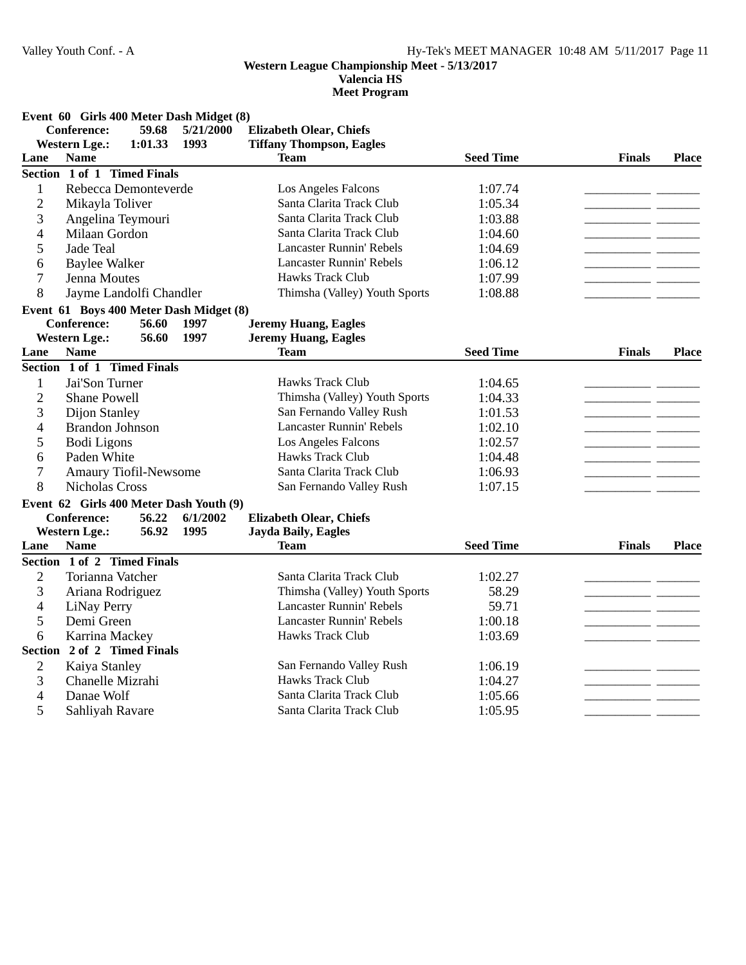**Valencia HS**

**Meet Program**

|                | Event 60 Girls 400 Meter Dash Midget (8) |         |           |                                 |                  |                          |              |
|----------------|------------------------------------------|---------|-----------|---------------------------------|------------------|--------------------------|--------------|
|                | <b>Conference:</b>                       | 59.68   | 5/21/2000 | <b>Elizabeth Olear, Chiefs</b>  |                  |                          |              |
|                | <b>Western Lge.:</b>                     | 1:01.33 | 1993      | <b>Tiffany Thompson, Eagles</b> |                  |                          |              |
| Lane           | <b>Name</b>                              |         |           | Team                            | <b>Seed Time</b> | <b>Finals</b>            | <b>Place</b> |
|                | Section 1 of 1 Timed Finals              |         |           |                                 |                  |                          |              |
| $\mathbf{1}$   | Rebecca Demonteverde                     |         |           | Los Angeles Falcons             | 1:07.74          |                          |              |
| $\mathbf{2}$   | Mikayla Toliver                          |         |           | Santa Clarita Track Club        | 1:05.34          |                          |              |
| 3              | Angelina Teymouri                        |         |           | Santa Clarita Track Club        | 1:03.88          |                          |              |
| 4              | Milaan Gordon                            |         |           | Santa Clarita Track Club        | 1:04.60          |                          |              |
| 5              | Jade Teal                                |         |           | <b>Lancaster Runnin' Rebels</b> | 1:04.69          |                          |              |
| 6              | <b>Baylee Walker</b>                     |         |           | <b>Lancaster Runnin' Rebels</b> | 1:06.12          | $\overline{\phantom{a}}$ |              |
| 7              | Jenna Moutes                             |         |           | Hawks Track Club                | 1:07.99          |                          |              |
| 8              | Jayme Landolfi Chandler                  |         |           | Thimsha (Valley) Youth Sports   | 1:08.88          |                          |              |
|                | Event 61 Boys 400 Meter Dash Midget (8)  |         |           |                                 |                  |                          |              |
|                | <b>Conference:</b>                       | 56.60   | 1997      | <b>Jeremy Huang, Eagles</b>     |                  |                          |              |
|                | <b>Western Lge.:</b>                     | 56.60   | 1997      | <b>Jeremy Huang, Eagles</b>     |                  |                          |              |
| Lane           | <b>Name</b>                              |         |           | Team                            | <b>Seed Time</b> | <b>Finals</b>            | <b>Place</b> |
|                | Section 1 of 1 Timed Finals              |         |           |                                 |                  |                          |              |
| 1              | Jai'Son Turner                           |         |           | Hawks Track Club                | 1:04.65          |                          |              |
| $\overline{2}$ | <b>Shane Powell</b>                      |         |           | Thimsha (Valley) Youth Sports   | 1:04.33          |                          |              |
| 3              | Dijon Stanley                            |         |           | San Fernando Valley Rush        | 1:01.53          |                          |              |
| 4              | <b>Brandon Johnson</b>                   |         |           | <b>Lancaster Runnin' Rebels</b> | 1:02.10          |                          |              |
| 5              | <b>Bodi</b> Ligons                       |         |           | Los Angeles Falcons             | 1:02.57          |                          |              |
| 6              | Paden White                              |         |           | <b>Hawks Track Club</b>         | 1:04.48          |                          |              |
| 7              | Amaury Tiofil-Newsome                    |         |           | Santa Clarita Track Club        | 1:06.93          |                          |              |
| 8              | <b>Nicholas Cross</b>                    |         |           | San Fernando Valley Rush        | 1:07.15          |                          |              |
|                | Event 62 Girls 400 Meter Dash Youth (9)  |         |           |                                 |                  |                          |              |
|                | <b>Conference:</b>                       | 56.22   | 6/1/2002  | <b>Elizabeth Olear, Chiefs</b>  |                  |                          |              |
|                | <b>Western Lge.:</b>                     | 56.92   | 1995      | <b>Jayda Baily, Eagles</b>      |                  |                          |              |
| Lane           | <b>Name</b>                              |         |           | <b>Team</b>                     | <b>Seed Time</b> | <b>Finals</b>            | <b>Place</b> |
|                | Section 1 of 2 Timed Finals              |         |           |                                 |                  |                          |              |
| $\mathbf{2}$   | Torianna Vatcher                         |         |           | Santa Clarita Track Club        | 1:02.27          |                          |              |
| 3              | Ariana Rodriguez                         |         |           | Thimsha (Valley) Youth Sports   | 58.29            |                          |              |
| 4              | LiNay Perry                              |         |           | <b>Lancaster Runnin' Rebels</b> | 59.71            | - -                      |              |
| 5              | Demi Green                               |         |           | <b>Lancaster Runnin' Rebels</b> | 1:00.18          |                          |              |
| 6              | Karrina Mackey                           |         |           | Hawks Track Club                | 1:03.69          | - -                      |              |
|                | Section 2 of 2 Timed Finals              |         |           |                                 |                  |                          |              |
| $\mathbf{2}$   | Kaiya Stanley                            |         |           | San Fernando Valley Rush        | 1:06.19          |                          |              |
| 3              | Chanelle Mizrahi                         |         |           | Hawks Track Club                | 1:04.27          |                          |              |
| $\overline{4}$ | Danae Wolf                               |         |           | Santa Clarita Track Club        | 1:05.66          |                          |              |

5 Sahliyah Ravare Santa Clarita Track Club 1:05.95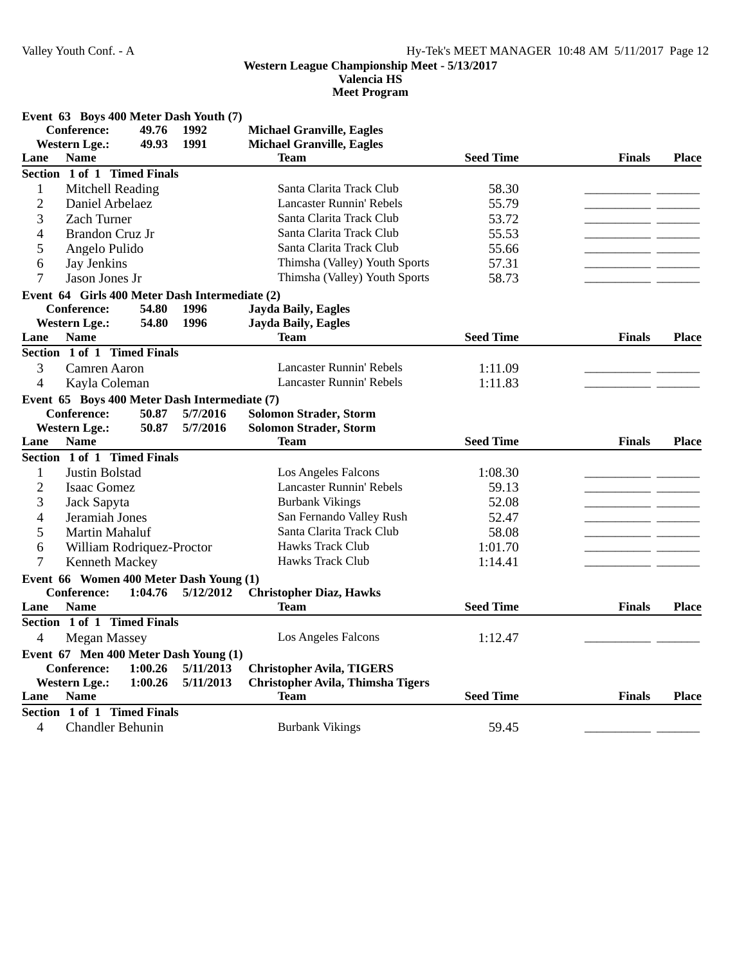**Valencia HS**

| Conference:<br>49.76<br>1992<br><b>Michael Granville, Eagles</b><br>1991<br><b>Western Lge.:</b><br>49.93<br><b>Michael Granville, Eagles</b><br><b>Seed Time</b><br><b>Name</b><br><b>Team</b><br><b>Finals</b><br><b>Place</b><br>Lane<br>Section 1 of 1 Timed Finals<br>Santa Clarita Track Club<br>$\mathbf{1}$<br>Mitchell Reading<br>58.30<br>$\overline{2}$<br>Lancaster Runnin' Rebels<br>55.79<br>Daniel Arbelaez<br>3<br><b>Zach Turner</b><br>Santa Clarita Track Club<br>53.72<br>Santa Clarita Track Club<br>4<br><b>Brandon Cruz Jr</b><br>55.53<br>Santa Clarita Track Club<br>5<br>Angelo Pulido<br>55.66<br>Jay Jenkins<br>Thimsha (Valley) Youth Sports<br>57.31<br>6<br>Thimsha (Valley) Youth Sports<br>7<br>Jason Jones Jr<br>58.73<br>Event 64 Girls 400 Meter Dash Intermediate (2)<br><b>Jayda Baily, Eagles</b><br><b>Conference:</b><br>54.80<br>1996<br>54.80<br>1996<br><b>Jayda Baily, Eagles</b><br><b>Western Lge.:</b><br><b>Seed Time</b><br><b>Name</b><br><b>Team</b><br><b>Finals</b><br>Lane<br><b>Place</b><br>Section 1 of 1 Timed Finals<br>3<br>Camren Aaron<br><b>Lancaster Runnin' Rebels</b><br>1:11.09<br><b>Lancaster Runnin' Rebels</b><br>$\overline{4}$<br>1:11.83<br>Kayla Coleman<br>Event 65 Boys 400 Meter Dash Intermediate (7)<br><b>Conference:</b><br>5/7/2016<br><b>Solomon Strader, Storm</b><br>50.87<br>50.87<br>5/7/2016<br><b>Solomon Strader, Storm</b><br><b>Western Lge.:</b><br><b>Seed Time</b><br>Lane<br><b>Name</b><br><b>Team</b><br><b>Finals</b><br><b>Place</b><br>Section 1 of 1 Timed Finals<br>1<br>Justin Bolstad<br>Los Angeles Falcons<br>1:08.30<br>$\overline{2}$<br><b>Lancaster Runnin' Rebels</b><br>Isaac Gomez<br>59.13<br><b>Burbank Vikings</b><br>3<br>52.08<br>Jack Sapyta<br>San Fernando Valley Rush<br>4<br>Jeramiah Jones<br>52.47<br>Santa Clarita Track Club<br>5<br>58.08<br>Martin Mahaluf<br>Hawks Track Club<br>William Rodriquez-Proctor<br>1:01.70<br>6<br>Hawks Track Club<br>7<br>Kenneth Mackey<br>1:14.41<br>Event 66 Women 400 Meter Dash Young (1)<br><b>Conference:</b><br><b>Christopher Diaz, Hawks</b><br>1:04.76<br>5/12/2012<br><b>Seed Time</b><br><b>Name</b><br><b>Team</b><br><b>Place</b><br>Lane<br><b>Finals</b><br>Section 1 of 1 Timed Finals<br>$\overline{\mathcal{L}}$<br><b>Megan Massey</b><br>Los Angeles Falcons<br>1:12.47<br>Event 67 Men 400 Meter Dash Young (1)<br><b>Conference:</b><br>1:00.26<br>5/11/2013<br><b>Christopher Avila, TIGERS</b><br><b>Christopher Avila, Thimsha Tigers</b><br><b>Western Lge.:</b><br>1:00.26<br>5/11/2013 |      | Event 63 Boys 400 Meter Dash Youth (7) |  |             |                  |               |              |
|----------------------------------------------------------------------------------------------------------------------------------------------------------------------------------------------------------------------------------------------------------------------------------------------------------------------------------------------------------------------------------------------------------------------------------------------------------------------------------------------------------------------------------------------------------------------------------------------------------------------------------------------------------------------------------------------------------------------------------------------------------------------------------------------------------------------------------------------------------------------------------------------------------------------------------------------------------------------------------------------------------------------------------------------------------------------------------------------------------------------------------------------------------------------------------------------------------------------------------------------------------------------------------------------------------------------------------------------------------------------------------------------------------------------------------------------------------------------------------------------------------------------------------------------------------------------------------------------------------------------------------------------------------------------------------------------------------------------------------------------------------------------------------------------------------------------------------------------------------------------------------------------------------------------------------------------------------------------------------------------------------------------------------------------------------------------------------------------------------------------------------------------------------------------------------------------------------------------------------------------------------------------------------------------------------------------------------------------------------------------------------------------------------------------------------------------------------------------------------------------------------------------------------------------------------------------------------------|------|----------------------------------------|--|-------------|------------------|---------------|--------------|
|                                                                                                                                                                                                                                                                                                                                                                                                                                                                                                                                                                                                                                                                                                                                                                                                                                                                                                                                                                                                                                                                                                                                                                                                                                                                                                                                                                                                                                                                                                                                                                                                                                                                                                                                                                                                                                                                                                                                                                                                                                                                                                                                                                                                                                                                                                                                                                                                                                                                                                                                                                                        |      |                                        |  |             |                  |               |              |
|                                                                                                                                                                                                                                                                                                                                                                                                                                                                                                                                                                                                                                                                                                                                                                                                                                                                                                                                                                                                                                                                                                                                                                                                                                                                                                                                                                                                                                                                                                                                                                                                                                                                                                                                                                                                                                                                                                                                                                                                                                                                                                                                                                                                                                                                                                                                                                                                                                                                                                                                                                                        |      |                                        |  |             |                  |               |              |
|                                                                                                                                                                                                                                                                                                                                                                                                                                                                                                                                                                                                                                                                                                                                                                                                                                                                                                                                                                                                                                                                                                                                                                                                                                                                                                                                                                                                                                                                                                                                                                                                                                                                                                                                                                                                                                                                                                                                                                                                                                                                                                                                                                                                                                                                                                                                                                                                                                                                                                                                                                                        |      |                                        |  |             |                  |               |              |
|                                                                                                                                                                                                                                                                                                                                                                                                                                                                                                                                                                                                                                                                                                                                                                                                                                                                                                                                                                                                                                                                                                                                                                                                                                                                                                                                                                                                                                                                                                                                                                                                                                                                                                                                                                                                                                                                                                                                                                                                                                                                                                                                                                                                                                                                                                                                                                                                                                                                                                                                                                                        |      |                                        |  |             |                  |               |              |
|                                                                                                                                                                                                                                                                                                                                                                                                                                                                                                                                                                                                                                                                                                                                                                                                                                                                                                                                                                                                                                                                                                                                                                                                                                                                                                                                                                                                                                                                                                                                                                                                                                                                                                                                                                                                                                                                                                                                                                                                                                                                                                                                                                                                                                                                                                                                                                                                                                                                                                                                                                                        |      |                                        |  |             |                  |               |              |
|                                                                                                                                                                                                                                                                                                                                                                                                                                                                                                                                                                                                                                                                                                                                                                                                                                                                                                                                                                                                                                                                                                                                                                                                                                                                                                                                                                                                                                                                                                                                                                                                                                                                                                                                                                                                                                                                                                                                                                                                                                                                                                                                                                                                                                                                                                                                                                                                                                                                                                                                                                                        |      |                                        |  |             |                  |               |              |
|                                                                                                                                                                                                                                                                                                                                                                                                                                                                                                                                                                                                                                                                                                                                                                                                                                                                                                                                                                                                                                                                                                                                                                                                                                                                                                                                                                                                                                                                                                                                                                                                                                                                                                                                                                                                                                                                                                                                                                                                                                                                                                                                                                                                                                                                                                                                                                                                                                                                                                                                                                                        |      |                                        |  |             |                  |               |              |
|                                                                                                                                                                                                                                                                                                                                                                                                                                                                                                                                                                                                                                                                                                                                                                                                                                                                                                                                                                                                                                                                                                                                                                                                                                                                                                                                                                                                                                                                                                                                                                                                                                                                                                                                                                                                                                                                                                                                                                                                                                                                                                                                                                                                                                                                                                                                                                                                                                                                                                                                                                                        |      |                                        |  |             |                  |               |              |
|                                                                                                                                                                                                                                                                                                                                                                                                                                                                                                                                                                                                                                                                                                                                                                                                                                                                                                                                                                                                                                                                                                                                                                                                                                                                                                                                                                                                                                                                                                                                                                                                                                                                                                                                                                                                                                                                                                                                                                                                                                                                                                                                                                                                                                                                                                                                                                                                                                                                                                                                                                                        |      |                                        |  |             |                  |               |              |
|                                                                                                                                                                                                                                                                                                                                                                                                                                                                                                                                                                                                                                                                                                                                                                                                                                                                                                                                                                                                                                                                                                                                                                                                                                                                                                                                                                                                                                                                                                                                                                                                                                                                                                                                                                                                                                                                                                                                                                                                                                                                                                                                                                                                                                                                                                                                                                                                                                                                                                                                                                                        |      |                                        |  |             |                  |               |              |
|                                                                                                                                                                                                                                                                                                                                                                                                                                                                                                                                                                                                                                                                                                                                                                                                                                                                                                                                                                                                                                                                                                                                                                                                                                                                                                                                                                                                                                                                                                                                                                                                                                                                                                                                                                                                                                                                                                                                                                                                                                                                                                                                                                                                                                                                                                                                                                                                                                                                                                                                                                                        |      |                                        |  |             |                  |               |              |
|                                                                                                                                                                                                                                                                                                                                                                                                                                                                                                                                                                                                                                                                                                                                                                                                                                                                                                                                                                                                                                                                                                                                                                                                                                                                                                                                                                                                                                                                                                                                                                                                                                                                                                                                                                                                                                                                                                                                                                                                                                                                                                                                                                                                                                                                                                                                                                                                                                                                                                                                                                                        |      |                                        |  |             |                  |               |              |
|                                                                                                                                                                                                                                                                                                                                                                                                                                                                                                                                                                                                                                                                                                                                                                                                                                                                                                                                                                                                                                                                                                                                                                                                                                                                                                                                                                                                                                                                                                                                                                                                                                                                                                                                                                                                                                                                                                                                                                                                                                                                                                                                                                                                                                                                                                                                                                                                                                                                                                                                                                                        |      |                                        |  |             |                  |               |              |
|                                                                                                                                                                                                                                                                                                                                                                                                                                                                                                                                                                                                                                                                                                                                                                                                                                                                                                                                                                                                                                                                                                                                                                                                                                                                                                                                                                                                                                                                                                                                                                                                                                                                                                                                                                                                                                                                                                                                                                                                                                                                                                                                                                                                                                                                                                                                                                                                                                                                                                                                                                                        |      |                                        |  |             |                  |               |              |
|                                                                                                                                                                                                                                                                                                                                                                                                                                                                                                                                                                                                                                                                                                                                                                                                                                                                                                                                                                                                                                                                                                                                                                                                                                                                                                                                                                                                                                                                                                                                                                                                                                                                                                                                                                                                                                                                                                                                                                                                                                                                                                                                                                                                                                                                                                                                                                                                                                                                                                                                                                                        |      |                                        |  |             |                  |               |              |
|                                                                                                                                                                                                                                                                                                                                                                                                                                                                                                                                                                                                                                                                                                                                                                                                                                                                                                                                                                                                                                                                                                                                                                                                                                                                                                                                                                                                                                                                                                                                                                                                                                                                                                                                                                                                                                                                                                                                                                                                                                                                                                                                                                                                                                                                                                                                                                                                                                                                                                                                                                                        |      |                                        |  |             |                  |               |              |
|                                                                                                                                                                                                                                                                                                                                                                                                                                                                                                                                                                                                                                                                                                                                                                                                                                                                                                                                                                                                                                                                                                                                                                                                                                                                                                                                                                                                                                                                                                                                                                                                                                                                                                                                                                                                                                                                                                                                                                                                                                                                                                                                                                                                                                                                                                                                                                                                                                                                                                                                                                                        |      |                                        |  |             |                  |               |              |
|                                                                                                                                                                                                                                                                                                                                                                                                                                                                                                                                                                                                                                                                                                                                                                                                                                                                                                                                                                                                                                                                                                                                                                                                                                                                                                                                                                                                                                                                                                                                                                                                                                                                                                                                                                                                                                                                                                                                                                                                                                                                                                                                                                                                                                                                                                                                                                                                                                                                                                                                                                                        |      |                                        |  |             |                  |               |              |
|                                                                                                                                                                                                                                                                                                                                                                                                                                                                                                                                                                                                                                                                                                                                                                                                                                                                                                                                                                                                                                                                                                                                                                                                                                                                                                                                                                                                                                                                                                                                                                                                                                                                                                                                                                                                                                                                                                                                                                                                                                                                                                                                                                                                                                                                                                                                                                                                                                                                                                                                                                                        |      |                                        |  |             |                  |               |              |
|                                                                                                                                                                                                                                                                                                                                                                                                                                                                                                                                                                                                                                                                                                                                                                                                                                                                                                                                                                                                                                                                                                                                                                                                                                                                                                                                                                                                                                                                                                                                                                                                                                                                                                                                                                                                                                                                                                                                                                                                                                                                                                                                                                                                                                                                                                                                                                                                                                                                                                                                                                                        |      |                                        |  |             |                  |               |              |
|                                                                                                                                                                                                                                                                                                                                                                                                                                                                                                                                                                                                                                                                                                                                                                                                                                                                                                                                                                                                                                                                                                                                                                                                                                                                                                                                                                                                                                                                                                                                                                                                                                                                                                                                                                                                                                                                                                                                                                                                                                                                                                                                                                                                                                                                                                                                                                                                                                                                                                                                                                                        |      |                                        |  |             |                  |               |              |
|                                                                                                                                                                                                                                                                                                                                                                                                                                                                                                                                                                                                                                                                                                                                                                                                                                                                                                                                                                                                                                                                                                                                                                                                                                                                                                                                                                                                                                                                                                                                                                                                                                                                                                                                                                                                                                                                                                                                                                                                                                                                                                                                                                                                                                                                                                                                                                                                                                                                                                                                                                                        |      |                                        |  |             |                  |               |              |
|                                                                                                                                                                                                                                                                                                                                                                                                                                                                                                                                                                                                                                                                                                                                                                                                                                                                                                                                                                                                                                                                                                                                                                                                                                                                                                                                                                                                                                                                                                                                                                                                                                                                                                                                                                                                                                                                                                                                                                                                                                                                                                                                                                                                                                                                                                                                                                                                                                                                                                                                                                                        |      |                                        |  |             |                  |               |              |
|                                                                                                                                                                                                                                                                                                                                                                                                                                                                                                                                                                                                                                                                                                                                                                                                                                                                                                                                                                                                                                                                                                                                                                                                                                                                                                                                                                                                                                                                                                                                                                                                                                                                                                                                                                                                                                                                                                                                                                                                                                                                                                                                                                                                                                                                                                                                                                                                                                                                                                                                                                                        |      |                                        |  |             |                  |               |              |
|                                                                                                                                                                                                                                                                                                                                                                                                                                                                                                                                                                                                                                                                                                                                                                                                                                                                                                                                                                                                                                                                                                                                                                                                                                                                                                                                                                                                                                                                                                                                                                                                                                                                                                                                                                                                                                                                                                                                                                                                                                                                                                                                                                                                                                                                                                                                                                                                                                                                                                                                                                                        |      |                                        |  |             |                  |               |              |
|                                                                                                                                                                                                                                                                                                                                                                                                                                                                                                                                                                                                                                                                                                                                                                                                                                                                                                                                                                                                                                                                                                                                                                                                                                                                                                                                                                                                                                                                                                                                                                                                                                                                                                                                                                                                                                                                                                                                                                                                                                                                                                                                                                                                                                                                                                                                                                                                                                                                                                                                                                                        |      |                                        |  |             |                  |               |              |
|                                                                                                                                                                                                                                                                                                                                                                                                                                                                                                                                                                                                                                                                                                                                                                                                                                                                                                                                                                                                                                                                                                                                                                                                                                                                                                                                                                                                                                                                                                                                                                                                                                                                                                                                                                                                                                                                                                                                                                                                                                                                                                                                                                                                                                                                                                                                                                                                                                                                                                                                                                                        |      |                                        |  |             |                  |               |              |
|                                                                                                                                                                                                                                                                                                                                                                                                                                                                                                                                                                                                                                                                                                                                                                                                                                                                                                                                                                                                                                                                                                                                                                                                                                                                                                                                                                                                                                                                                                                                                                                                                                                                                                                                                                                                                                                                                                                                                                                                                                                                                                                                                                                                                                                                                                                                                                                                                                                                                                                                                                                        |      |                                        |  |             |                  |               |              |
|                                                                                                                                                                                                                                                                                                                                                                                                                                                                                                                                                                                                                                                                                                                                                                                                                                                                                                                                                                                                                                                                                                                                                                                                                                                                                                                                                                                                                                                                                                                                                                                                                                                                                                                                                                                                                                                                                                                                                                                                                                                                                                                                                                                                                                                                                                                                                                                                                                                                                                                                                                                        |      |                                        |  |             |                  |               |              |
|                                                                                                                                                                                                                                                                                                                                                                                                                                                                                                                                                                                                                                                                                                                                                                                                                                                                                                                                                                                                                                                                                                                                                                                                                                                                                                                                                                                                                                                                                                                                                                                                                                                                                                                                                                                                                                                                                                                                                                                                                                                                                                                                                                                                                                                                                                                                                                                                                                                                                                                                                                                        |      |                                        |  |             |                  |               |              |
|                                                                                                                                                                                                                                                                                                                                                                                                                                                                                                                                                                                                                                                                                                                                                                                                                                                                                                                                                                                                                                                                                                                                                                                                                                                                                                                                                                                                                                                                                                                                                                                                                                                                                                                                                                                                                                                                                                                                                                                                                                                                                                                                                                                                                                                                                                                                                                                                                                                                                                                                                                                        |      |                                        |  |             |                  |               |              |
|                                                                                                                                                                                                                                                                                                                                                                                                                                                                                                                                                                                                                                                                                                                                                                                                                                                                                                                                                                                                                                                                                                                                                                                                                                                                                                                                                                                                                                                                                                                                                                                                                                                                                                                                                                                                                                                                                                                                                                                                                                                                                                                                                                                                                                                                                                                                                                                                                                                                                                                                                                                        |      |                                        |  |             |                  |               |              |
|                                                                                                                                                                                                                                                                                                                                                                                                                                                                                                                                                                                                                                                                                                                                                                                                                                                                                                                                                                                                                                                                                                                                                                                                                                                                                                                                                                                                                                                                                                                                                                                                                                                                                                                                                                                                                                                                                                                                                                                                                                                                                                                                                                                                                                                                                                                                                                                                                                                                                                                                                                                        |      |                                        |  |             |                  |               |              |
|                                                                                                                                                                                                                                                                                                                                                                                                                                                                                                                                                                                                                                                                                                                                                                                                                                                                                                                                                                                                                                                                                                                                                                                                                                                                                                                                                                                                                                                                                                                                                                                                                                                                                                                                                                                                                                                                                                                                                                                                                                                                                                                                                                                                                                                                                                                                                                                                                                                                                                                                                                                        |      |                                        |  |             |                  |               |              |
|                                                                                                                                                                                                                                                                                                                                                                                                                                                                                                                                                                                                                                                                                                                                                                                                                                                                                                                                                                                                                                                                                                                                                                                                                                                                                                                                                                                                                                                                                                                                                                                                                                                                                                                                                                                                                                                                                                                                                                                                                                                                                                                                                                                                                                                                                                                                                                                                                                                                                                                                                                                        |      |                                        |  |             |                  |               |              |
|                                                                                                                                                                                                                                                                                                                                                                                                                                                                                                                                                                                                                                                                                                                                                                                                                                                                                                                                                                                                                                                                                                                                                                                                                                                                                                                                                                                                                                                                                                                                                                                                                                                                                                                                                                                                                                                                                                                                                                                                                                                                                                                                                                                                                                                                                                                                                                                                                                                                                                                                                                                        |      |                                        |  |             |                  |               |              |
|                                                                                                                                                                                                                                                                                                                                                                                                                                                                                                                                                                                                                                                                                                                                                                                                                                                                                                                                                                                                                                                                                                                                                                                                                                                                                                                                                                                                                                                                                                                                                                                                                                                                                                                                                                                                                                                                                                                                                                                                                                                                                                                                                                                                                                                                                                                                                                                                                                                                                                                                                                                        |      |                                        |  |             |                  |               |              |
|                                                                                                                                                                                                                                                                                                                                                                                                                                                                                                                                                                                                                                                                                                                                                                                                                                                                                                                                                                                                                                                                                                                                                                                                                                                                                                                                                                                                                                                                                                                                                                                                                                                                                                                                                                                                                                                                                                                                                                                                                                                                                                                                                                                                                                                                                                                                                                                                                                                                                                                                                                                        |      |                                        |  |             |                  |               |              |
|                                                                                                                                                                                                                                                                                                                                                                                                                                                                                                                                                                                                                                                                                                                                                                                                                                                                                                                                                                                                                                                                                                                                                                                                                                                                                                                                                                                                                                                                                                                                                                                                                                                                                                                                                                                                                                                                                                                                                                                                                                                                                                                                                                                                                                                                                                                                                                                                                                                                                                                                                                                        | Lane | <b>Name</b>                            |  | <b>Team</b> | <b>Seed Time</b> | <b>Finals</b> | <b>Place</b> |
| Section 1 of 1 Timed Finals                                                                                                                                                                                                                                                                                                                                                                                                                                                                                                                                                                                                                                                                                                                                                                                                                                                                                                                                                                                                                                                                                                                                                                                                                                                                                                                                                                                                                                                                                                                                                                                                                                                                                                                                                                                                                                                                                                                                                                                                                                                                                                                                                                                                                                                                                                                                                                                                                                                                                                                                                            |      |                                        |  |             |                  |               |              |
| 4<br><b>Chandler Behunin</b><br><b>Burbank Vikings</b><br>59.45                                                                                                                                                                                                                                                                                                                                                                                                                                                                                                                                                                                                                                                                                                                                                                                                                                                                                                                                                                                                                                                                                                                                                                                                                                                                                                                                                                                                                                                                                                                                                                                                                                                                                                                                                                                                                                                                                                                                                                                                                                                                                                                                                                                                                                                                                                                                                                                                                                                                                                                        |      |                                        |  |             |                  |               |              |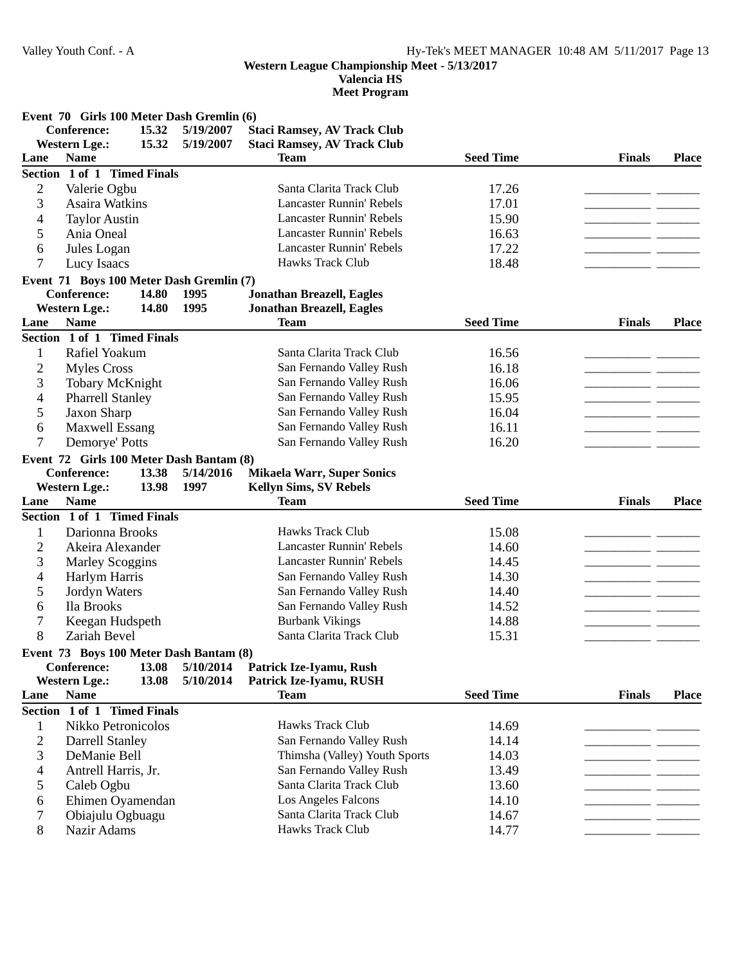**Valencia HS**

|                | Event 70 Girls 100 Meter Dash Gremlin (6)                               |           |                                    |                  |               |              |
|----------------|-------------------------------------------------------------------------|-----------|------------------------------------|------------------|---------------|--------------|
|                | <b>Conference:</b><br>15.32                                             | 5/19/2007 | <b>Staci Ramsey, AV Track Club</b> |                  |               |              |
|                | 15.32<br><b>Western Lge.:</b>                                           | 5/19/2007 | <b>Staci Ramsey, AV Track Club</b> |                  |               |              |
| Lane           | <b>Name</b>                                                             |           | <b>Team</b>                        | <b>Seed Time</b> | <b>Finals</b> | <b>Place</b> |
|                | Section 1 of 1 Timed Finals                                             |           |                                    |                  |               |              |
| $\overline{2}$ | Valerie Ogbu                                                            |           | Santa Clarita Track Club           | 17.26            |               |              |
| 3              | Asaira Watkins                                                          |           | <b>Lancaster Runnin' Rebels</b>    | 17.01            |               |              |
| 4              | <b>Taylor Austin</b>                                                    |           | <b>Lancaster Runnin' Rebels</b>    | 15.90            |               |              |
| 5              | Ania Oneal                                                              |           | <b>Lancaster Runnin' Rebels</b>    | 16.63            |               |              |
| 6              | Jules Logan                                                             |           | <b>Lancaster Runnin' Rebels</b>    | 17.22            |               |              |
| 7              | Lucy Isaacs                                                             |           | Hawks Track Club                   | 18.48            |               |              |
|                | Event 71 Boys 100 Meter Dash Gremlin (7)                                |           |                                    |                  |               |              |
|                | <b>Conference:</b><br>14.80                                             | 1995      | <b>Jonathan Breazell, Eagles</b>   |                  |               |              |
|                | 14.80<br><b>Western Lge.:</b>                                           | 1995      | <b>Jonathan Breazell, Eagles</b>   |                  |               |              |
| Lane           | <b>Name</b>                                                             |           | <b>Team</b>                        | <b>Seed Time</b> | <b>Finals</b> | <b>Place</b> |
|                | Section 1 of 1 Timed Finals                                             |           |                                    |                  |               |              |
| 1              | Rafiel Yoakum                                                           |           | Santa Clarita Track Club           | 16.56            |               |              |
| $\overline{2}$ | <b>Myles Cross</b>                                                      |           | San Fernando Valley Rush           | 16.18            |               |              |
| 3              | <b>Tobary McKnight</b>                                                  |           | San Fernando Valley Rush           | 16.06            |               |              |
| 4              | <b>Pharrell Stanley</b>                                                 |           | San Fernando Valley Rush           | 15.95            |               |              |
| 5              | Jaxon Sharp                                                             |           | San Fernando Valley Rush           | 16.04            |               |              |
| 6              | <b>Maxwell Essang</b>                                                   |           | San Fernando Valley Rush           | 16.11            |               |              |
| 7              | Demorye' Potts                                                          |           | San Fernando Valley Rush           | 16.20            | - -           |              |
|                |                                                                         |           |                                    |                  |               |              |
|                | Event 72 Girls 100 Meter Dash Bantam (8)<br><b>Conference:</b><br>13.38 | 5/14/2016 | <b>Mikaela Warr, Super Sonics</b>  |                  |               |              |
|                |                                                                         |           |                                    |                  |               |              |
|                |                                                                         |           |                                    |                  |               |              |
|                | <b>Western Lge.:</b><br>13.98                                           | 1997      | <b>Kellyn Sims, SV Rebels</b>      |                  |               |              |
| Lane           | <b>Name</b>                                                             |           | <b>Team</b>                        | <b>Seed Time</b> | <b>Finals</b> | <b>Place</b> |
|                | Section 1 of 1 Timed Finals                                             |           |                                    |                  |               |              |
| 1              | Darionna Brooks                                                         |           | Hawks Track Club                   | 15.08            |               |              |
| $\overline{2}$ | Akeira Alexander                                                        |           | <b>Lancaster Runnin' Rebels</b>    | 14.60            |               |              |
| 3              | <b>Marley Scoggins</b>                                                  |           | Lancaster Runnin' Rebels           | 14.45            |               |              |
| 4              | Harlym Harris                                                           |           | San Fernando Valley Rush           | 14.30            |               |              |
| 5              | Jordyn Waters                                                           |           | San Fernando Valley Rush           | 14.40            |               |              |
| 6              | Ila Brooks                                                              |           | San Fernando Valley Rush           | 14.52            |               |              |
| 7              | Keegan Hudspeth                                                         |           | <b>Burbank Vikings</b>             | 14.88            |               |              |
| 8              | Zariah Bevel                                                            |           | Santa Clarita Track Club           | 15.31            |               |              |
|                | Event 73 Boys 100 Meter Dash Bantam (8)                                 |           |                                    |                  |               |              |
|                | 13.08<br><b>Conference:</b>                                             | 5/10/2014 | Patrick Ize-Iyamu, Rush            |                  |               |              |
|                | <b>Western Lge.:</b><br>13.08                                           | 5/10/2014 | Patrick Ize-Iyamu, RUSH            |                  |               |              |
| Lane           | <b>Name</b>                                                             |           | <b>Team</b>                        | <b>Seed Time</b> | <b>Finals</b> | <b>Place</b> |
| <b>Section</b> | 1 of 1 Timed Finals                                                     |           |                                    |                  |               |              |
| 1              | Nikko Petronicolos                                                      |           | Hawks Track Club                   | 14.69            |               |              |
| 2              | Darrell Stanley                                                         |           | San Fernando Valley Rush           | 14.14            |               |              |
| 3              | DeManie Bell                                                            |           | Thimsha (Valley) Youth Sports      | 14.03            |               |              |
| 4              | Antrell Harris, Jr.                                                     |           | San Fernando Valley Rush           | 13.49            |               |              |
| 5              | Caleb Ogbu                                                              |           | Santa Clarita Track Club           | 13.60            | - -           |              |
| 6              | Ehimen Oyamendan                                                        |           | Los Angeles Falcons                | 14.10            |               |              |
| 7              | Obiajulu Ogbuagu                                                        |           | Santa Clarita Track Club           | 14.67            |               |              |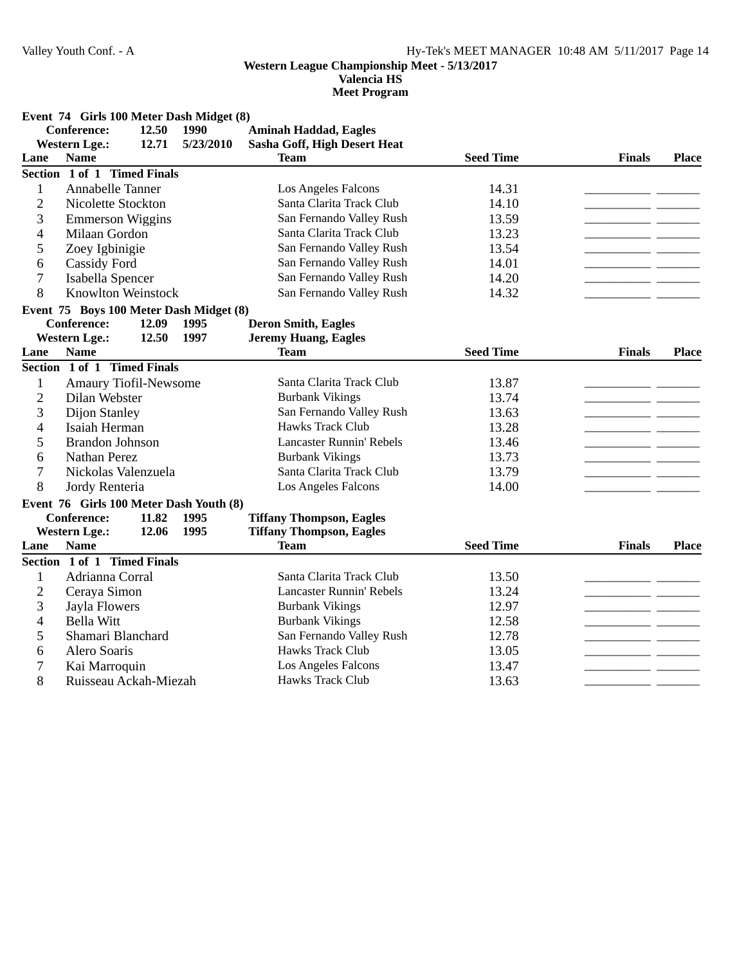**Valencia HS**

**Meet Program**

**Event 74 Girls 100 Meter Dash Midget (8)**

|                | <b>Conference:</b>                      | 12.50             | 1990      | <b>Aminah Haddad, Eagles</b>    |                  |               |              |
|----------------|-----------------------------------------|-------------------|-----------|---------------------------------|------------------|---------------|--------------|
|                | <b>Western Lge.:</b>                    | 12.71             | 5/23/2010 | Sasha Goff, High Desert Heat    |                  |               |              |
| Lane           | <b>Name</b>                             |                   |           | <b>Team</b>                     | <b>Seed Time</b> | <b>Finals</b> | <b>Place</b> |
|                | Section 1 of 1 Timed Finals             |                   |           |                                 |                  |               |              |
| 1              | <b>Annabelle Tanner</b>                 |                   |           | Los Angeles Falcons             | 14.31            |               |              |
| $\overline{2}$ | Nicolette Stockton                      |                   |           | Santa Clarita Track Club        | 14.10            | $=$ $=$       |              |
| 3              | <b>Emmerson Wiggins</b>                 |                   |           | San Fernando Valley Rush        | 13.59            | $\sim$ $\sim$ |              |
| 4              | Milaan Gordon                           |                   |           | Santa Clarita Track Club        | 13.23            |               |              |
| 5              | Zoey Igbinigie                          |                   |           | San Fernando Valley Rush        | 13.54            | - -           |              |
| 6              | <b>Cassidy Ford</b>                     |                   |           | San Fernando Valley Rush        | 14.01            |               |              |
| 7              | Isabella Spencer                        |                   |           | San Fernando Valley Rush        | 14.20            |               |              |
| 8              | <b>Knowlton Weinstock</b>               |                   |           | San Fernando Valley Rush        | 14.32            |               |              |
|                | Event 75 Boys 100 Meter Dash Midget (8) |                   |           |                                 |                  |               |              |
|                | <b>Conference:</b>                      | 12.09             | 1995      | <b>Deron Smith, Eagles</b>      |                  |               |              |
|                | <b>Western Lge.:</b>                    | 12.50             | 1997      | <b>Jeremy Huang, Eagles</b>     |                  |               |              |
| Lane           | <b>Name</b>                             |                   |           | <b>Team</b>                     | <b>Seed Time</b> | <b>Finals</b> | <b>Place</b> |
|                | Section 1 of 1 Timed Finals             |                   |           |                                 |                  |               |              |
| $\mathbf{1}$   | <b>Amaury Tiofil-Newsome</b>            |                   |           | Santa Clarita Track Club        | 13.87            |               |              |
| $\overline{2}$ | Dilan Webster                           |                   |           | <b>Burbank Vikings</b>          | 13.74            |               |              |
| 3              | Dijon Stanley                           |                   |           | San Fernando Valley Rush        | 13.63            |               |              |
| 4              | Isaiah Herman                           |                   |           | Hawks Track Club                | 13.28            |               |              |
| 5              | <b>Brandon Johnson</b>                  |                   |           | <b>Lancaster Runnin' Rebels</b> | 13.46            |               |              |
| 6              | Nathan Perez                            |                   |           | <b>Burbank Vikings</b>          | 13.73            |               |              |
| 7              | Nickolas Valenzuela                     |                   |           | Santa Clarita Track Club        | 13.79            |               |              |
| 8              | Jordy Renteria                          |                   |           | Los Angeles Falcons             | 14.00            |               |              |
|                | Event 76 Girls 100 Meter Dash Youth (8) |                   |           |                                 |                  |               |              |
|                | <b>Conference:</b>                      | 11.82             | 1995      | <b>Tiffany Thompson, Eagles</b> |                  |               |              |
|                | <b>Western Lge.:</b>                    | 12.06             | 1995      | <b>Tiffany Thompson, Eagles</b> |                  |               |              |
| Lane           | <b>Name</b>                             |                   |           | <b>Team</b>                     | <b>Seed Time</b> | <b>Finals</b> | Place        |
|                | Section 1 of 1 Timed Finals             |                   |           |                                 |                  |               |              |
| $\mathbf{1}$   | Adrianna Corral                         |                   |           | Santa Clarita Track Club        | 13.50            |               |              |
| $\overline{2}$ | Ceraya Simon                            |                   |           | <b>Lancaster Runnin' Rebels</b> | 13.24            |               |              |
| 3              | Jayla Flowers                           |                   |           | <b>Burbank Vikings</b>          | 12.97            |               |              |
| 4              | <b>Bella Witt</b>                       |                   |           | <b>Burbank Vikings</b>          | 12.58            |               |              |
| 5              |                                         | Shamari Blanchard |           | San Fernando Valley Rush        | 12.78            |               |              |
| 6              | Alero Soaris                            |                   |           | Hawks Track Club                | 13.05            |               |              |
| 7              | Kai Marroquin                           |                   |           | Los Angeles Falcons             | 13.47            |               |              |
| 8              | Ruisseau Ackah-Miezah                   |                   |           | Hawks Track Club                | 13.63            |               |              |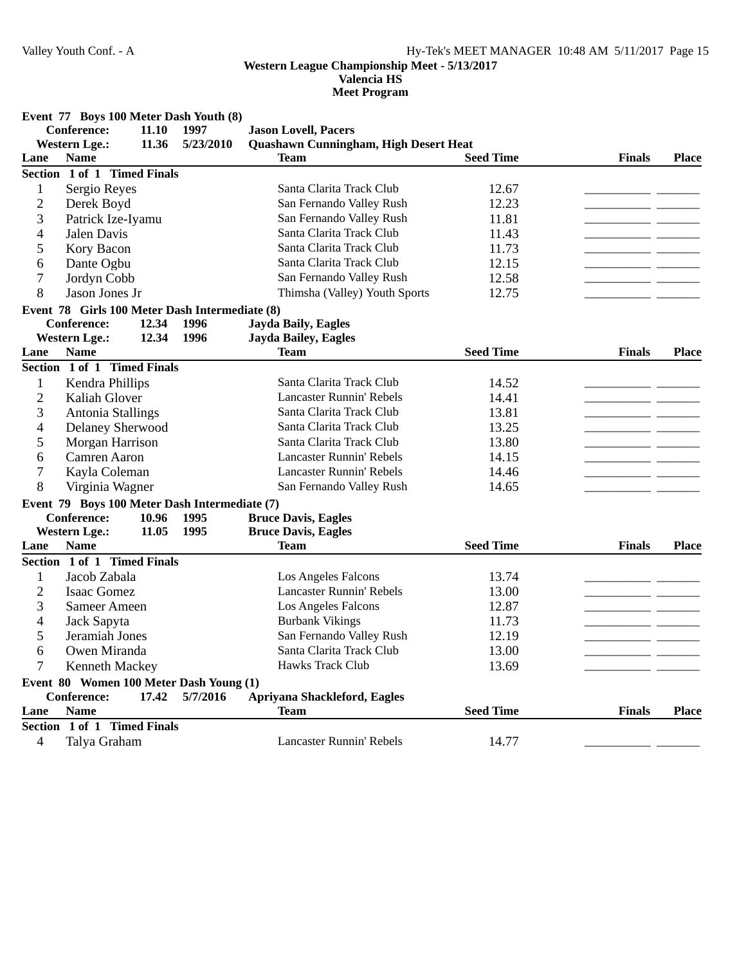**Valencia HS**

**Meet Program**

**Event 77 Boys 100 Meter Dash Youth (8)**

**Conference:** 11.10 1997 **Jason Lovell, Pacers** 

|                | <b>Western Lge.:</b>                           | 11.36 | 5/23/2010 | Quashawn Cunningham, High Desert Heat |                  |               |              |
|----------------|------------------------------------------------|-------|-----------|---------------------------------------|------------------|---------------|--------------|
| Lane           | <b>Name</b>                                    |       |           | <b>Team</b>                           | <b>Seed Time</b> | <b>Finals</b> | <b>Place</b> |
|                | Section 1 of 1 Timed Finals                    |       |           |                                       |                  |               |              |
| $\mathbf{1}$   | Sergio Reyes                                   |       |           | Santa Clarita Track Club              | 12.67            |               |              |
| $\overline{2}$ | Derek Boyd                                     |       |           | San Fernando Valley Rush              | 12.23            |               |              |
| 3              | Patrick Ize-Iyamu                              |       |           | San Fernando Valley Rush              | 11.81            |               |              |
| $\overline{4}$ | Jalen Davis                                    |       |           | Santa Clarita Track Club              | 11.43            |               |              |
| 5              | Kory Bacon                                     |       |           | Santa Clarita Track Club              | 11.73            |               |              |
| 6              | Dante Ogbu                                     |       |           | Santa Clarita Track Club              | 12.15            |               |              |
| 7              | Jordyn Cobb                                    |       |           | San Fernando Valley Rush              | 12.58            |               |              |
| 8              | Jason Jones Jr                                 |       |           | Thimsha (Valley) Youth Sports         | 12.75            |               |              |
|                | Event 78 Girls 100 Meter Dash Intermediate (8) |       |           |                                       |                  |               |              |
|                | <b>Conference:</b>                             | 12.34 | 1996      | <b>Jayda Baily, Eagles</b>            |                  |               |              |
|                | <b>Western Lge.:</b>                           | 12.34 | 1996      | Jayda Bailey, Eagles                  |                  |               |              |
| Lane           | <b>Name</b>                                    |       |           | <b>Team</b>                           | <b>Seed Time</b> | <b>Finals</b> | <b>Place</b> |
|                | Section 1 of 1 Timed Finals                    |       |           |                                       |                  |               |              |
| $\mathbf{1}$   | Kendra Phillips                                |       |           | Santa Clarita Track Club              | 14.52            |               |              |
| $\overline{2}$ | Kaliah Glover                                  |       |           | <b>Lancaster Runnin' Rebels</b>       | 14.41            |               |              |
| 3              | Antonia Stallings                              |       |           | Santa Clarita Track Club              | 13.81            |               |              |
| 4              | Delaney Sherwood                               |       |           | Santa Clarita Track Club              | 13.25            |               |              |
| 5              | Morgan Harrison                                |       |           | Santa Clarita Track Club              | 13.80            |               |              |
| 6              | Camren Aaron                                   |       |           | <b>Lancaster Runnin' Rebels</b>       | 14.15            |               |              |
| 7              | Kayla Coleman                                  |       |           | <b>Lancaster Runnin' Rebels</b>       | 14.46            |               |              |
| 8              | Virginia Wagner                                |       |           | San Fernando Valley Rush              | 14.65            |               |              |
|                | Event 79 Boys 100 Meter Dash Intermediate (7)  |       |           |                                       |                  |               |              |
|                | <b>Conference:</b>                             | 10.96 | 1995      | <b>Bruce Davis, Eagles</b>            |                  |               |              |
|                | <b>Western Lge.:</b>                           | 11.05 | 1995      | <b>Bruce Davis, Eagles</b>            |                  |               |              |
| Lane           | <b>Name</b>                                    |       |           | <b>Team</b>                           | <b>Seed Time</b> | <b>Finals</b> | <b>Place</b> |
|                | Section 1 of 1 Timed Finals                    |       |           |                                       |                  |               |              |
| $\mathbf{1}$   | Jacob Zabala                                   |       |           | Los Angeles Falcons                   | 13.74            |               |              |
| $\overline{2}$ | <b>Isaac Gomez</b>                             |       |           | <b>Lancaster Runnin' Rebels</b>       | 13.00            |               |              |
| 3              | <b>Sameer Ameen</b>                            |       |           | Los Angeles Falcons                   | 12.87            |               |              |
| 4              | Jack Sapyta                                    |       |           | <b>Burbank Vikings</b>                | 11.73            |               |              |
| 5              | Jeramiah Jones                                 |       |           | San Fernando Valley Rush              | 12.19            |               |              |
| 6              | Owen Miranda                                   |       |           | Santa Clarita Track Club              | 13.00            |               |              |
| 7              | Kenneth Mackey                                 |       |           | <b>Hawks Track Club</b>               | 13.69            |               |              |
|                | Event 80 Women 100 Meter Dash Young (1)        |       |           |                                       |                  |               |              |
|                | <b>Conference:</b>                             | 17.42 | 5/7/2016  | Apriyana Shackleford, Eagles          |                  |               |              |
| Lane           | <b>Name</b>                                    |       |           | <b>Team</b>                           | <b>Seed Time</b> | <b>Finals</b> | <b>Place</b> |
|                | Section 1 of 1 Timed Finals                    |       |           |                                       |                  |               |              |
| 4              | Talya Graham                                   |       |           | <b>Lancaster Runnin' Rebels</b>       | 14.77            |               |              |
|                |                                                |       |           |                                       |                  |               |              |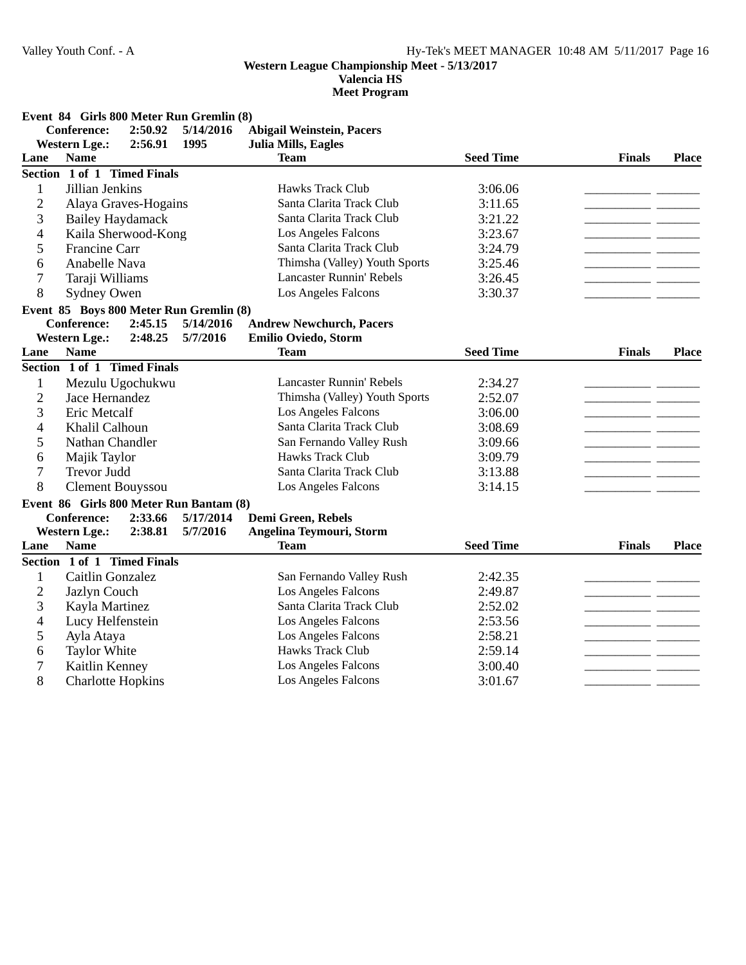**Valencia HS**

|                  | Event 84 Girls 800 Meter Run Gremlin (8) |           |                                  |                  |               |              |
|------------------|------------------------------------------|-----------|----------------------------------|------------------|---------------|--------------|
|                  | 2:50.92<br><b>Conference:</b>            | 5/14/2016 | <b>Abigail Weinstein, Pacers</b> |                  |               |              |
|                  | <b>Western Lge.:</b><br>2:56.91          | 1995      | <b>Julia Mills, Eagles</b>       |                  |               |              |
| Lane             | <b>Name</b>                              |           | <b>Team</b>                      | <b>Seed Time</b> | <b>Finals</b> | <b>Place</b> |
|                  | Section 1 of 1 Timed Finals              |           |                                  |                  |               |              |
| $\mathbf{1}$     | Jillian Jenkins                          |           | <b>Hawks Track Club</b>          | 3:06.06          |               |              |
| $\overline{2}$   | Alaya Graves-Hogains                     |           | Santa Clarita Track Club         | 3:11.65          | - -           |              |
| 3                | <b>Bailey Haydamack</b>                  |           | Santa Clarita Track Club         | 3:21.22          |               |              |
| 4                | Kaila Sherwood-Kong                      |           | Los Angeles Falcons              | 3:23.67          |               |              |
| 5                | Francine Carr                            |           | Santa Clarita Track Club         | 3:24.79          |               |              |
| 6                | Anabelle Nava                            |           | Thimsha (Valley) Youth Sports    | 3:25.46          |               |              |
| 7                | Taraji Williams                          |           | <b>Lancaster Runnin' Rebels</b>  | 3:26.45          |               |              |
| 8                | Sydney Owen                              |           | Los Angeles Falcons              | 3:30.37          |               |              |
|                  | Event 85 Boys 800 Meter Run Gremlin (8)  |           |                                  |                  |               |              |
|                  | <b>Conference:</b><br>2:45.15            | 5/14/2016 | <b>Andrew Newchurch, Pacers</b>  |                  |               |              |
|                  | <b>Western Lge.:</b><br>2:48.25          | 5/7/2016  | Emilio Oviedo, Storm             |                  |               |              |
| Lane             | <b>Name</b>                              |           | <b>Team</b>                      | <b>Seed Time</b> | <b>Finals</b> | <b>Place</b> |
|                  | Section 1 of 1 Timed Finals              |           |                                  |                  |               |              |
| 1                | Mezulu Ugochukwu                         |           | <b>Lancaster Runnin' Rebels</b>  | 2:34.27          |               |              |
| $\mathbf{2}$     | Jace Hernandez                           |           | Thimsha (Valley) Youth Sports    | 2:52.07          |               |              |
| 3                | Eric Metcalf                             |           | Los Angeles Falcons              | 3:06.00          | - -           |              |
| 4                | Khalil Calhoun                           |           | Santa Clarita Track Club         | 3:08.69          | - -           |              |
| 5                | Nathan Chandler                          |           | San Fernando Valley Rush         | 3:09.66          |               |              |
| 6                | Majik Taylor                             |           | <b>Hawks Track Club</b>          | 3:09.79          |               |              |
| $\boldsymbol{7}$ | <b>Trevor Judd</b>                       |           | Santa Clarita Track Club         | 3:13.88          |               |              |
| 8                | <b>Clement Bouyssou</b>                  |           | Los Angeles Falcons              | 3:14.15          |               |              |
|                  | Event 86 Girls 800 Meter Run Bantam (8)  |           |                                  |                  |               |              |
|                  | 2:33.66<br><b>Conference:</b>            | 5/17/2014 | Demi Green, Rebels               |                  |               |              |
|                  | <b>Western Lge.:</b><br>2:38.81          | 5/7/2016  | Angelina Teymouri, Storm         |                  |               |              |
| Lane             | <b>Name</b>                              |           | <b>Team</b>                      | <b>Seed Time</b> | <b>Finals</b> | <b>Place</b> |
|                  | Section 1 of 1 Timed Finals              |           |                                  |                  |               |              |
| 1                | Caitlin Gonzalez                         |           | San Fernando Valley Rush         | 2:42.35          |               |              |
| $\overline{c}$   | Jazlyn Couch                             |           | Los Angeles Falcons              | 2:49.87          |               |              |
| 3                | Kayla Martinez                           |           | Santa Clarita Track Club         | 2:52.02          |               |              |
| 4                | Lucy Helfenstein                         |           | Los Angeles Falcons              | 2:53.56          |               |              |
| 5                | Ayla Ataya                               |           | Los Angeles Falcons              | 2:58.21          |               |              |
| 6                | <b>Taylor White</b>                      |           | Hawks Track Club                 | 2:59.14          |               |              |
| 7                | Kaitlin Kenney                           |           | Los Angeles Falcons              | 3:00.40          |               |              |
| 8                | <b>Charlotte Hopkins</b>                 |           | Los Angeles Falcons              | 3:01.67          |               |              |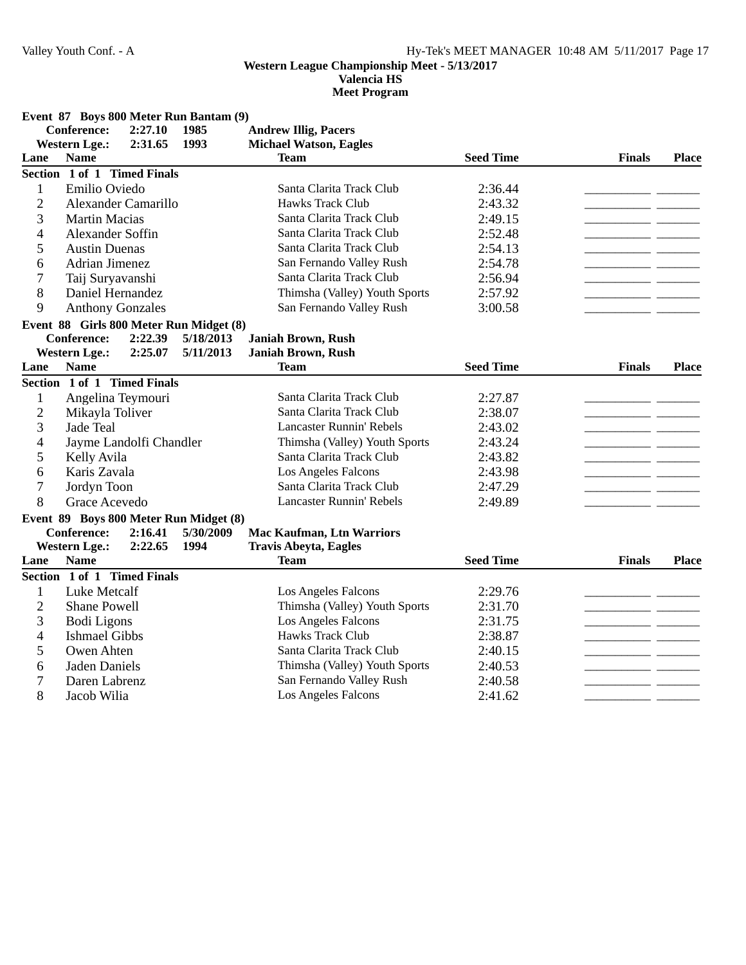**Valencia HS**

|                |                             |         | Event 87 Boys 800 Meter Run Bantam (9)  |                                  |                  |               |              |
|----------------|-----------------------------|---------|-----------------------------------------|----------------------------------|------------------|---------------|--------------|
|                | <b>Conference:</b>          | 2:27.10 | 1985                                    | <b>Andrew Illig, Pacers</b>      |                  |               |              |
|                | <b>Western Lge.:</b>        | 2:31.65 | 1993                                    | <b>Michael Watson, Eagles</b>    |                  |               |              |
| Lane           | <b>Name</b>                 |         |                                         | <b>Team</b>                      | <b>Seed Time</b> | <b>Finals</b> | <b>Place</b> |
|                | Section 1 of 1 Timed Finals |         |                                         |                                  |                  |               |              |
| 1              | Emilio Oviedo               |         |                                         | Santa Clarita Track Club         | 2:36.44          |               |              |
| $\overline{2}$ | Alexander Camarillo         |         |                                         | Hawks Track Club                 | 2:43.32          | للمساحد       |              |
| 3              | <b>Martin Macias</b>        |         |                                         | Santa Clarita Track Club         | 2:49.15          | - -           |              |
| 4              | Alexander Soffin            |         |                                         | Santa Clarita Track Club         | 2:52.48          | — —           |              |
| 5              | <b>Austin Duenas</b>        |         |                                         | Santa Clarita Track Club         | 2:54.13          |               |              |
| 6              | Adrian Jimenez              |         |                                         | San Fernando Valley Rush         | 2:54.78          | - -           |              |
| 7              | Taij Suryavanshi            |         |                                         | Santa Clarita Track Club         | 2:56.94          | للمساريب      |              |
| 8              | Daniel Hernandez            |         |                                         | Thimsha (Valley) Youth Sports    | 2:57.92          |               |              |
| 9              | <b>Anthony Gonzales</b>     |         |                                         | San Fernando Valley Rush         | 3:00.58          |               |              |
|                |                             |         | Event 88 Girls 800 Meter Run Midget (8) |                                  |                  |               |              |
|                | <b>Conference:</b>          | 2:22.39 | 5/18/2013                               | <b>Janiah Brown, Rush</b>        |                  |               |              |
|                | <b>Western Lge.:</b>        | 2:25.07 | 5/11/2013                               | Janiah Brown, Rush               |                  |               |              |
| Lane           | <b>Name</b>                 |         |                                         | <b>Team</b>                      | <b>Seed Time</b> | <b>Finals</b> | <b>Place</b> |
|                | Section 1 of 1 Timed Finals |         |                                         |                                  |                  |               |              |
| $\mathbf{1}$   | Angelina Teymouri           |         |                                         | Santa Clarita Track Club         | 2:27.87          |               |              |
| $\overline{2}$ | Mikayla Toliver             |         |                                         | Santa Clarita Track Club         | 2:38.07          |               |              |
| 3              | <b>Jade Teal</b>            |         |                                         | <b>Lancaster Runnin' Rebels</b>  | 2:43.02          |               |              |
| 4              | Jayme Landolfi Chandler     |         |                                         | Thimsha (Valley) Youth Sports    | 2:43.24          |               |              |
| 5              | Kelly Avila                 |         |                                         | Santa Clarita Track Club         | 2:43.82          |               |              |
| 6              | Karis Zavala                |         |                                         | Los Angeles Falcons              | 2:43.98          |               |              |
| 7              | Jordyn Toon                 |         |                                         | Santa Clarita Track Club         | 2:47.29          |               |              |
| 8              | Grace Acevedo               |         |                                         | <b>Lancaster Runnin' Rebels</b>  | 2:49.89          |               |              |
|                |                             |         | Event 89 Boys 800 Meter Run Midget (8)  |                                  |                  |               |              |
|                | <b>Conference:</b>          | 2:16.41 | 5/30/2009                               | <b>Mac Kaufman, Ltn Warriors</b> |                  |               |              |
|                | <b>Western Lge.:</b>        | 2:22.65 | 1994                                    | <b>Travis Abeyta, Eagles</b>     |                  |               |              |
| Lane           | <b>Name</b>                 |         |                                         | Team                             | <b>Seed Time</b> | <b>Finals</b> | <b>Place</b> |
|                | Section 1 of 1 Timed Finals |         |                                         |                                  |                  |               |              |
| 1              | <b>Luke Metcalf</b>         |         |                                         | Los Angeles Falcons              | 2:29.76          |               |              |
| $\overline{2}$ | <b>Shane Powell</b>         |         |                                         | Thimsha (Valley) Youth Sports    | 2:31.70          | $\sim$ $\sim$ |              |
| 3              | <b>Bodi</b> Ligons          |         |                                         | Los Angeles Falcons              | 2:31.75          | - -           |              |
| 4              | <b>Ishmael Gibbs</b>        |         |                                         | <b>Hawks Track Club</b>          | 2:38.87          |               |              |
| 5              | Owen Ahten                  |         |                                         | Santa Clarita Track Club         | 2:40.15          |               |              |
| 6              | <b>Jaden Daniels</b>        |         |                                         | Thimsha (Valley) Youth Sports    | 2:40.53          |               |              |
| 7              | Daren Labrenz               |         |                                         | San Fernando Valley Rush         | 2:40.58          |               |              |
| 8              | Jacob Wilia                 |         |                                         | Los Angeles Falcons              | 2:41.62          |               |              |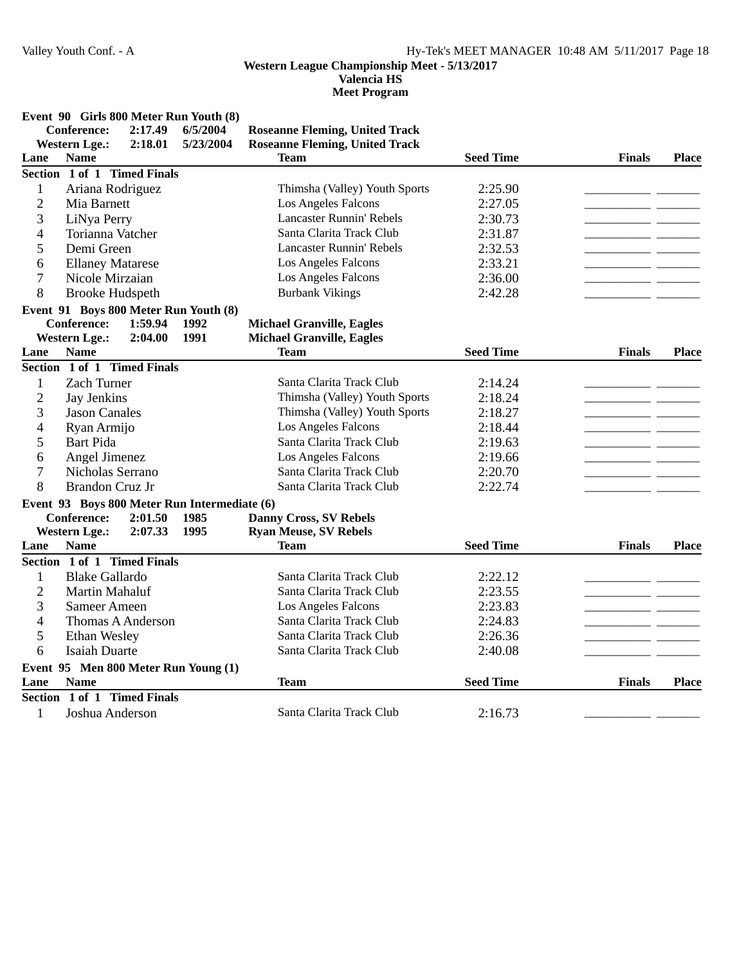**Valencia HS**

|                |                             |                   |                                              | <b>Meet Program</b>                   |                  |               |              |
|----------------|-----------------------------|-------------------|----------------------------------------------|---------------------------------------|------------------|---------------|--------------|
|                |                             |                   | Event 90 Girls 800 Meter Run Youth (8)       |                                       |                  |               |              |
|                | <b>Conference:</b>          | 2:17.49           | 6/5/2004                                     | <b>Roseanne Fleming, United Track</b> |                  |               |              |
|                | <b>Western Lge.:</b>        | 2:18.01           | 5/23/2004                                    | <b>Roseanne Fleming, United Track</b> |                  |               |              |
| Lane           | <b>Name</b>                 |                   |                                              | <b>Team</b>                           | <b>Seed Time</b> | <b>Finals</b> | <b>Place</b> |
|                | Section 1 of 1 Timed Finals |                   |                                              |                                       |                  |               |              |
| $\mathbf{1}$   | Ariana Rodriguez            |                   |                                              | Thimsha (Valley) Youth Sports         | 2:25.90          |               |              |
| $\overline{c}$ | Mia Barnett                 |                   |                                              | Los Angeles Falcons                   | 2:27.05          |               |              |
| 3              | LiNya Perry                 |                   |                                              | <b>Lancaster Runnin' Rebels</b>       | 2:30.73          |               |              |
| $\overline{4}$ | Torianna Vatcher            |                   |                                              | Santa Clarita Track Club              | 2:31.87          |               |              |
| 5              | Demi Green                  |                   |                                              | <b>Lancaster Runnin' Rebels</b>       | 2:32.53          |               |              |
| 6              | <b>Ellaney Matarese</b>     |                   |                                              | Los Angeles Falcons                   | 2:33.21          |               |              |
| $\overline{7}$ | Nicole Mirzaian             |                   |                                              | Los Angeles Falcons                   | 2:36.00          |               |              |
| 8              | <b>Brooke Hudspeth</b>      |                   |                                              | <b>Burbank Vikings</b>                | 2:42.28          |               |              |
|                |                             |                   | Event 91 Boys 800 Meter Run Youth (8)        |                                       |                  |               |              |
|                | <b>Conference:</b>          | 1:59.94           | 1992                                         | <b>Michael Granville, Eagles</b>      |                  |               |              |
|                | <b>Western Lge.:</b>        | 2:04.00           | 1991                                         | <b>Michael Granville, Eagles</b>      |                  |               |              |
| Lane           | <b>Name</b>                 |                   |                                              | <b>Team</b>                           | <b>Seed Time</b> | <b>Finals</b> | <b>Place</b> |
|                | Section 1 of 1 Timed Finals |                   |                                              |                                       |                  |               |              |
| $\mathbf{1}$   | <b>Zach Turner</b>          |                   |                                              | Santa Clarita Track Club              | 2:14.24          |               |              |
| $\overline{c}$ | Jay Jenkins                 |                   |                                              | Thimsha (Valley) Youth Sports         | 2:18.24          |               |              |
| 3              | <b>Jason Canales</b>        |                   |                                              | Thimsha (Valley) Youth Sports         | 2:18.27          |               |              |
| $\overline{4}$ | Ryan Armijo                 |                   |                                              | Los Angeles Falcons                   | 2:18.44          |               |              |
| 5              | <b>Bart Pida</b>            |                   |                                              | Santa Clarita Track Club              | 2:19.63          |               |              |
| 6              | Angel Jimenez               |                   |                                              | Los Angeles Falcons                   | 2:19.66          |               |              |
| 7              | Nicholas Serrano            |                   |                                              | Santa Clarita Track Club              | 2:20.70          |               |              |
| 8              | Brandon Cruz Jr             |                   |                                              | Santa Clarita Track Club              | 2:22.74          |               |              |
|                |                             |                   | Event 93 Boys 800 Meter Run Intermediate (6) |                                       |                  |               |              |
|                | <b>Conference:</b>          | 2:01.50           | 1985                                         | <b>Danny Cross, SV Rebels</b>         |                  |               |              |
|                | <b>Western Lge.:</b>        | 2:07.33           | 1995                                         | <b>Ryan Meuse, SV Rebels</b>          |                  |               |              |
| Lane           | <b>Name</b>                 |                   |                                              | <b>Team</b>                           | <b>Seed Time</b> | <b>Finals</b> | <b>Place</b> |
|                | Section 1 of 1 Timed Finals |                   |                                              |                                       |                  |               |              |
| $\mathbf{1}$   | <b>Blake Gallardo</b>       |                   |                                              | Santa Clarita Track Club              | 2:22.12          |               |              |
| $\overline{2}$ | Martin Mahaluf              |                   |                                              | Santa Clarita Track Club              | 2:23.55          |               |              |
| 3              | <b>Sameer Ameen</b>         |                   |                                              | Los Angeles Falcons                   | 2:23.83          |               |              |
| 4              |                             | Thomas A Anderson |                                              | Santa Clarita Track Club              | 2:24.83          |               |              |
| 5              | Ethan Wesley                |                   |                                              | Santa Clarita Track Club              | 2:26.36          |               |              |
| 6              | <b>Isaiah Duarte</b>        |                   |                                              | Santa Clarita Track Club              | 2:40.08          |               |              |
|                |                             |                   | Event 95 Men 800 Meter Run Young (1)         |                                       |                  |               |              |
| Lane           | <b>Name</b>                 |                   |                                              | <b>Team</b>                           | <b>Seed Time</b> | <b>Finals</b> | <b>Place</b> |
|                | Section 1 of 1 Timed Finals |                   |                                              |                                       |                  |               |              |
| $\mathbf{1}$   |                             |                   |                                              | Santa Clarita Track Club              | 2:16.73          |               |              |
|                | Joshua Anderson             |                   |                                              |                                       |                  |               |              |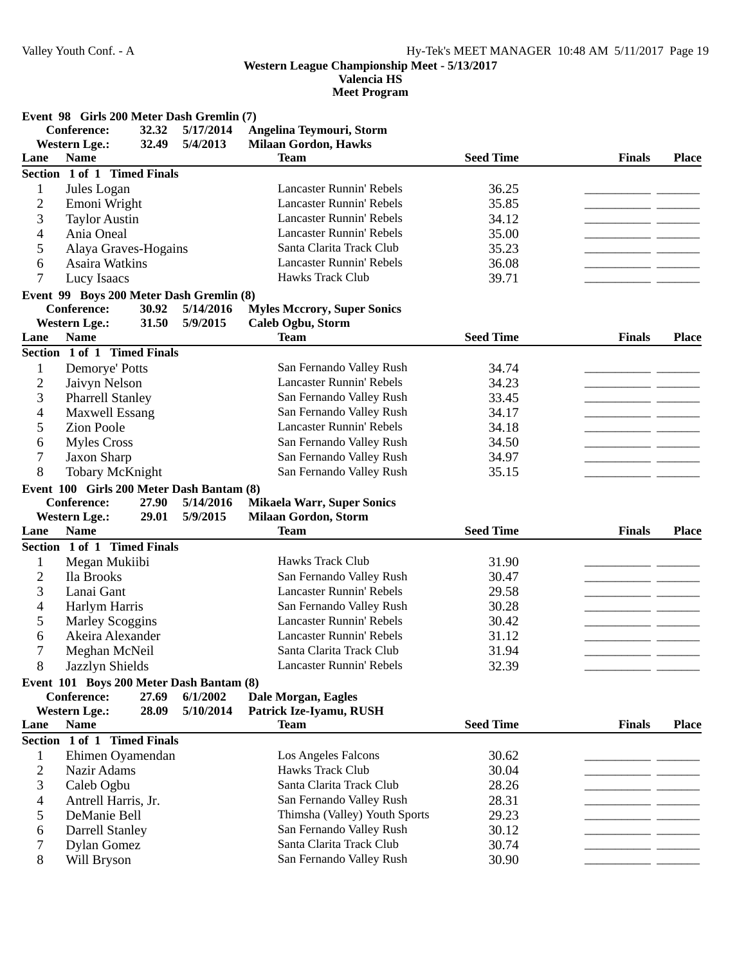**Valencia HS**

|                | Event 98 Girls 200 Meter Dash Gremlin (7) |           |                                    |                  |               |              |
|----------------|-------------------------------------------|-----------|------------------------------------|------------------|---------------|--------------|
|                | Conference:<br>32.32                      | 5/17/2014 | Angelina Teymouri, Storm           |                  |               |              |
|                | <b>Western Lge.:</b><br>32.49             | 5/4/2013  | <b>Milaan Gordon, Hawks</b>        |                  |               |              |
| Lane           | <b>Name</b>                               |           | <b>Team</b>                        | <b>Seed Time</b> | <b>Finals</b> | <b>Place</b> |
|                | Section 1 of 1 Timed Finals               |           |                                    |                  |               |              |
| 1              | Jules Logan                               |           | <b>Lancaster Runnin' Rebels</b>    | 36.25            |               |              |
| 2              | Emoni Wright                              |           | <b>Lancaster Runnin' Rebels</b>    | 35.85            |               |              |
| 3              | <b>Taylor Austin</b>                      |           | <b>Lancaster Runnin' Rebels</b>    | 34.12            |               |              |
| 4              | Ania Oneal                                |           | <b>Lancaster Runnin' Rebels</b>    | 35.00            |               |              |
| 5              | Alaya Graves-Hogains                      |           | Santa Clarita Track Club           | 35.23            |               |              |
| 6              | Asaira Watkins                            |           | <b>Lancaster Runnin' Rebels</b>    | 36.08            |               |              |
| 7              | Lucy Isaacs                               |           | Hawks Track Club                   | 39.71            |               |              |
|                | Event 99 Boys 200 Meter Dash Gremlin (8)  |           |                                    |                  |               |              |
|                | <b>Conference:</b><br>30.92               | 5/14/2016 | <b>Myles Mccrory, Super Sonics</b> |                  |               |              |
|                | <b>Western Lge.:</b><br>31.50             | 5/9/2015  | Caleb Ogbu, Storm                  |                  |               |              |
| Lane           | <b>Name</b>                               |           | <b>Team</b>                        | <b>Seed Time</b> | <b>Finals</b> | <b>Place</b> |
|                | Section 1 of 1 Timed Finals               |           |                                    |                  |               |              |
|                |                                           |           |                                    |                  |               |              |
| 1              | Demorye' Potts                            |           | San Fernando Valley Rush           | 34.74            |               |              |
| $\overline{c}$ | Jaivyn Nelson                             |           | <b>Lancaster Runnin' Rebels</b>    | 34.23            |               |              |
| 3              | <b>Pharrell Stanley</b>                   |           | San Fernando Valley Rush           | 33.45            |               |              |
| 4              | Maxwell Essang                            |           | San Fernando Valley Rush           | 34.17            |               |              |
| 5              | <b>Zion Poole</b>                         |           | <b>Lancaster Runnin' Rebels</b>    | 34.18            |               |              |
| 6              | <b>Myles Cross</b>                        |           | San Fernando Valley Rush           | 34.50            |               |              |
| 7              | Jaxon Sharp                               |           | San Fernando Valley Rush           | 34.97            | - -           |              |
| 8              | <b>Tobary McKnight</b>                    |           | San Fernando Valley Rush           | 35.15            |               |              |
|                | Event 100 Girls 200 Meter Dash Bantam (8) |           |                                    |                  |               |              |
|                | <b>Conference:</b><br>27.90               | 5/14/2016 | <b>Mikaela Warr, Super Sonics</b>  |                  |               |              |
|                | <b>Western Lge.:</b><br>29.01             | 5/9/2015  | <b>Milaan Gordon, Storm</b>        |                  |               |              |
| Lane           | <b>Name</b>                               |           | <b>Team</b>                        | <b>Seed Time</b> | <b>Finals</b> | <b>Place</b> |
|                | Section 1 of 1 Timed Finals               |           |                                    |                  |               |              |
| 1              | Megan Mukiibi                             |           | Hawks Track Club                   | 31.90            |               |              |
| $\overline{2}$ | Ila Brooks                                |           | San Fernando Valley Rush           | 30.47            |               |              |
| 3              | Lanai Gant                                |           | <b>Lancaster Runnin' Rebels</b>    | 29.58            |               |              |
| 4              | Harlym Harris                             |           | San Fernando Valley Rush           | 30.28            |               |              |
| 5              | <b>Marley Scoggins</b>                    |           | <b>Lancaster Runnin' Rebels</b>    | 30.42            |               |              |
| 6              | Akeira Alexander                          |           | <b>Lancaster Runnin' Rebels</b>    | 31.12            |               |              |
| 7              | Meghan McNeil                             |           | Santa Clarita Track Club           | 31.94            |               |              |
| 8              | Jazzlyn Shields                           |           | Lancaster Runnin' Rebels           | 32.39            |               |              |
|                | Event 101 Boys 200 Meter Dash Bantam (8)  |           |                                    |                  |               |              |
|                | Conference:<br>27.69                      | 6/1/2002  | Dale Morgan, Eagles                |                  |               |              |
|                | <b>Western Lge.:</b><br>28.09             | 5/10/2014 | Patrick Ize-Iyamu, RUSH            |                  |               |              |
| Lane           | <b>Name</b>                               |           | <b>Team</b>                        | <b>Seed Time</b> | <b>Finals</b> | <b>Place</b> |
|                | Section 1 of 1 Timed Finals               |           |                                    |                  |               |              |
| 1              | Ehimen Oyamendan                          |           | <b>Los Angeles Falcons</b>         | 30.62            |               |              |
| 2              | Nazir Adams                               |           | Hawks Track Club                   | 30.04            |               |              |
| 3              | Caleb Ogbu                                |           | Santa Clarita Track Club           | 28.26            |               |              |
| 4              | Antrell Harris, Jr.                       |           | San Fernando Valley Rush           | 28.31            |               |              |
| 5              | DeManie Bell                              |           | Thimsha (Valley) Youth Sports      | 29.23            |               |              |
| 6              | <b>Darrell Stanley</b>                    |           | San Fernando Valley Rush           | 30.12            |               |              |
| 7              | Dylan Gomez                               |           | Santa Clarita Track Club           | 30.74            |               |              |
| 8              | Will Bryson                               |           | San Fernando Valley Rush           | 30.90            |               |              |
|                |                                           |           |                                    |                  |               |              |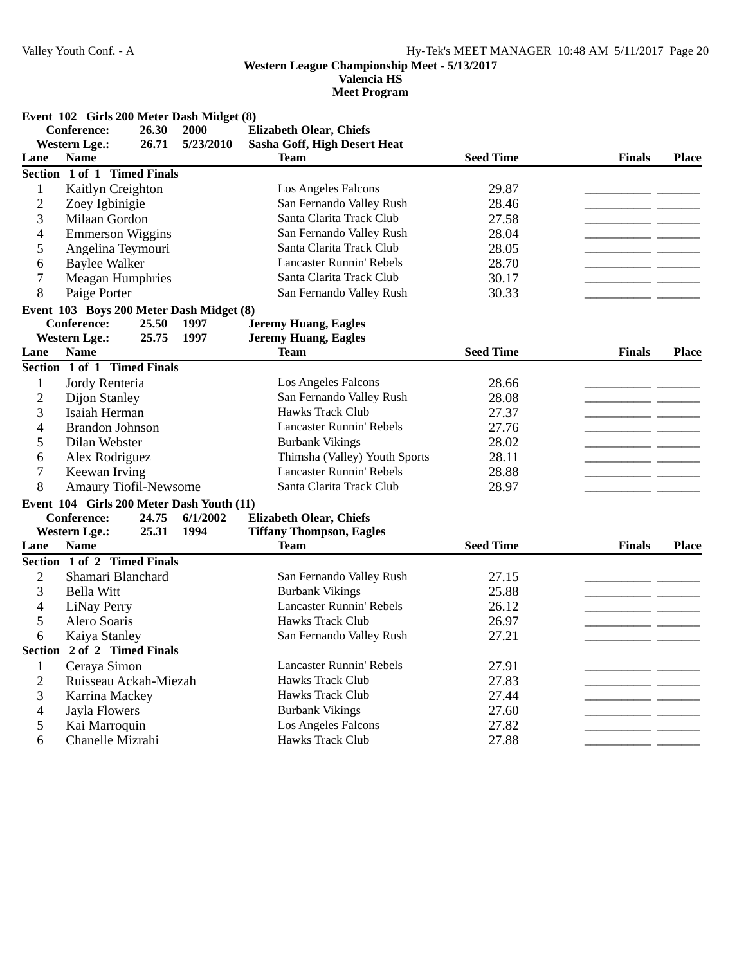**Valencia HS**

|  |  | Event 102 Girls 200 Meter Dash Midget (8) |  |  |  |  |
|--|--|-------------------------------------------|--|--|--|--|
|--|--|-------------------------------------------|--|--|--|--|

| Conference:    |                                           | 26.30 | <b>Elizabeth Olear, Chiefs</b><br>2000 |                                 |                  |                |              |
|----------------|-------------------------------------------|-------|----------------------------------------|---------------------------------|------------------|----------------|--------------|
|                | <b>Western Lge.:</b>                      | 26.71 | 5/23/2010                              | Sasha Goff, High Desert Heat    |                  |                |              |
| Lane           | <b>Name</b>                               |       |                                        | <b>Team</b>                     | <b>Seed Time</b> | <b>Finals</b>  | <b>Place</b> |
|                | Section 1 of 1 Timed Finals               |       |                                        |                                 |                  |                |              |
| $\mathbf{1}$   | Kaitlyn Creighton                         |       |                                        | Los Angeles Falcons             | 29.87            |                |              |
| $\overline{2}$ | Zoey Igbinigie                            |       |                                        | San Fernando Valley Rush        | 28.46            |                |              |
| 3              | Milaan Gordon                             |       |                                        | Santa Clarita Track Club        | 27.58            |                |              |
| 4              | <b>Emmerson Wiggins</b>                   |       |                                        | San Fernando Valley Rush        | 28.04            |                |              |
| 5              | Angelina Teymouri                         |       |                                        | Santa Clarita Track Club        | 28.05            |                |              |
| 6              | <b>Baylee Walker</b>                      |       |                                        | <b>Lancaster Runnin' Rebels</b> | 28.70            |                |              |
| 7              | <b>Meagan Humphries</b>                   |       |                                        | Santa Clarita Track Club        | 30.17            |                |              |
| 8              | Paige Porter                              |       |                                        | San Fernando Valley Rush        | 30.33            |                |              |
|                | Event 103 Boys 200 Meter Dash Midget (8)  |       |                                        |                                 |                  |                |              |
|                | <b>Conference:</b>                        | 25.50 | 1997                                   | <b>Jeremy Huang, Eagles</b>     |                  |                |              |
|                | <b>Western Lge.:</b>                      | 25.75 | 1997                                   | <b>Jeremy Huang, Eagles</b>     |                  |                |              |
| Lane           | <b>Name</b>                               |       |                                        | <b>Team</b>                     | <b>Seed Time</b> | <b>Finals</b>  | <b>Place</b> |
|                | Section 1 of 1 Timed Finals               |       |                                        |                                 |                  |                |              |
| $\mathbf{1}$   | Jordy Renteria                            |       |                                        | Los Angeles Falcons             | 28.66            |                |              |
| $\overline{2}$ | Dijon Stanley                             |       |                                        | San Fernando Valley Rush        | 28.08            | $\overline{a}$ |              |
| 3              | Isaiah Herman                             |       |                                        | Hawks Track Club                | 27.37            |                |              |
| 4              | <b>Brandon Johnson</b>                    |       |                                        | <b>Lancaster Runnin' Rebels</b> | 27.76            |                |              |
| 5              | Dilan Webster                             |       |                                        | <b>Burbank Vikings</b>          | 28.02            |                |              |
| 6              | Alex Rodriguez                            |       |                                        | Thimsha (Valley) Youth Sports   | 28.11            |                |              |
| $\overline{7}$ | Keewan Irving                             |       |                                        | <b>Lancaster Runnin' Rebels</b> | 28.88            |                |              |
| 8              | Amaury Tiofil-Newsome                     |       |                                        | Santa Clarita Track Club        | 28.97            |                |              |
|                | Event 104 Girls 200 Meter Dash Youth (11) |       |                                        |                                 |                  |                |              |
|                | <b>Conference:</b>                        | 24.75 | 6/1/2002                               | <b>Elizabeth Olear, Chiefs</b>  |                  |                |              |
|                | <b>Western Lge.:</b>                      | 25.31 | 1994                                   | <b>Tiffany Thompson, Eagles</b> |                  |                |              |
| Lane           | <b>Name</b>                               |       |                                        | <b>Team</b>                     | <b>Seed Time</b> | <b>Finals</b>  | <b>Place</b> |
|                | Section 1 of 2 Timed Finals               |       |                                        |                                 |                  |                |              |
| $\overline{c}$ | Shamari Blanchard                         |       |                                        | San Fernando Valley Rush        | 27.15            |                |              |
| 3              | <b>Bella Witt</b>                         |       |                                        | <b>Burbank Vikings</b>          | 25.88            |                |              |
| 4              | LiNay Perry                               |       |                                        | <b>Lancaster Runnin' Rebels</b> | 26.12            |                |              |
| 5              | Alero Soaris                              |       |                                        | <b>Hawks Track Club</b>         | 26.97            |                |              |
| 6              | Kaiya Stanley                             |       |                                        | San Fernando Valley Rush        | 27.21            | - -            |              |
|                | Section 2 of 2 Timed Finals               |       |                                        |                                 |                  |                |              |
| 1              | Cerava Simon                              |       |                                        | <b>Lancaster Runnin' Rebels</b> | 27.91            |                |              |
| $\overline{c}$ | Ruisseau Ackah-Miezah                     |       |                                        | Hawks Track Club                | 27.83            |                |              |
| 3              | Karrina Mackey                            |       |                                        | <b>Hawks Track Club</b>         | 27.44            |                |              |
| 4              | Jayla Flowers                             |       |                                        | <b>Burbank Vikings</b>          | 27.60            |                |              |
| 5              | Kai Marroquin                             |       |                                        | Los Angeles Falcons             | 27.82            |                |              |
| 6              | Chanelle Mizrahi                          |       |                                        | Hawks Track Club                | 27.88            |                |              |
|                |                                           |       |                                        |                                 |                  |                |              |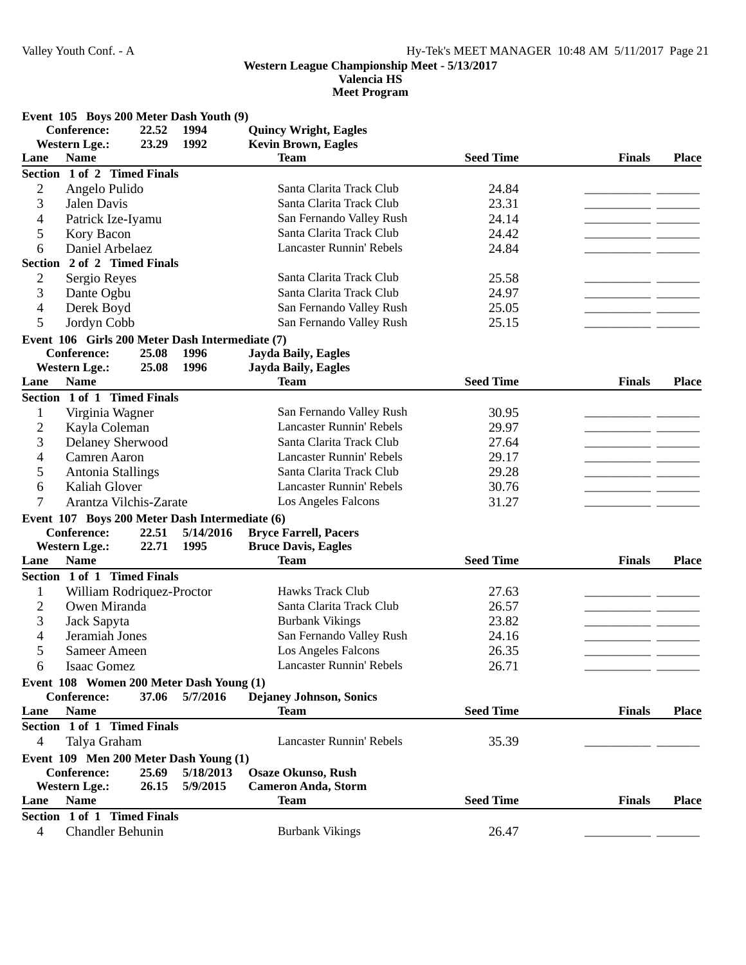**Valencia HS**

**Meet Program**

**Event 105 Boys 200 Meter Dash Youth (9)**

|                  | EVENT $103$ DOYS 200 NICLEI DASH TOULH (2)      |       |           |                                 |                  |               |              |
|------------------|-------------------------------------------------|-------|-----------|---------------------------------|------------------|---------------|--------------|
|                  | <b>Conference:</b>                              | 22.52 | 1994      | <b>Quincy Wright, Eagles</b>    |                  |               |              |
|                  | <b>Western Lge.:</b>                            | 23.29 | 1992      | <b>Kevin Brown, Eagles</b>      |                  |               |              |
| Lane             | <b>Name</b>                                     |       |           | <b>Team</b>                     | <b>Seed Time</b> | <b>Finals</b> | <b>Place</b> |
|                  | Section 1 of 2 Timed Finals                     |       |           |                                 |                  |               |              |
| $\overline{c}$   | Angelo Pulido                                   |       |           | Santa Clarita Track Club        | 24.84            |               |              |
| 3                | Jalen Davis                                     |       |           | Santa Clarita Track Club        | 23.31            |               |              |
| 4                | Patrick Ize-Iyamu                               |       |           | San Fernando Valley Rush        | 24.14            |               |              |
| 5                | Kory Bacon                                      |       |           | Santa Clarita Track Club        | 24.42            |               |              |
| 6                | Daniel Arbelaez                                 |       |           | <b>Lancaster Runnin' Rebels</b> | 24.84            |               |              |
|                  | Section 2 of 2 Timed Finals                     |       |           |                                 |                  |               |              |
| $\mathbf{2}$     | Sergio Reyes                                    |       |           | Santa Clarita Track Club        | 25.58            |               |              |
| 3                | Dante Ogbu                                      |       |           | Santa Clarita Track Club        | 24.97            |               |              |
| 4                | Derek Boyd                                      |       |           | San Fernando Valley Rush        | 25.05            |               |              |
| 5                | Jordyn Cobb                                     |       |           | San Fernando Valley Rush        | 25.15            |               |              |
|                  | Event 106 Girls 200 Meter Dash Intermediate (7) |       |           |                                 |                  |               |              |
|                  | <b>Conference:</b>                              | 25.08 | 1996      | <b>Jayda Baily, Eagles</b>      |                  |               |              |
|                  | <b>Western Lge.:</b>                            | 25.08 | 1996      | Jayda Baily, Eagles             |                  |               |              |
| Lane             | <b>Name</b>                                     |       |           | <b>Team</b>                     | <b>Seed Time</b> | <b>Finals</b> | <b>Place</b> |
|                  | Section 1 of 1 Timed Finals                     |       |           |                                 |                  |               |              |
|                  |                                                 |       |           |                                 |                  |               |              |
| 1                | Virginia Wagner                                 |       |           | San Fernando Valley Rush        | 30.95            |               |              |
| $\overline{2}$   | Kayla Coleman                                   |       |           | <b>Lancaster Runnin' Rebels</b> | 29.97            |               |              |
| 3                | <b>Delaney Sherwood</b>                         |       |           | Santa Clarita Track Club        | 27.64            |               |              |
| 4                | Camren Aaron                                    |       |           | <b>Lancaster Runnin' Rebels</b> | 29.17            |               |              |
| 5                | Antonia Stallings                               |       |           | Santa Clarita Track Club        | 29.28            |               |              |
| 6                | Kaliah Glover                                   |       |           | <b>Lancaster Runnin' Rebels</b> | 30.76            |               |              |
| 7                | Arantza Vilchis-Zarate                          |       |           | Los Angeles Falcons             | 31.27            |               |              |
|                  | Event 107 Boys 200 Meter Dash Intermediate (6)  |       |           |                                 |                  |               |              |
|                  | <b>Conference:</b>                              | 22.51 | 5/14/2016 | <b>Bryce Farrell, Pacers</b>    |                  |               |              |
|                  | <b>Western Lge.:</b>                            | 22.71 | 1995      | <b>Bruce Davis, Eagles</b>      |                  |               |              |
| Lane             | <b>Name</b>                                     |       |           | <b>Team</b>                     | <b>Seed Time</b> | <b>Finals</b> | <b>Place</b> |
|                  | Section 1 of 1 Timed Finals                     |       |           |                                 |                  |               |              |
| 1                | William Rodriquez-Proctor                       |       |           | Hawks Track Club                | 27.63            |               |              |
| $\overline{c}$   | Owen Miranda                                    |       |           | Santa Clarita Track Club        | 26.57            |               |              |
| 3                | Jack Sapyta                                     |       |           | <b>Burbank Vikings</b>          | 23.82            |               |              |
| 4                | Jeramiah Jones                                  |       |           | San Fernando Valley Rush        | 24.16            |               |              |
|                  |                                                 |       |           |                                 |                  |               |              |
| 5                | Sameer Ameen                                    |       |           | Los Angeles Falcons             | 26.35            |               |              |
| $\boldsymbol{6}$ | Isaac Gomez                                     |       |           | Lancaster Runnin' Rebels        | 26.71            |               |              |
|                  | Event 108 Women 200 Meter Dash Young (1)        |       |           |                                 |                  |               |              |
|                  | <b>Conference:</b>                              | 37.06 | 5/7/2016  | Dejaney Johnson, Sonics         |                  |               |              |
| Lane             | <b>Name</b>                                     |       |           | <b>Team</b>                     | <b>Seed Time</b> | <b>Finals</b> | <b>Place</b> |
|                  | Section 1 of 1 Timed Finals                     |       |           |                                 |                  |               |              |
| 4                | Talya Graham                                    |       |           | <b>Lancaster Runnin' Rebels</b> | 35.39            |               |              |
|                  | Event 109 Men 200 Meter Dash Young (1)          |       |           |                                 |                  |               |              |
|                  | <b>Conference:</b>                              | 25.69 | 5/18/2013 | <b>Osaze Okunso, Rush</b>       |                  |               |              |
|                  | <b>Western Lge.:</b>                            | 26.15 | 5/9/2015  | <b>Cameron Anda, Storm</b>      |                  |               |              |
| Lane             | <b>Name</b>                                     |       |           | <b>Team</b>                     | <b>Seed Time</b> | <b>Finals</b> | <b>Place</b> |
|                  | Section 1 of 1 Timed Finals                     |       |           |                                 |                  |               |              |
| $\overline{4}$   | <b>Chandler Behunin</b>                         |       |           | <b>Burbank Vikings</b>          | 26.47            |               |              |
|                  |                                                 |       |           |                                 |                  |               |              |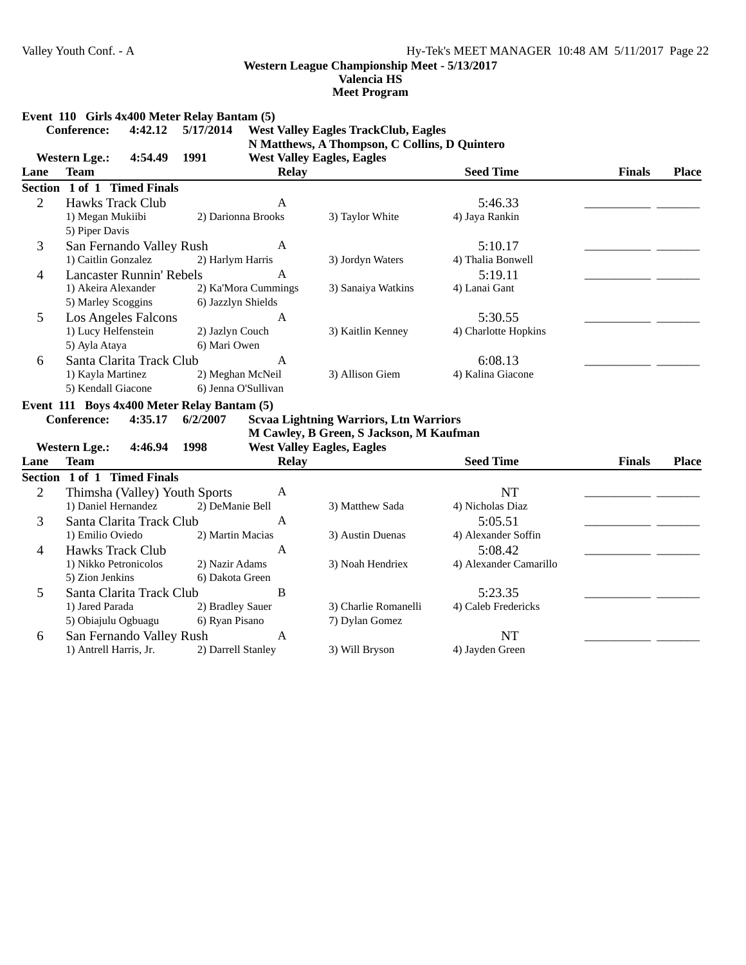**Valencia HS Meet Program**

#### **Event 110 Girls 4x400 Meter Relay Bantam (5)**

## **Conference:** 4:42.12 5/17/2014 West Valley Eagles TrackClub, Eagles **N Matthews, A Thompson, C Collins, D Quintero**

**Western Lge.:** 4:54.49 1991 West Valley Eagles, Eagles **Lane Team Relay Place Seed Time Finals Section 1 of 1 Timed Finals** 2 Hawks Track Club A 5:46.33 1) Megan Mukiibi 2) Darionna Brooks 3) Taylor White 4) Jaya Rankin 5) Piper Davis 3 San Fernando Valley Rush A 5:10.17<br>1) Caitlin Gonzalez 2) Harlym Harris 3) Jordyn Waters 4) Thalia Bonw 2) Harlym Harris 3) Jordyn Waters 4) Thalia Bonwell 4 Lancaster Runnin' Rebels A 5:19.11 \_\_\_\_\_\_\_\_\_\_\_ \_\_\_\_\_\_\_ 1) Akeira Alexander 4) Lanai Gant 2) Ka'Mora Cummings 3) Sanaiya Watkins 5) Marley Scoggins 6) Jazzlyn Shields 5 Los Angeles Falcons A 5:30.55 1) Lucy Helfenstein 4) Charlotte Hopkins 2) Jazlyn Couch 3) Kaitlin Kenney 5) Ayla Ataya 6) Mari Owen 6 Santa Clarita Track Club A 6:08.13<br>
1) Kayla Martinez 2) Meghan McNeil 3) Allison Giem 4) Kalina Giacone 1) Kayla Martinez 5) Kendall Giacone 6) Jenna O'Sullivan

**Event 111 Boys 4x400 Meter Relay Bantam (5)**

Conference: 4:35.17 6/2/2007 Sevaa Lightning Warriors, Ltn Warriors

**M Cawley, B Green, S Jackson, M Kaufman Western Lge.: 4:46.94 West Valley Eagles, Eagles 1998**

|      | $\bf{WQWIII}$<br>コ・コリ・ノコ エノノリ |                    |              | west valley Eagles, Eagles |                        |               |              |
|------|-------------------------------|--------------------|--------------|----------------------------|------------------------|---------------|--------------|
| Lane | <b>Team</b>                   |                    | <b>Relay</b> |                            | <b>Seed Time</b>       | <b>Finals</b> | <b>Place</b> |
|      | Section 1 of 1 Timed Finals   |                    |              |                            |                        |               |              |
|      | Thimsha (Valley) Youth Sports |                    | A            |                            | NT                     |               |              |
|      | 1) Daniel Hernandez           | 2) DeManie Bell    |              | 3) Matthew Sada            | 4) Nicholas Diaz       |               |              |
| 3    | Santa Clarita Track Club      |                    | А            |                            | 5:05.51                |               |              |
|      | 1) Emilio Oviedo              | 2) Martin Macias   |              | 3) Austin Duenas           | 4) Alexander Soffin    |               |              |
| 4    | Hawks Track Club              |                    | A            |                            | 5:08.42                |               |              |
|      | 1) Nikko Petronicolos         | 2) Nazir Adams     |              | 3) Noah Hendriex           | 4) Alexander Camarillo |               |              |
|      | 5) Zion Jenkins               | 6) Dakota Green    |              |                            |                        |               |              |
| 5.   | Santa Clarita Track Club      |                    | B            |                            | 5:23.35                |               |              |
|      | 1) Jared Parada               | 2) Bradley Sauer   |              | 3) Charlie Romanelli       | 4) Caleb Fredericks    |               |              |
|      | 5) Obiajulu Ogbuagu           | 6) Ryan Pisano     |              | 7) Dylan Gomez             |                        |               |              |
| 6    | San Fernando Valley Rush      |                    | А            |                            | NT                     |               |              |
|      | 1) Antrell Harris, Jr.        | 2) Darrell Stanley |              | 3) Will Bryson             | 4) Jayden Green        |               |              |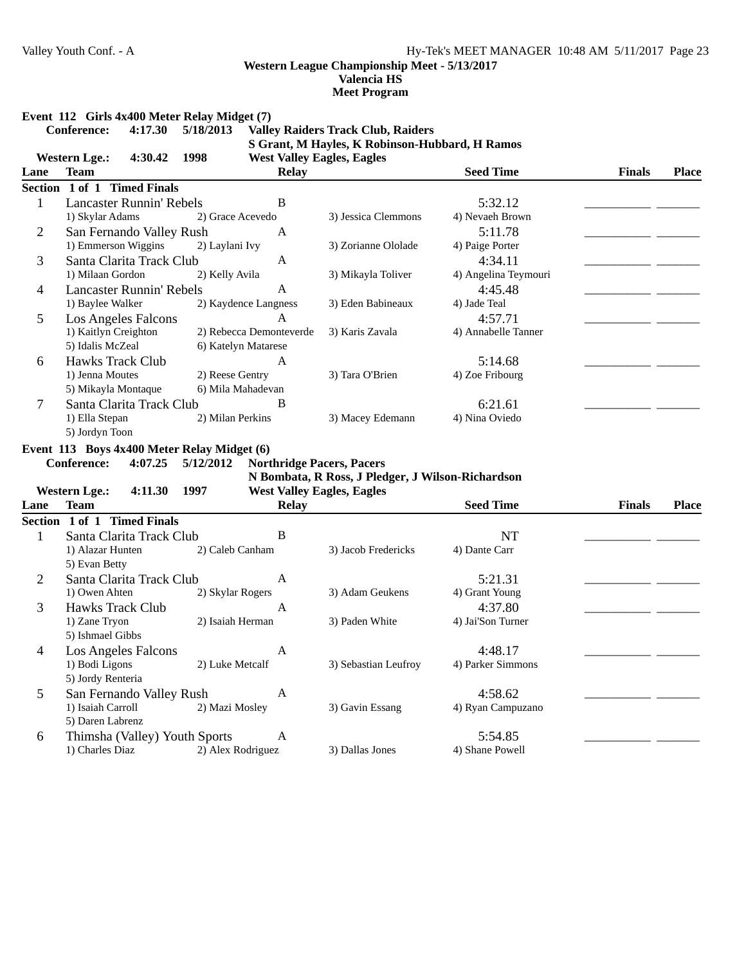**Valencia HS Meet Program**

# **Event 112 Girls 4x400 Meter Relay Midget (7)**<br>Conference: 4:17.30 5/18/2013 Valle

# **Conference: 4:17.30 Valle 5/18/2013 y Raiders Track Club, Raiders S Grant, M Hayles, K Robinson-Hubbard, H Ramos**

|                | <b>Western Lge.:</b><br>4:30.42             | 1998                | <b>West Valley Eagles, Eagles</b> |                                                   |                      |               |              |
|----------------|---------------------------------------------|---------------------|-----------------------------------|---------------------------------------------------|----------------------|---------------|--------------|
| Lane           | <b>Team</b>                                 |                     | <b>Relay</b>                      |                                                   | <b>Seed Time</b>     | <b>Finals</b> | <b>Place</b> |
|                | Section 1 of 1 Timed Finals                 |                     |                                   |                                                   |                      |               |              |
| $\mathbf{1}$   | <b>Lancaster Runnin' Rebels</b>             |                     | $\bf{B}$                          |                                                   | 5:32.12              |               |              |
|                | 1) Skylar Adams                             | 2) Grace Acevedo    |                                   | 3) Jessica Clemmons                               | 4) Nevaeh Brown      |               |              |
| $\overline{2}$ | San Fernando Valley Rush                    |                     | A                                 |                                                   | 5:11.78              |               |              |
|                | 1) Emmerson Wiggins                         | 2) Laylani Ivy      |                                   | 3) Zorianne Ololade                               | 4) Paige Porter      |               |              |
| 3              | Santa Clarita Track Club                    |                     | A                                 |                                                   | 4:34.11              |               |              |
|                | 1) Milaan Gordon                            | 2) Kelly Avila      |                                   | 3) Mikayla Toliver                                | 4) Angelina Teymouri |               |              |
| 4              | <b>Lancaster Runnin' Rebels</b>             |                     | $\mathbf{A}$                      |                                                   | 4:45.48              |               |              |
|                | 1) Baylee Walker                            |                     | 2) Kaydence Langness              | 3) Eden Babineaux                                 | 4) Jade Teal         |               |              |
| 5              | <b>Los Angeles Falcons</b>                  |                     | A                                 |                                                   | 4:57.71              |               |              |
|                | 1) Kaitlyn Creighton                        |                     | 2) Rebecca Demonteverde           | 3) Karis Zavala                                   | 4) Annabelle Tanner  |               |              |
|                | 5) Idalis McZeal                            | 6) Katelyn Matarese |                                   |                                                   |                      |               |              |
| 6              | <b>Hawks Track Club</b>                     |                     | $\mathbf{A}$                      |                                                   | 5:14.68              |               |              |
|                | 1) Jenna Moutes                             | 2) Reese Gentry     |                                   | 3) Tara O'Brien                                   | 4) Zoe Fribourg      |               |              |
|                | 5) Mikayla Montaque                         | 6) Mila Mahadevan   |                                   |                                                   |                      |               |              |
| 7              | Santa Clarita Track Club                    |                     | B                                 |                                                   | 6:21.61              |               |              |
|                | 1) Ella Stepan                              | 2) Milan Perkins    |                                   | 3) Macey Edemann                                  | 4) Nina Oviedo       |               |              |
|                | 5) Jordyn Toon                              |                     |                                   |                                                   |                      |               |              |
|                | Event 113 Boys 4x400 Meter Relay Midget (6) |                     |                                   |                                                   |                      |               |              |
|                | <b>Conference:</b><br>4:07.25               | 5/12/2012           | <b>Northridge Pacers, Pacers</b>  |                                                   |                      |               |              |
|                |                                             |                     |                                   | N Bombata, R Ross, J Pledger, J Wilson-Richardson |                      |               |              |
|                | <b>Western Lge.:</b><br>4:11.30             | 1997                | <b>West Valley Eagles, Eagles</b> |                                                   |                      |               |              |
| Lane           | <b>Team</b>                                 |                     | <b>Relay</b>                      |                                                   | <b>Seed Time</b>     | <b>Finals</b> | <b>Place</b> |
|                | Section 1 of 1 Timed Finals                 |                     |                                   |                                                   |                      |               |              |
| $\mathbf{1}$   | Santa Clarita Track Club                    |                     | $\bf{B}$                          |                                                   | <b>NT</b>            |               |              |
|                | 1) Alazar Hunten                            | 2) Caleb Canham     |                                   | 3) Jacob Fredericks                               | 4) Dante Carr        |               |              |
|                | 5) Evan Betty                               |                     |                                   |                                                   |                      |               |              |
| $\overline{2}$ | Santa Clarita Track Club                    |                     | A                                 |                                                   | 5:21.31              |               |              |
|                | 1) Owen Ahten                               | 2) Skylar Rogers    |                                   | 3) Adam Geukens                                   | 4) Grant Young       |               |              |
| 3              | <b>Hawks Track Club</b>                     |                     | A                                 |                                                   | 4:37.80              |               |              |
|                | 1) Zane Tryon                               | 2) Isaiah Herman    |                                   | 3) Paden White                                    | 4) Jai'Son Turner    |               |              |
|                | 5) Ishmael Gibbs                            |                     |                                   |                                                   |                      |               |              |
| 4              | Los Angeles Falcons                         |                     | A                                 |                                                   | 4:48.17              |               |              |
|                | 1) Bodi Ligons                              | 2) Luke Metcalf     |                                   | 3) Sebastian Leufroy                              | 4) Parker Simmons    |               |              |
|                | 5) Jordy Renteria                           |                     |                                   |                                                   |                      |               |              |
| 5              | San Fernando Valley Rush                    |                     | A                                 |                                                   | 4:58.62              |               |              |
|                | 1) Isaiah Carroll                           | 2) Mazi Mosley      |                                   | 3) Gavin Essang                                   | 4) Ryan Campuzano    |               |              |
|                | 5) Daren Labrenz                            |                     |                                   |                                                   |                      |               |              |
| 6              | Thimsha (Valley) Youth Sports               |                     | A                                 |                                                   | 5:54.85              |               |              |
|                | 1) Charles Diaz                             | 2) Alex Rodriguez   |                                   | 3) Dallas Jones                                   | 4) Shane Powell      |               |              |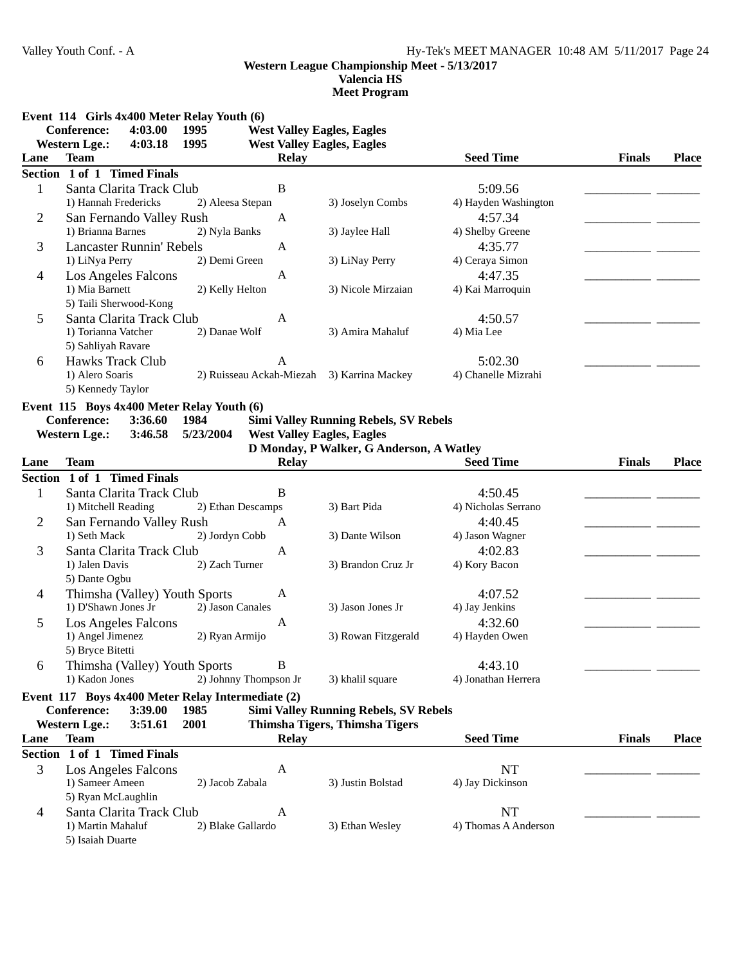5) Isaiah Duarte

# **Western League Championship Meet - 5/13/2017 Valencia HS**

**Meet Program**

**Event 114 Girls 4x400 Meter Relay Youth (6)**

|                | Conference:                     | 4:03.00 | 1995                                              |                          | <b>West Valley Eagles, Eagles</b>            |                      |               |              |
|----------------|---------------------------------|---------|---------------------------------------------------|--------------------------|----------------------------------------------|----------------------|---------------|--------------|
|                | <b>Western Lge.:</b>            | 4:03.18 | 1995                                              |                          | <b>West Valley Eagles, Eagles</b>            |                      |               |              |
| Lane           | <b>Team</b>                     |         |                                                   | <b>Relay</b>             |                                              | <b>Seed Time</b>     | <b>Finals</b> | <b>Place</b> |
|                | Section 1 of 1 Timed Finals     |         |                                                   |                          |                                              |                      |               |              |
| $\mathbf{1}$   | Santa Clarita Track Club        |         |                                                   | $\, {\bf B}$             |                                              | 5:09.56              |               |              |
|                | 1) Hannah Fredericks            |         | 2) Aleesa Stepan                                  |                          | 3) Joselyn Combs                             | 4) Hayden Washington |               |              |
| $\overline{2}$ | San Fernando Valley Rush        |         |                                                   | $\mathbf{A}$             |                                              | 4:57.34              |               |              |
|                | 1) Brianna Barnes               |         | 2) Nyla Banks                                     |                          | 3) Jaylee Hall                               | 4) Shelby Greene     |               |              |
| 3              | <b>Lancaster Runnin' Rebels</b> |         |                                                   | A                        |                                              | 4:35.77              |               |              |
|                | 1) LiNya Perry                  |         | 2) Demi Green                                     |                          | 3) LiNay Perry                               | 4) Ceraya Simon      |               |              |
| 4              | <b>Los Angeles Falcons</b>      |         |                                                   | A                        |                                              | 4:47.35              |               |              |
|                | 1) Mia Barnett                  |         | 2) Kelly Helton                                   |                          | 3) Nicole Mirzaian                           | 4) Kai Marroquin     |               |              |
|                | 5) Taili Sherwood-Kong          |         |                                                   |                          |                                              |                      |               |              |
| 5              | Santa Clarita Track Club        |         |                                                   | A                        |                                              | 4:50.57              |               |              |
|                | 1) Torianna Vatcher             |         | 2) Danae Wolf                                     |                          | 3) Amira Mahaluf                             | 4) Mia Lee           |               |              |
|                | 5) Sahliyah Ravare              |         |                                                   |                          |                                              |                      |               |              |
| 6              | Hawks Track Club                |         |                                                   | A                        |                                              | 5:02.30              |               |              |
|                | 1) Alero Soaris                 |         |                                                   | 2) Ruisseau Ackah-Miezah | 3) Karrina Mackey                            | 4) Chanelle Mizrahi  |               |              |
|                | 5) Kennedy Taylor               |         |                                                   |                          |                                              |                      |               |              |
|                |                                 |         | Event 115 Boys 4x400 Meter Relay Youth (6)        |                          |                                              |                      |               |              |
|                | <b>Conference:</b>              | 3:36.60 | 1984                                              |                          | <b>Simi Valley Running Rebels, SV Rebels</b> |                      |               |              |
|                | <b>Western Lge.:</b>            | 3:46.58 | 5/23/2004                                         |                          | <b>West Valley Eagles, Eagles</b>            |                      |               |              |
|                |                                 |         |                                                   |                          | D Monday, P Walker, G Anderson, A Watley     |                      |               |              |
| Lane           | <b>Team</b>                     |         |                                                   | <b>Relay</b>             |                                              | <b>Seed Time</b>     | <b>Finals</b> | <b>Place</b> |
|                | Section 1 of 1 Timed Finals     |         |                                                   |                          |                                              |                      |               |              |
| 1              | Santa Clarita Track Club        |         |                                                   | B                        |                                              | 4:50.45              |               |              |
|                | 1) Mitchell Reading             |         | 2) Ethan Descamps                                 |                          | 3) Bart Pida                                 | 4) Nicholas Serrano  |               |              |
| $\overline{2}$ | San Fernando Valley Rush        |         |                                                   | A                        |                                              | 4:40.45              |               |              |
|                | 1) Seth Mack                    |         | 2) Jordyn Cobb                                    |                          | 3) Dante Wilson                              | 4) Jason Wagner      |               |              |
| 3              | Santa Clarita Track Club        |         |                                                   | A                        |                                              | 4:02.83              |               |              |
|                | 1) Jalen Davis                  |         | 2) Zach Turner                                    |                          | 3) Brandon Cruz Jr                           | 4) Kory Bacon        |               |              |
|                | 5) Dante Ogbu                   |         |                                                   |                          |                                              |                      |               |              |
| $\overline{4}$ |                                 |         | Thimsha (Valley) Youth Sports                     | A                        |                                              | 4:07.52              |               |              |
|                | 1) D'Shawn Jones Jr             |         | 2) Jason Canales                                  |                          | 3) Jason Jones Jr                            | 4) Jay Jenkins       |               |              |
| 5              | <b>Los Angeles Falcons</b>      |         |                                                   | A                        |                                              | 4:32.60              |               |              |
|                | 1) Angel Jimenez                |         | 2) Ryan Armijo                                    |                          | 3) Rowan Fitzgerald                          | 4) Hayden Owen       |               |              |
|                | 5) Bryce Bitetti                |         |                                                   |                          |                                              |                      |               |              |
| 6              |                                 |         | Thimsha (Valley) Youth Sports                     | B                        |                                              | 4:43.10              |               |              |
|                | 1) Kadon Jones                  |         | 2) Johnny Thompson Jr                             |                          | 3) khalil square                             | 4) Jonathan Herrera  |               |              |
|                |                                 |         | Event 117 Boys 4x400 Meter Relay Intermediate (2) |                          |                                              |                      |               |              |
|                | <b>Conference:</b>              | 3:39.00 | 1985                                              |                          | <b>Simi Valley Running Rebels, SV Rebels</b> |                      |               |              |
|                | <b>Western Lge.:</b>            | 3:51.61 | 2001                                              |                          | Thimsha Tigers, Thimsha Tigers               |                      |               |              |
| Lane           | <b>Team</b>                     |         |                                                   | <b>Relay</b>             |                                              | <b>Seed Time</b>     | <b>Finals</b> | <b>Place</b> |
| <b>Section</b> | 1 of 1 Timed Finals             |         |                                                   |                          |                                              |                      |               |              |
| 3              | Los Angeles Falcons             |         |                                                   | A                        |                                              | NT                   |               |              |
|                | 1) Sameer Ameen                 |         | 2) Jacob Zabala                                   |                          | 3) Justin Bolstad                            | 4) Jay Dickinson     |               |              |
|                | 5) Ryan McLaughlin              |         |                                                   |                          |                                              |                      |               |              |
| 4              | Santa Clarita Track Club        |         |                                                   | A                        |                                              | NT                   |               |              |
|                | 1) Martin Mahaluf               |         | 2) Blake Gallardo                                 |                          | 3) Ethan Wesley                              | 4) Thomas A Anderson |               |              |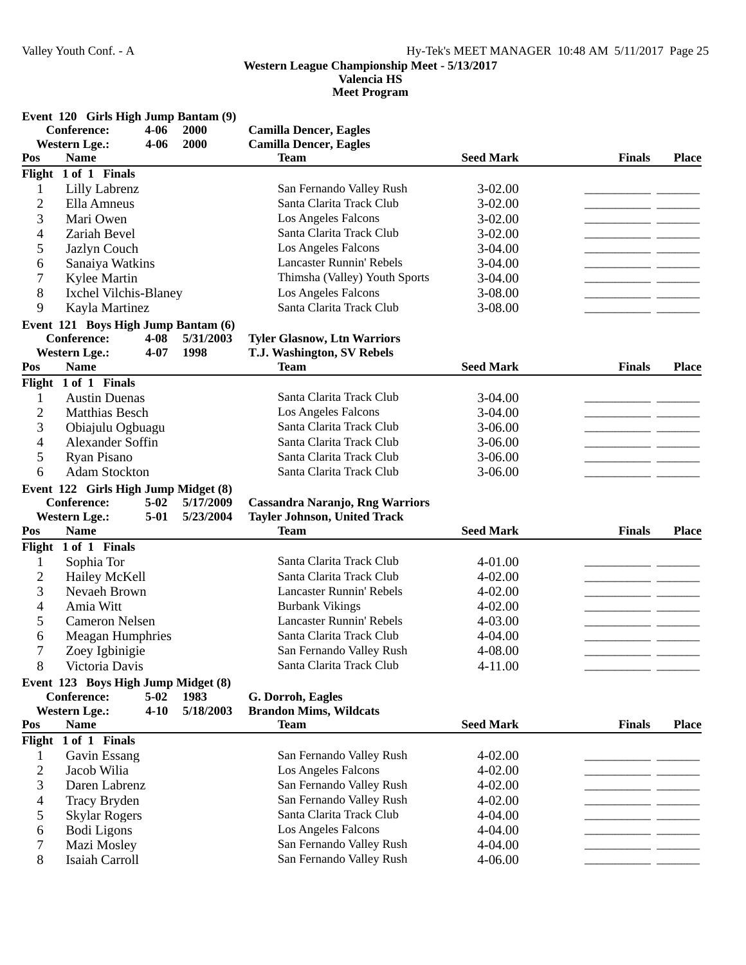**Valencia HS**

|  |  |  |  |  | Event 120 Girls High Jump Bantam (9) |  |  |
|--|--|--|--|--|--------------------------------------|--|--|
|--|--|--|--|--|--------------------------------------|--|--|

| Conference:    |                                                     | $4 - 06$              | 2000      | <b>Camilla Dencer, Eagles</b>                                                 |                  |               |              |  |
|----------------|-----------------------------------------------------|-----------------------|-----------|-------------------------------------------------------------------------------|------------------|---------------|--------------|--|
|                | <b>Western Lge.:</b>                                | $4 - 06$              | 2000      | <b>Camilla Dencer, Eagles</b>                                                 |                  |               |              |  |
| Pos            | <b>Name</b>                                         |                       |           | <b>Team</b>                                                                   | <b>Seed Mark</b> | <b>Finals</b> | <b>Place</b> |  |
| Flight         | 1 of 1 Finals                                       |                       |           |                                                                               |                  |               |              |  |
| $\mathbf{1}$   | Lilly Labrenz                                       |                       |           | San Fernando Valley Rush                                                      | $3 - 02.00$      |               |              |  |
| $\overline{c}$ | Ella Amneus                                         |                       |           | Santa Clarita Track Club                                                      | 3-02.00          |               |              |  |
| 3              | Mari Owen                                           |                       |           | Los Angeles Falcons                                                           | 3-02.00          |               |              |  |
| 4              | Zariah Bevel                                        |                       |           | Santa Clarita Track Club                                                      | 3-02.00          |               |              |  |
| 5              | Jazlyn Couch                                        |                       |           | <b>Los Angeles Falcons</b>                                                    | $3-04.00$        |               |              |  |
| 6              | Sanaiya Watkins                                     |                       |           | Lancaster Runnin' Rebels                                                      | 3-04.00          |               |              |  |
| 7              | Kylee Martin                                        |                       |           | Thimsha (Valley) Youth Sports                                                 | $3-04.00$        |               |              |  |
| 8              | Ixchel Vilchis-Blaney                               |                       |           | Los Angeles Falcons                                                           | 3-08.00          |               |              |  |
| 9              | Kayla Martinez                                      |                       |           | Santa Clarita Track Club                                                      | 3-08.00          |               |              |  |
|                | Event 121 Boys High Jump Bantam (6)                 |                       |           |                                                                               |                  |               |              |  |
|                | <b>Conference:</b>                                  | $4 - 08$              | 5/31/2003 | <b>Tyler Glasnow, Ltn Warriors</b>                                            |                  |               |              |  |
|                | <b>Western Lge.:</b>                                | $4 - 07$              | 1998      | T.J. Washington, SV Rebels                                                    |                  |               |              |  |
| Pos            | <b>Name</b>                                         |                       |           | <b>Team</b>                                                                   | <b>Seed Mark</b> | <b>Finals</b> | <b>Place</b> |  |
|                | Flight 1 of 1 Finals                                |                       |           |                                                                               |                  |               |              |  |
| 1              | <b>Austin Duenas</b>                                |                       |           | Santa Clarita Track Club                                                      | $3-04.00$        |               |              |  |
| $\overline{2}$ | <b>Matthias Besch</b>                               |                       |           | Los Angeles Falcons                                                           | $3-04.00$        |               |              |  |
| 3              | Obiajulu Ogbuagu                                    |                       |           | Santa Clarita Track Club                                                      | $3-06.00$        |               |              |  |
| 4              | Alexander Soffin                                    |                       |           | Santa Clarita Track Club                                                      | $3 - 06.00$      |               |              |  |
| 5              | Ryan Pisano                                         |                       |           | Santa Clarita Track Club                                                      | $3 - 06.00$      |               |              |  |
| 6              | <b>Adam Stockton</b>                                |                       |           | Santa Clarita Track Club                                                      | $3 - 06.00$      |               |              |  |
|                |                                                     |                       |           |                                                                               |                  |               |              |  |
|                | Event 122 Girls High Jump Midget (8)<br>Conference: | $5 - 02$              | 5/17/2009 |                                                                               |                  |               |              |  |
|                | <b>Western Lge.:</b>                                | $5 - 01$              | 5/23/2004 | <b>Cassandra Naranjo, Rng Warriors</b><br><b>Tayler Johnson, United Track</b> |                  |               |              |  |
| Pos            | <b>Name</b>                                         |                       |           | <b>Team</b>                                                                   | <b>Seed Mark</b> | <b>Finals</b> | <b>Place</b> |  |
| Flight         | 1 of 1 Finals                                       |                       |           |                                                                               |                  |               |              |  |
|                |                                                     |                       |           | Santa Clarita Track Club                                                      | 4-01.00          |               |              |  |
| 1              | Sophia Tor                                          |                       |           | Santa Clarita Track Club                                                      |                  |               |              |  |
| $\overline{c}$ | Hailey McKell                                       |                       |           |                                                                               | 4-02.00          | $\sim$        |              |  |
| 3              | Nevaeh Brown                                        |                       |           | <b>Lancaster Runnin' Rebels</b>                                               | $4 - 02.00$      |               |              |  |
| 4              | Amia Witt                                           |                       |           | <b>Burbank Vikings</b>                                                        | 4-02.00          |               |              |  |
| 5              | <b>Cameron Nelsen</b>                               |                       |           | <b>Lancaster Runnin' Rebels</b>                                               | 4-03.00          |               |              |  |
| 6              | Meagan Humphries                                    |                       |           | Santa Clarita Track Club                                                      | 4-04.00          |               |              |  |
| 7              | Zoey Igbinigie                                      |                       |           | San Fernando Valley Rush                                                      | 4-08.00          |               |              |  |
| 8              | Victoria Davis                                      |                       |           | Santa Clarita Track Club                                                      | 4-11.00          |               |              |  |
|                | Event 123 Boys High Jump Midget (8)                 |                       |           |                                                                               |                  |               |              |  |
|                | Conference:                                         | $5 - 02$              | 1983      | G. Dorroh, Eagles                                                             |                  |               |              |  |
|                | <b>Western Lge.:</b>                                | $4 - 10$              | 5/18/2003 | <b>Brandon Mims, Wildcats</b>                                                 |                  |               |              |  |
| Pos            | <b>Name</b>                                         |                       |           | <b>Team</b>                                                                   | <b>Seed Mark</b> | <b>Finals</b> | <b>Place</b> |  |
| Flight         | 1 of 1 Finals                                       |                       |           |                                                                               |                  |               |              |  |
| 1              | Gavin Essang                                        |                       |           | San Fernando Valley Rush                                                      | 4-02.00          |               |              |  |
| $\mathfrak{2}$ | Jacob Wilia                                         |                       |           | Los Angeles Falcons                                                           | 4-02.00          |               |              |  |
| 3              | Daren Labrenz                                       |                       |           | San Fernando Valley Rush                                                      | $4 - 02.00$      |               |              |  |
| 4              | Tracy Bryden                                        |                       |           | San Fernando Valley Rush                                                      | 4-02.00          |               |              |  |
| 5              | <b>Skylar Rogers</b>                                |                       |           | Santa Clarita Track Club                                                      | 4-04.00          |               |              |  |
| 6              | <b>Bodi</b> Ligons                                  |                       |           | Los Angeles Falcons                                                           | 4-04.00          |               |              |  |
| 7              | Mazi Mosley                                         |                       |           | San Fernando Valley Rush                                                      | 4-04.00          |               |              |  |
| 8              |                                                     | <b>Isaiah Carroll</b> |           | San Fernando Valley Rush                                                      | 4-06.00          |               |              |  |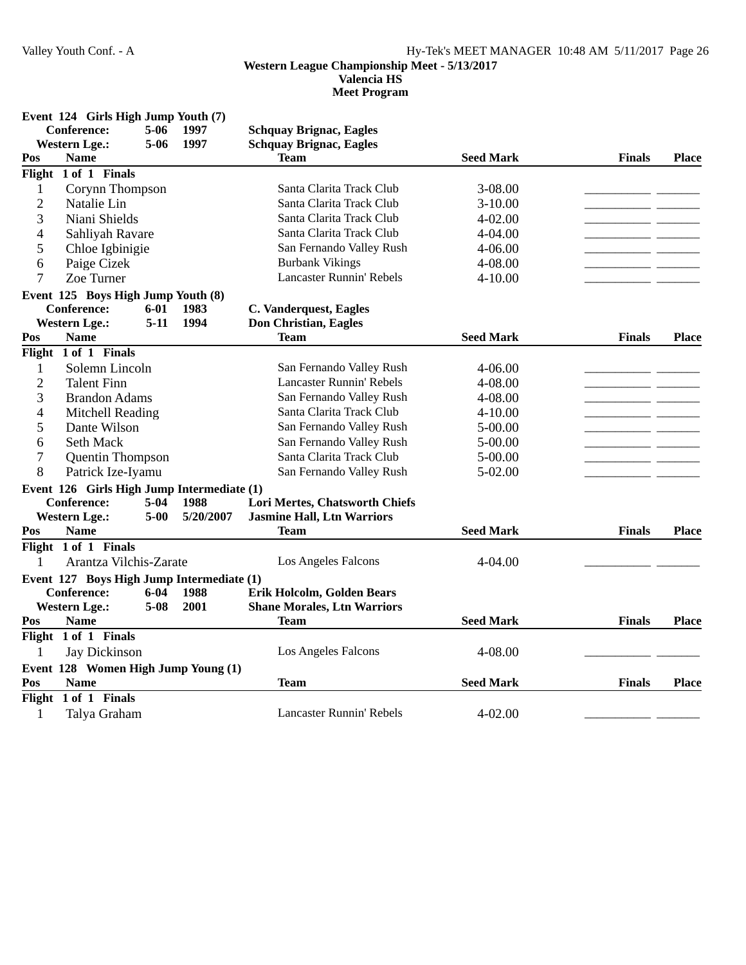## **Western League Championship Meet - 5/13/2017 Valencia HS**

|                | Event 124 Girls High Jump Youth (7)<br><b>Conference:</b> | $5-06$   | 1997      | <b>Schquay Brignac, Eagles</b>     |                  |               |              |
|----------------|-----------------------------------------------------------|----------|-----------|------------------------------------|------------------|---------------|--------------|
|                | <b>Western Lge.:</b>                                      | $5 - 06$ | 1997      | <b>Schquay Brignac, Eagles</b>     |                  |               |              |
| Pos            | <b>Name</b>                                               |          |           | Team                               | <b>Seed Mark</b> | <b>Finals</b> | <b>Place</b> |
|                | Flight 1 of 1 Finals                                      |          |           |                                    |                  |               |              |
| $\mathbf{1}$   | Corynn Thompson                                           |          |           | Santa Clarita Track Club           | 3-08.00          |               |              |
| $\overline{c}$ | Natalie Lin                                               |          |           | Santa Clarita Track Club           | $3-10.00$        |               |              |
| 3              | Niani Shields                                             |          |           | Santa Clarita Track Club           | 4-02.00          |               |              |
| 4              | Sahliyah Ravare                                           |          |           | Santa Clarita Track Club           | 4-04.00          |               |              |
| 5              | Chloe Igbinigie                                           |          |           | San Fernando Valley Rush           | 4-06.00          |               |              |
| 6              | Paige Cizek                                               |          |           | <b>Burbank Vikings</b>             | 4-08.00          |               |              |
| 7              | Zoe Turner                                                |          |           | <b>Lancaster Runnin' Rebels</b>    | $4 - 10.00$      |               |              |
|                | Event 125 Boys High Jump Youth (8)                        |          |           |                                    |                  |               |              |
|                | <b>Conference:</b>                                        | $6 - 01$ | 1983      | C. Vanderquest, Eagles             |                  |               |              |
|                | <b>Western Lge.:</b>                                      | $5 - 11$ | 1994      | <b>Don Christian, Eagles</b>       |                  |               |              |
| Pos            | <b>Name</b>                                               |          |           | <b>Team</b>                        | <b>Seed Mark</b> | <b>Finals</b> | <b>Place</b> |
|                | Flight 1 of 1 Finals                                      |          |           |                                    |                  |               |              |
| $\mathbf{1}$   | Solemn Lincoln                                            |          |           | San Fernando Valley Rush           | 4-06.00          |               |              |
| $\overline{c}$ | <b>Talent Finn</b>                                        |          |           | Lancaster Runnin' Rebels           | 4-08.00          |               |              |
| 3              | <b>Brandon Adams</b>                                      |          |           | San Fernando Valley Rush           | 4-08.00          | $\sim$ $\sim$ |              |
| 4              | Mitchell Reading                                          |          |           | Santa Clarita Track Club           | $4 - 10.00$      |               |              |
| 5              | Dante Wilson                                              |          |           | San Fernando Valley Rush           | 5-00.00          |               |              |
| 6              | <b>Seth Mack</b>                                          |          |           | San Fernando Valley Rush           | 5-00.00          | - -           |              |
| $\overline{7}$ | Quentin Thompson                                          |          |           | Santa Clarita Track Club           | 5-00.00          |               |              |
| 8              | Patrick Ize-Iyamu                                         |          |           | San Fernando Valley Rush           | $5 - 02.00$      |               |              |
|                | Event 126 Girls High Jump Intermediate (1)                |          |           |                                    |                  |               |              |
|                | <b>Conference:</b>                                        | $5-04$   | 1988      | Lori Mertes, Chatsworth Chiefs     |                  |               |              |
|                | <b>Western Lge.:</b>                                      | $5 - 00$ | 5/20/2007 | <b>Jasmine Hall, Ltn Warriors</b>  |                  |               |              |
| Pos            | <b>Name</b>                                               |          |           | <b>Team</b>                        | <b>Seed Mark</b> | <b>Finals</b> | <b>Place</b> |
|                | Flight 1 of 1 Finals                                      |          |           |                                    |                  |               |              |
| 1              | Arantza Vilchis-Zarate                                    |          |           | Los Angeles Falcons                | 4-04.00          |               |              |
|                | Event 127 Boys High Jump Intermediate (1)                 |          |           |                                    |                  |               |              |
|                | <b>Conference:</b>                                        | $6 - 04$ | 1988      | Erik Holcolm, Golden Bears         |                  |               |              |
|                | <b>Western Lge.:</b>                                      | $5 - 08$ | 2001      | <b>Shane Morales, Ltn Warriors</b> |                  |               |              |
| Pos            | <b>Name</b>                                               |          |           | <b>Team</b>                        | <b>Seed Mark</b> | <b>Finals</b> | <b>Place</b> |
|                | Flight 1 of 1 Finals                                      |          |           |                                    |                  |               |              |
| $\mathbf{1}$   | Jay Dickinson                                             |          |           | Los Angeles Falcons                | 4-08.00          |               |              |
|                | Event 128 Women High Jump Young (1)                       |          |           |                                    |                  |               |              |
| Pos            | <b>Name</b>                                               |          |           | <b>Team</b>                        | <b>Seed Mark</b> | <b>Finals</b> | <b>Place</b> |
| Flight         | 1 of 1 Finals                                             |          |           |                                    |                  |               |              |
| 1              | Talya Graham                                              |          |           | Lancaster Runnin' Rebels           | $4 - 02.00$      |               |              |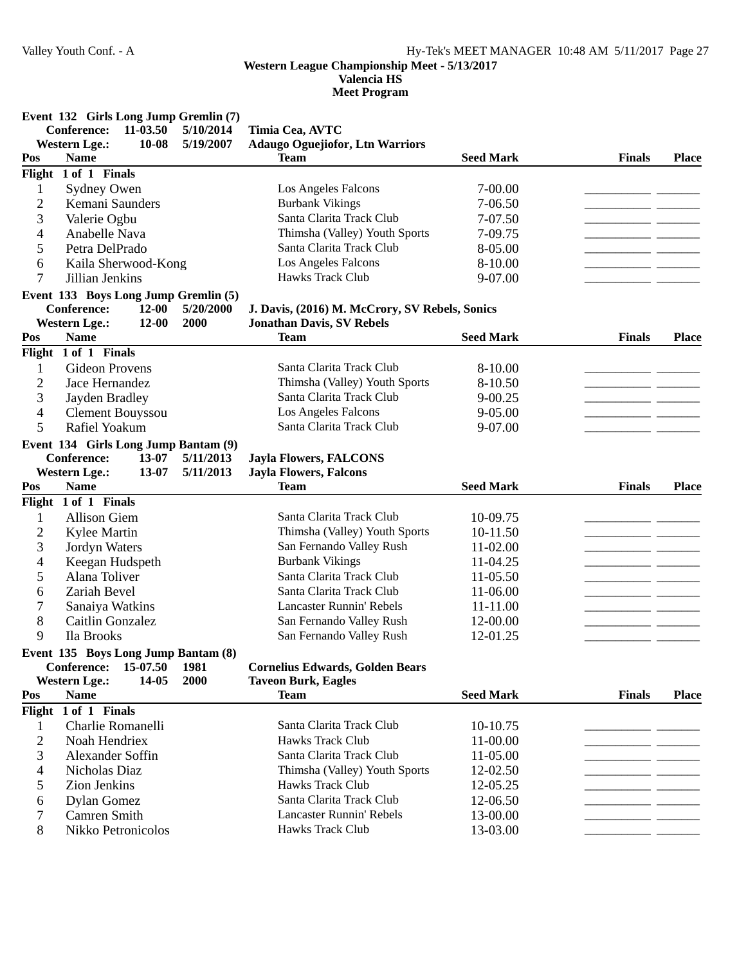# **Valencia HS**

|                | Event 132 Girls Long Jump Gremlin (7) |           |                                                |                  |               |              |
|----------------|---------------------------------------|-----------|------------------------------------------------|------------------|---------------|--------------|
|                | 11-03.50<br><b>Conference:</b>        | 5/10/2014 | Timia Cea, AVTC                                |                  |               |              |
|                | <b>Western Lge.:</b><br>10-08         | 5/19/2007 | <b>Adaugo Oguejiofor, Ltn Warriors</b>         |                  |               |              |
| Pos            | <b>Name</b>                           |           | <b>Team</b>                                    | <b>Seed Mark</b> | <b>Finals</b> | <b>Place</b> |
|                | Flight 1 of 1 Finals                  |           |                                                |                  |               |              |
| 1              | Sydney Owen                           |           | Los Angeles Falcons                            | 7-00.00          |               |              |
| $\overline{c}$ | Kemani Saunders                       |           | <b>Burbank Vikings</b>                         | 7-06.50          |               |              |
| 3              | Valerie Ogbu                          |           | Santa Clarita Track Club                       | 7-07.50          |               |              |
| 4              | Anabelle Nava                         |           | Thimsha (Valley) Youth Sports                  | 7-09.75          |               |              |
| 5              | Petra DelPrado                        |           | Santa Clarita Track Club                       | 8-05.00          | - -           |              |
| 6              | Kaila Sherwood-Kong                   |           | Los Angeles Falcons                            | 8-10.00          |               |              |
| $\overline{7}$ | Jillian Jenkins                       |           | Hawks Track Club                               | 9-07.00          |               |              |
|                | Event 133 Boys Long Jump Gremlin (5)  |           |                                                |                  |               |              |
|                | <b>Conference:</b><br>$12 - 00$       | 5/20/2000 | J. Davis, (2016) M. McCrory, SV Rebels, Sonics |                  |               |              |
|                | <b>Western Lge.:</b><br>$12 - 00$     | 2000      | <b>Jonathan Davis, SV Rebels</b>               |                  |               |              |
| Pos            | <b>Name</b>                           |           | <b>Team</b>                                    | <b>Seed Mark</b> | <b>Finals</b> | <b>Place</b> |
|                | Flight 1 of 1 Finals                  |           |                                                |                  |               |              |
| 1              | <b>Gideon Provens</b>                 |           | Santa Clarita Track Club                       | 8-10.00          |               |              |
| $\overline{c}$ | Jace Hernandez                        |           | Thimsha (Valley) Youth Sports                  | 8-10.50          |               |              |
| 3              | Jayden Bradley                        |           | Santa Clarita Track Club                       | $9 - 00.25$      |               |              |
| 4              | Clement Bouyssou                      |           | Los Angeles Falcons                            | 9-05.00          |               |              |
| 5              | Rafiel Yoakum                         |           | Santa Clarita Track Club                       | 9-07.00          |               |              |
|                |                                       |           |                                                |                  |               |              |
|                | Event 134 Girls Long Jump Bantam (9)  |           |                                                |                  |               |              |
|                | <b>Conference:</b><br>13-07           | 5/11/2013 | <b>Jayla Flowers, FALCONS</b>                  |                  |               |              |
|                | <b>Western Lge.:</b><br>13-07         | 5/11/2013 | <b>Jayla Flowers, Falcons</b>                  |                  |               |              |
| Pos            | <b>Name</b>                           |           | <b>Team</b>                                    | <b>Seed Mark</b> | <b>Finals</b> | <b>Place</b> |
|                | Flight 1 of 1 Finals                  |           |                                                |                  |               |              |
| 1              | <b>Allison Giem</b>                   |           | Santa Clarita Track Club                       | 10-09.75         | - -           |              |
| $\overline{c}$ | Kylee Martin                          |           | Thimsha (Valley) Youth Sports                  | 10-11.50         | - -           |              |
| 3              | Jordyn Waters                         |           | San Fernando Valley Rush                       | 11-02.00         | - -           |              |
| 4              | Keegan Hudspeth                       |           | <b>Burbank Vikings</b>                         | 11-04.25         | - -           |              |
| 5              | Alana Toliver                         |           | Santa Clarita Track Club                       | 11-05.50         |               |              |
| 6              | Zariah Bevel                          |           | Santa Clarita Track Club                       | 11-06.00         | - -           |              |
| 7              | Sanaiya Watkins                       |           | <b>Lancaster Runnin' Rebels</b>                | 11-11.00         | - -           |              |
| 8              | Caitlin Gonzalez                      |           | San Fernando Valley Rush                       | 12-00.00         | $\sim$        |              |
| 9              | Ila Brooks                            |           | San Fernando Valley Rush                       | 12-01.25         |               |              |
|                | Event 135 Boys Long Jump Bantam (8)   |           |                                                |                  |               |              |
|                | Conference:<br>15-07.50               | 1981      | <b>Cornelius Edwards, Golden Bears</b>         |                  |               |              |
|                | <b>Western Lge.:</b><br>14-05         | 2000      | <b>Taveon Burk, Eagles</b>                     |                  |               |              |
| Pos            | <b>Name</b>                           |           | <b>Team</b>                                    | <b>Seed Mark</b> | <b>Finals</b> | <b>Place</b> |
|                | Flight 1 of 1 Finals                  |           |                                                |                  |               |              |
| 1              | Charlie Romanelli                     |           | Santa Clarita Track Club                       | 10-10.75         |               |              |
| $\overline{2}$ | Noah Hendriex                         |           | <b>Hawks Track Club</b>                        | 11-00.00         |               |              |
| 3              | Alexander Soffin                      |           | Santa Clarita Track Club                       | 11-05.00         |               |              |
| 4              | Nicholas Diaz                         |           | Thimsha (Valley) Youth Sports                  | 12-02.50         |               |              |
| 5              | Zion Jenkins                          |           | Hawks Track Club                               | 12-05.25         |               |              |
| 6              | Dylan Gomez                           |           | Santa Clarita Track Club                       | 12-06.50         |               |              |
| 7              | Camren Smith                          |           | <b>Lancaster Runnin' Rebels</b>                | 13-00.00         |               |              |
| 8              | Nikko Petronicolos                    |           | Hawks Track Club                               | 13-03.00         |               |              |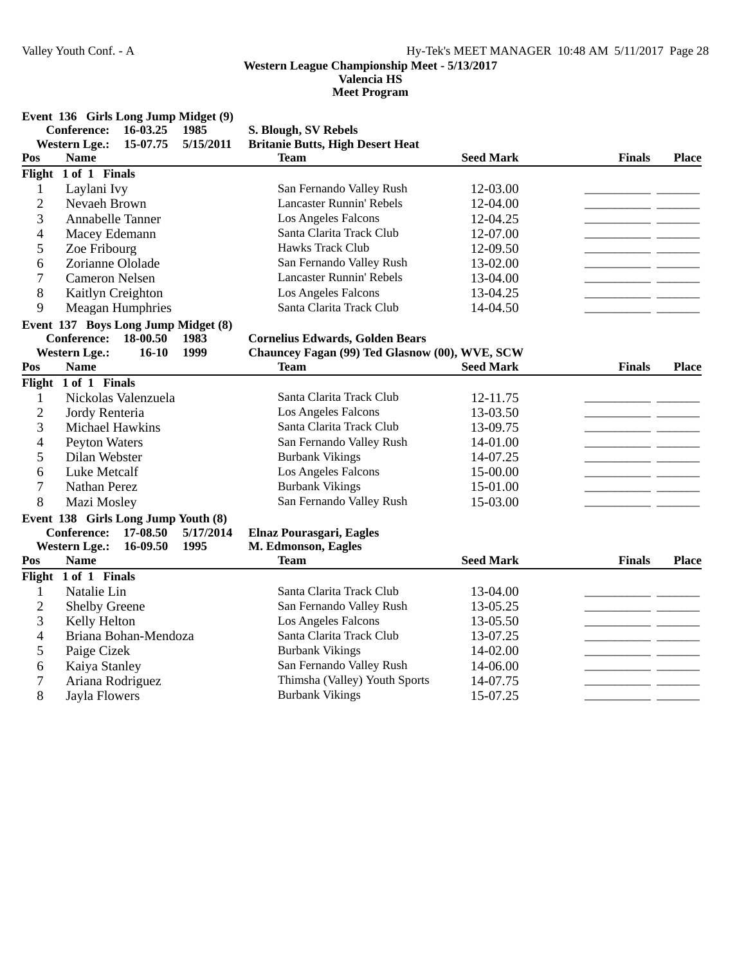# **Valencia HS**

|                          | Event 136 Girls Long Jump Midget (9) |          |           |                                                |                  |               |              |
|--------------------------|--------------------------------------|----------|-----------|------------------------------------------------|------------------|---------------|--------------|
|                          | <b>Conference:</b>                   | 16-03.25 | 1985      | S. Blough, SV Rebels                           |                  |               |              |
|                          | <b>Western Lge.:</b>                 | 15-07.75 | 5/15/2011 | <b>Britanie Butts, High Desert Heat</b>        |                  |               |              |
| Pos                      | <b>Name</b>                          |          |           | <b>Team</b>                                    | <b>Seed Mark</b> | <b>Finals</b> | <b>Place</b> |
|                          | Flight 1 of 1 Finals                 |          |           |                                                |                  |               |              |
| $\mathbf{1}$             | Laylani Ivy                          |          |           | San Fernando Valley Rush                       | 12-03.00         |               |              |
| $\overline{c}$           | Nevaeh Brown                         |          |           | <b>Lancaster Runnin' Rebels</b>                | 12-04.00         |               |              |
| 3                        | <b>Annabelle Tanner</b>              |          |           | Los Angeles Falcons                            | 12-04.25         |               |              |
| 4                        | Macey Edemann                        |          |           | Santa Clarita Track Club                       | 12-07.00         |               |              |
| 5                        | Zoe Fribourg                         |          |           | Hawks Track Club                               | 12-09.50         |               |              |
| 6                        | Zorianne Ololade                     |          |           | San Fernando Valley Rush                       | 13-02.00         | <u>.</u> .    |              |
| 7                        | <b>Cameron Nelsen</b>                |          |           | <b>Lancaster Runnin' Rebels</b>                | 13-04.00         |               |              |
| 8                        | Kaitlyn Creighton                    |          |           | Los Angeles Falcons                            | 13-04.25         | $\sim$ $\sim$ |              |
| 9                        | Meagan Humphries                     |          |           | Santa Clarita Track Club                       | 14-04.50         |               |              |
|                          | Event 137 Boys Long Jump Midget (8)  |          |           |                                                |                  |               |              |
|                          | <b>Conference:</b>                   | 18-00.50 | 1983      | <b>Cornelius Edwards, Golden Bears</b>         |                  |               |              |
|                          | <b>Western Lge.:</b>                 | $16-10$  | 1999      | Chauncey Fagan (99) Ted Glasnow (00), WVE, SCW |                  |               |              |
| Pos                      | <b>Name</b>                          |          |           | <b>Team</b>                                    | <b>Seed Mark</b> | <b>Finals</b> | <b>Place</b> |
|                          | Flight $1$ of $1$ Finals             |          |           |                                                |                  |               |              |
| 1                        | Nickolas Valenzuela                  |          |           | Santa Clarita Track Club                       | 12-11.75         |               |              |
| $\overline{c}$           | Jordy Renteria                       |          |           | Los Angeles Falcons                            | 13-03.50         |               |              |
| 3                        | Michael Hawkins                      |          |           | Santa Clarita Track Club                       | 13-09.75         |               |              |
| $\overline{\mathcal{A}}$ | <b>Peyton Waters</b>                 |          |           | San Fernando Valley Rush                       | 14-01.00         |               |              |
| 5                        | Dilan Webster                        |          |           | <b>Burbank Vikings</b>                         | 14-07.25         |               |              |
| 6                        | Luke Metcalf                         |          |           | Los Angeles Falcons                            | 15-00.00         | - -           |              |
| 7                        | <b>Nathan Perez</b>                  |          |           | <b>Burbank Vikings</b>                         | 15-01.00         |               |              |
| 8                        | Mazi Mosley                          |          |           | San Fernando Valley Rush                       | 15-03.00         |               |              |
|                          | Event 138 Girls Long Jump Youth (8)  |          |           |                                                |                  |               |              |
|                          | <b>Conference:</b>                   | 17-08.50 | 5/17/2014 | Elnaz Pourasgari, Eagles                       |                  |               |              |
|                          | <b>Western Lge.:</b>                 | 16-09.50 | 1995      | M. Edmonson, Eagles                            |                  |               |              |
| Pos                      | <b>Name</b>                          |          |           | <b>Team</b>                                    | <b>Seed Mark</b> | <b>Finals</b> | <b>Place</b> |
|                          | Flight 1 of 1 Finals                 |          |           |                                                |                  |               |              |
| 1                        | Natalie Lin                          |          |           | Santa Clarita Track Club                       | 13-04.00         |               |              |
| $\overline{c}$           | <b>Shelby Greene</b>                 |          |           | San Fernando Valley Rush                       | 13-05.25         | and the       |              |
| 3                        | Kelly Helton                         |          |           | Los Angeles Falcons                            | 13-05.50         |               |              |
| 4                        | Briana Bohan-Mendoza                 |          |           | Santa Clarita Track Club                       | 13-07.25         |               |              |
| 5                        | Paige Cizek                          |          |           | <b>Burbank Vikings</b>                         | 14-02.00         |               |              |
| 6                        | Kaiya Stanley                        |          |           | San Fernando Valley Rush                       | 14-06.00         |               |              |
| $\overline{7}$           | Ariana Rodriguez                     |          |           | Thimsha (Valley) Youth Sports                  | 14-07.75         |               |              |
| 8                        | <b>Jayla Flowers</b>                 |          |           | <b>Burbank Vikings</b>                         | 15-07.25         |               |              |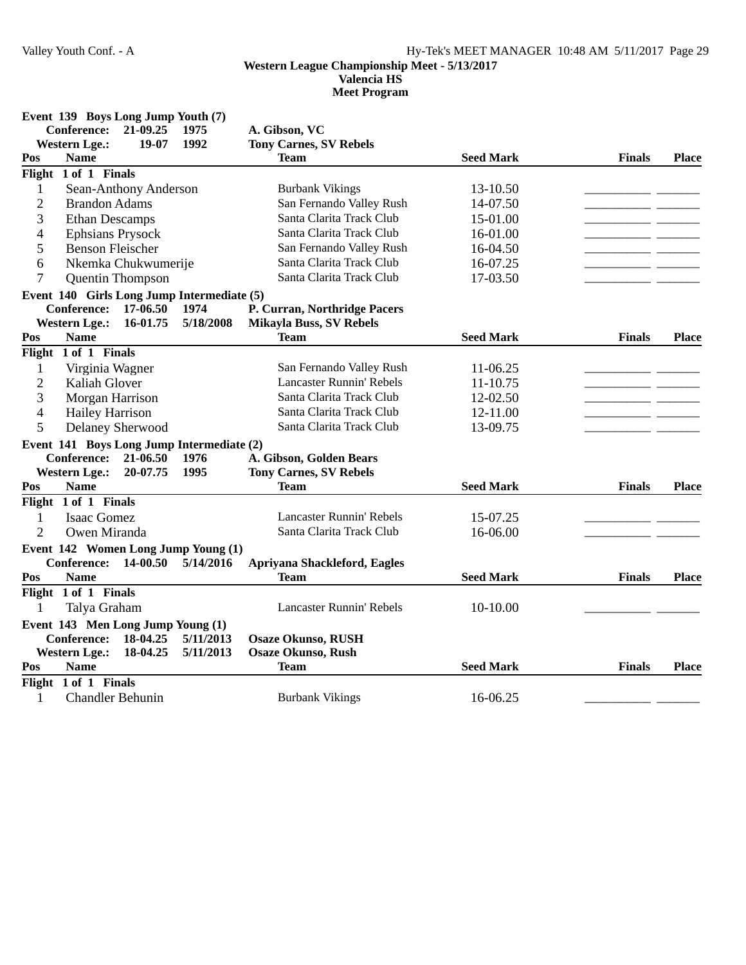### **Western League Championship Meet - 5/13/2017 Valencia HS**

|                          | Event 139 Boys Long Jump Youth (7) |                       |                                            |                                 |                  |               |              |
|--------------------------|------------------------------------|-----------------------|--------------------------------------------|---------------------------------|------------------|---------------|--------------|
|                          | <b>Conference:</b>                 | 21-09.25              | 1975                                       | A. Gibson, VC                   |                  |               |              |
|                          | <b>Western Lge.:</b>               | 19-07                 | 1992                                       | <b>Tony Carnes, SV Rebels</b>   |                  |               |              |
| Pos                      | <b>Name</b>                        |                       |                                            | <b>Team</b>                     | <b>Seed Mark</b> | <b>Finals</b> | <b>Place</b> |
|                          | Flight 1 of 1 Finals               |                       |                                            |                                 |                  |               |              |
| $\mathbf{1}$             |                                    | Sean-Anthony Anderson |                                            | <b>Burbank Vikings</b>          | 13-10.50         |               |              |
| $\mathbf{2}$             | <b>Brandon Adams</b>               |                       |                                            | San Fernando Valley Rush        | 14-07.50         |               |              |
| 3                        | <b>Ethan Descamps</b>              |                       |                                            | Santa Clarita Track Club        | 15-01.00         |               |              |
| $\overline{\mathcal{A}}$ | Ephsians Prysock                   |                       |                                            | Santa Clarita Track Club        | 16-01.00         |               |              |
| 5                        | <b>Benson Fleischer</b>            |                       |                                            | San Fernando Valley Rush        | 16-04.50         |               |              |
| 6                        |                                    | Nkemka Chukwumerije   |                                            | Santa Clarita Track Club        | 16-07.25         |               |              |
| $\overline{7}$           |                                    | Quentin Thompson      |                                            | Santa Clarita Track Club        | 17-03.50         |               |              |
|                          |                                    |                       | Event 140 Girls Long Jump Intermediate (5) |                                 |                  |               |              |
|                          | <b>Conference:</b>                 | 17-06.50              | 1974                                       | P. Curran, Northridge Pacers    |                  |               |              |
|                          | <b>Western Lge.:</b>               | 16-01.75              | 5/18/2008                                  | <b>Mikayla Buss, SV Rebels</b>  |                  |               |              |
| Pos                      | <b>Name</b>                        |                       |                                            | <b>Team</b>                     | <b>Seed Mark</b> | <b>Finals</b> | <b>Place</b> |
|                          | Flight 1 of 1 Finals               |                       |                                            |                                 |                  |               |              |
| 1                        | Virginia Wagner                    |                       |                                            | San Fernando Valley Rush        | $11-06.25$       |               |              |
| $\overline{2}$           | Kaliah Glover                      |                       |                                            | <b>Lancaster Runnin' Rebels</b> | $11 - 10.75$     |               |              |
| 3                        | Morgan Harrison                    |                       |                                            | Santa Clarita Track Club        | 12-02.50         |               |              |
| $\overline{\mathcal{L}}$ | <b>Hailey Harrison</b>             |                       |                                            | Santa Clarita Track Club        | 12-11.00         |               |              |
| 5                        | Delaney Sherwood                   |                       |                                            | Santa Clarita Track Club        | 13-09.75         |               |              |
|                          |                                    |                       | Event 141 Boys Long Jump Intermediate (2)  |                                 |                  |               |              |
|                          | <b>Conference:</b>                 | 21-06.50              | 1976                                       | A. Gibson, Golden Bears         |                  |               |              |
|                          | <b>Western Lge.:</b>               | 20-07.75              | 1995                                       | <b>Tony Carnes, SV Rebels</b>   |                  |               |              |
| Pos                      | <b>Name</b>                        |                       |                                            | <b>Team</b>                     | <b>Seed Mark</b> | <b>Finals</b> | <b>Place</b> |
|                          | Flight 1 of 1 Finals               |                       |                                            |                                 |                  |               |              |
| 1                        | <b>Isaac Gomez</b>                 |                       |                                            | <b>Lancaster Runnin' Rebels</b> | 15-07.25         |               |              |
| $\overline{c}$           | Owen Miranda                       |                       |                                            | Santa Clarita Track Club        | 16-06.00         |               |              |
|                          |                                    |                       | Event 142 Women Long Jump Young (1)        |                                 |                  |               |              |
|                          | <b>Conference:</b>                 | 14-00.50              | 5/14/2016                                  | Apriyana Shackleford, Eagles    |                  |               |              |
| Pos                      | <b>Name</b>                        |                       |                                            | <b>Team</b>                     | <b>Seed Mark</b> | <b>Finals</b> | <b>Place</b> |
|                          | Flight 1 of 1 Finals               |                       |                                            |                                 |                  |               |              |
| 1                        | Talya Graham                       |                       |                                            | Lancaster Runnin' Rebels        | $10-10.00$       |               |              |
|                          | Event 143 Men Long Jump Young (1)  |                       |                                            |                                 |                  |               |              |
|                          | <b>Conference:</b>                 | 18-04.25              | 5/11/2013                                  | <b>Osaze Okunso, RUSH</b>       |                  |               |              |
|                          | <b>Western Lge.:</b>               | 18-04.25              | 5/11/2013                                  | <b>Osaze Okunso, Rush</b>       |                  |               |              |
| Pos                      | <b>Name</b>                        |                       |                                            | <b>Team</b>                     | <b>Seed Mark</b> | <b>Finals</b> | <b>Place</b> |
|                          | Flight 1 of 1 Finals               |                       |                                            |                                 |                  |               |              |
| $\mathbf{1}$             | <b>Chandler Behunin</b>            |                       |                                            | <b>Burbank Vikings</b>          | 16-06.25         |               |              |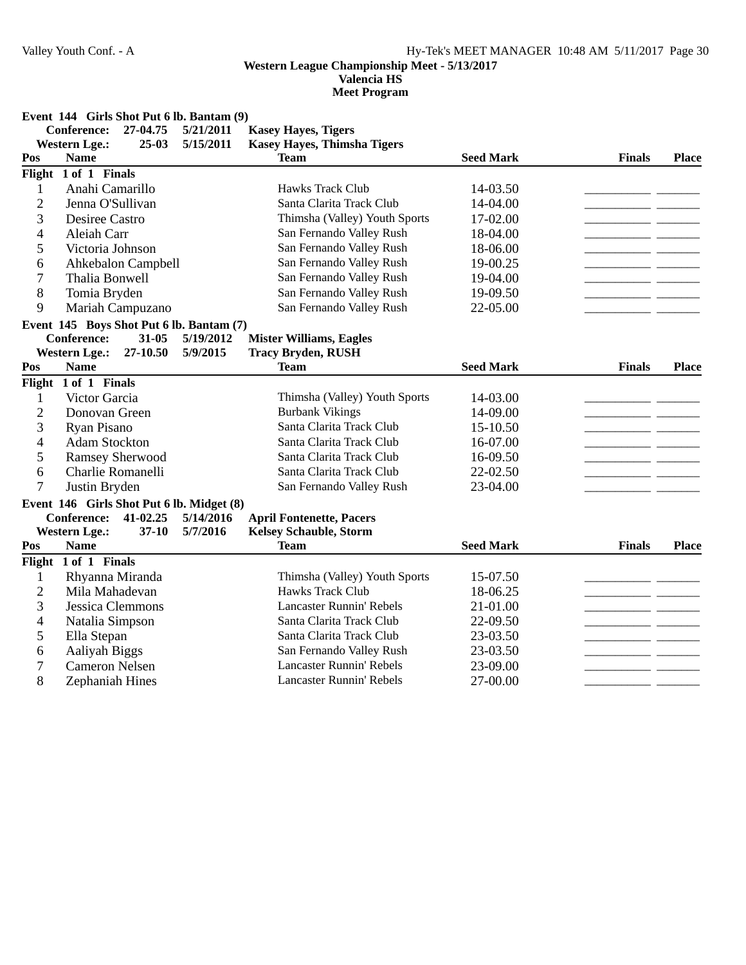# **Valencia HS**

**Meet Program**

**Event 144 Girls Shot Put 6 lb. Bantam (9)**

|                | <b>Conference:</b>     | 27-04.75           | 5/21/2011                                 | <b>Kasey Hayes, Tigers</b>         |                  |               |              |
|----------------|------------------------|--------------------|-------------------------------------------|------------------------------------|------------------|---------------|--------------|
|                | <b>Western Lge.:</b>   | $25-03$            | 5/15/2011                                 | <b>Kasey Hayes, Thimsha Tigers</b> |                  |               |              |
| Pos            | <b>Name</b>            |                    |                                           | <b>Team</b>                        | <b>Seed Mark</b> | <b>Finals</b> | <b>Place</b> |
|                | Flight 1 of 1 Finals   |                    |                                           |                                    |                  |               |              |
| $\mathbf{1}$   | Anahi Camarillo        |                    |                                           | Hawks Track Club                   | 14-03.50         |               |              |
| $\overline{2}$ | Jenna O'Sullivan       |                    |                                           | Santa Clarita Track Club           | 14-04.00         | $\sim$ $\sim$ |              |
| 3              | <b>Desiree Castro</b>  |                    |                                           | Thimsha (Valley) Youth Sports      | 17-02.00         |               |              |
| 4              | Aleiah Carr            |                    |                                           | San Fernando Valley Rush           | 18-04.00         |               |              |
| 5              | Victoria Johnson       |                    |                                           | San Fernando Valley Rush           | 18-06.00         | - -           |              |
| 6              |                        | Ahkebalon Campbell |                                           | San Fernando Valley Rush           | 19-00.25         |               |              |
| 7              | Thalia Bonwell         |                    |                                           | San Fernando Valley Rush           | 19-04.00         |               |              |
| 8              | Tomia Bryden           |                    |                                           | San Fernando Valley Rush           | 19-09.50         |               |              |
| 9              |                        | Mariah Campuzano   |                                           | San Fernando Valley Rush           | 22-05.00         |               |              |
|                |                        |                    | Event 145 Boys Shot Put 6 lb. Bantam (7)  |                                    |                  |               |              |
|                | <b>Conference:</b>     | $31 - 05$          | 5/19/2012                                 | <b>Mister Williams, Eagles</b>     |                  |               |              |
|                | <b>Western Lge.:</b>   | 27-10.50           | 5/9/2015                                  | <b>Tracy Bryden, RUSH</b>          |                  |               |              |
| Pos            | <b>Name</b>            |                    |                                           | <b>Team</b>                        | <b>Seed Mark</b> | <b>Finals</b> | <b>Place</b> |
|                | Flight 1 of 1 Finals   |                    |                                           |                                    |                  |               |              |
| 1              | Victor Garcia          |                    |                                           | Thimsha (Valley) Youth Sports      | 14-03.00         |               |              |
| $\overline{c}$ | Donovan Green          |                    |                                           | <b>Burbank Vikings</b>             | 14-09.00         |               |              |
| 3              | Ryan Pisano            |                    |                                           | Santa Clarita Track Club           | 15-10.50         |               |              |
| $\overline{4}$ | <b>Adam Stockton</b>   |                    |                                           | Santa Clarita Track Club           | 16-07.00         |               |              |
| 5              | <b>Ramsey Sherwood</b> |                    |                                           | Santa Clarita Track Club           | 16-09.50         |               |              |
| 6              | Charlie Romanelli      |                    |                                           | Santa Clarita Track Club           | 22-02.50         |               |              |
| $\overline{7}$ | Justin Bryden          |                    |                                           | San Fernando Valley Rush           | 23-04.00         |               |              |
|                |                        |                    | Event 146 Girls Shot Put 6 lb. Midget (8) |                                    |                  |               |              |
|                | <b>Conference:</b>     | 41-02.25           | 5/14/2016                                 | <b>April Fontenette, Pacers</b>    |                  |               |              |
|                | <b>Western Lge.:</b>   | $37-10$            | 5/7/2016                                  | <b>Kelsey Schauble, Storm</b>      |                  |               |              |
| Pos            | <b>Name</b>            |                    |                                           | <b>Team</b>                        | <b>Seed Mark</b> | <b>Finals</b> | <b>Place</b> |
|                | Flight 1 of 1 Finals   |                    |                                           |                                    |                  |               |              |
| 1              | Rhyanna Miranda        |                    |                                           | Thimsha (Valley) Youth Sports      | 15-07.50         |               |              |
| $\overline{c}$ | Mila Mahadevan         |                    |                                           | <b>Hawks Track Club</b>            | 18-06.25         |               |              |
| 3              | Jessica Clemmons       |                    |                                           | <b>Lancaster Runnin' Rebels</b>    | 21-01.00         |               |              |
| 4              | Natalia Simpson        |                    |                                           | Santa Clarita Track Club           | 22-09.50         |               |              |
| 5              | Ella Stepan            |                    |                                           | Santa Clarita Track Club           | 23-03.50         |               |              |
| 6              | Aaliyah Biggs          |                    |                                           | San Fernando Valley Rush           | 23-03.50         |               |              |
| 7              | <b>Cameron Nelsen</b>  |                    |                                           | <b>Lancaster Runnin' Rebels</b>    | 23-09.00         |               |              |
| 8              | Zephaniah Hines        |                    |                                           | Lancaster Runnin' Rebels           | 27-00.00         |               |              |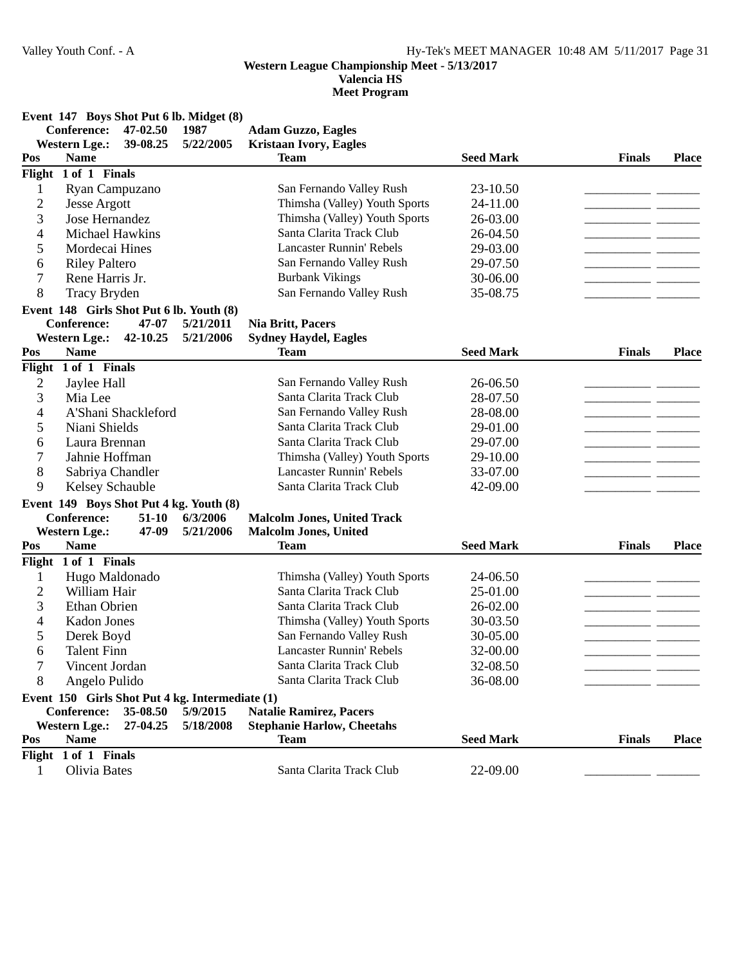**Valencia HS**

**Meet Program**

**Event 147 Boys Shot Put 6 lb. Midget (8)**

|                | <b>Conference:</b>   | 47-02.50 | 1987                                            | <b>Adam Guzzo, Eagles</b>          |                  |               |              |
|----------------|----------------------|----------|-------------------------------------------------|------------------------------------|------------------|---------------|--------------|
|                | <b>Western Lge.:</b> | 39-08.25 | 5/22/2005                                       | <b>Kristaan Ivory, Eagles</b>      |                  |               |              |
| Pos            | <b>Name</b>          |          |                                                 | <b>Team</b>                        | <b>Seed Mark</b> | <b>Finals</b> | <b>Place</b> |
|                | Flight 1 of 1 Finals |          |                                                 |                                    |                  |               |              |
| 1              | Ryan Campuzano       |          |                                                 | San Fernando Valley Rush           | 23-10.50         |               |              |
| $\overline{c}$ | <b>Jesse Argott</b>  |          |                                                 | Thimsha (Valley) Youth Sports      | 24-11.00         |               |              |
| 3              | Jose Hernandez       |          |                                                 | Thimsha (Valley) Youth Sports      | 26-03.00         |               |              |
| 4              | Michael Hawkins      |          |                                                 | Santa Clarita Track Club           | 26-04.50         |               |              |
| 5              | Mordecai Hines       |          |                                                 | <b>Lancaster Runnin' Rebels</b>    | 29-03.00         |               |              |
| 6              | <b>Riley Paltero</b> |          |                                                 | San Fernando Valley Rush           | 29-07.50         |               |              |
| 7              | Rene Harris Jr.      |          |                                                 | <b>Burbank Vikings</b>             | 30-06.00         |               |              |
| 8              | Tracy Bryden         |          |                                                 | San Fernando Valley Rush           | 35-08.75         |               |              |
|                |                      |          | Event 148 Girls Shot Put 6 lb. Youth (8)        |                                    |                  |               |              |
|                | <b>Conference:</b>   | 47-07    | 5/21/2011                                       | <b>Nia Britt, Pacers</b>           |                  |               |              |
|                | <b>Western Lge.:</b> | 42-10.25 | 5/21/2006                                       | <b>Sydney Haydel, Eagles</b>       |                  |               |              |
| Pos            | <b>Name</b>          |          |                                                 | <b>Team</b>                        | <b>Seed Mark</b> | <b>Finals</b> | <b>Place</b> |
|                | Flight 1 of 1 Finals |          |                                                 |                                    |                  |               |              |
| $\overline{c}$ | Jaylee Hall          |          |                                                 | San Fernando Valley Rush           | 26-06.50         |               |              |
| 3              | Mia Lee              |          |                                                 | Santa Clarita Track Club           | 28-07.50         |               |              |
| 4              | A'Shani Shackleford  |          |                                                 | San Fernando Valley Rush           | 28-08.00         |               |              |
| 5              | Niani Shields        |          |                                                 | Santa Clarita Track Club           | 29-01.00         |               |              |
| 6              | Laura Brennan        |          |                                                 | Santa Clarita Track Club           | 29-07.00         |               |              |
| 7              | Jahnie Hoffman       |          |                                                 | Thimsha (Valley) Youth Sports      | 29-10.00         |               |              |
| 8              | Sabriya Chandler     |          |                                                 | <b>Lancaster Runnin' Rebels</b>    | 33-07.00         |               |              |
| 9              | Kelsey Schauble      |          |                                                 | Santa Clarita Track Club           | 42-09.00         |               |              |
|                |                      |          | Event 149 Boys Shot Put 4 kg. Youth (8)         |                                    |                  |               |              |
|                | Conference:          | $51-10$  | 6/3/2006                                        | <b>Malcolm Jones, United Track</b> |                  |               |              |
|                | <b>Western Lge.:</b> | 47-09    | 5/21/2006                                       | <b>Malcolm Jones, United</b>       |                  |               |              |
| Pos            | <b>Name</b>          |          |                                                 | <b>Team</b>                        | <b>Seed Mark</b> | <b>Finals</b> | <b>Place</b> |
|                | Flight 1 of 1 Finals |          |                                                 |                                    |                  |               |              |
| 1              | Hugo Maldonado       |          |                                                 | Thimsha (Valley) Youth Sports      | 24-06.50         |               |              |
| $\overline{c}$ | William Hair         |          |                                                 | Santa Clarita Track Club           | 25-01.00         |               |              |
| 3              | Ethan Obrien         |          |                                                 | Santa Clarita Track Club           | 26-02.00         |               |              |
| 4              | <b>Kadon Jones</b>   |          |                                                 | Thimsha (Valley) Youth Sports      | 30-03.50         |               |              |
| 5              | Derek Boyd           |          |                                                 | San Fernando Valley Rush           | 30-05.00         |               |              |
| 6              | <b>Talent Finn</b>   |          |                                                 | <b>Lancaster Runnin' Rebels</b>    | 32-00.00         |               |              |
| 7              | Vincent Jordan       |          |                                                 | Santa Clarita Track Club           | 32-08.50         |               |              |
| 8              | Angelo Pulido        |          |                                                 | Santa Clarita Track Club           | 36-08.00         |               |              |
|                |                      |          | Event 150 Girls Shot Put 4 kg. Intermediate (1) |                                    |                  |               |              |
|                | Conference:          | 35-08.50 | 5/9/2015                                        | <b>Natalie Ramirez, Pacers</b>     |                  |               |              |
|                | <b>Western Lge.:</b> | 27-04.25 | 5/18/2008                                       | <b>Stephanie Harlow, Cheetahs</b>  |                  |               |              |
| Pos            | <b>Name</b>          |          |                                                 | <b>Team</b>                        | <b>Seed Mark</b> | <b>Finals</b> | <b>Place</b> |
|                | Flight 1 of 1 Finals |          |                                                 |                                    |                  |               |              |
| 1              | Olivia Bates         |          |                                                 | Santa Clarita Track Club           | 22-09.00         |               |              |
|                |                      |          |                                                 |                                    |                  |               |              |